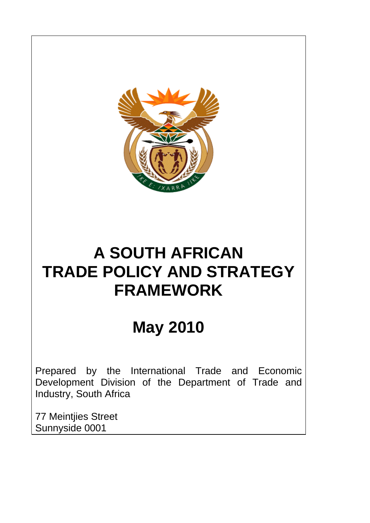

# **May 2010**

Prepared by the International Trade and Economic Development Division of the Department of Trade and Industry, South Africa

77 Meintjies Street Sunnyside 0001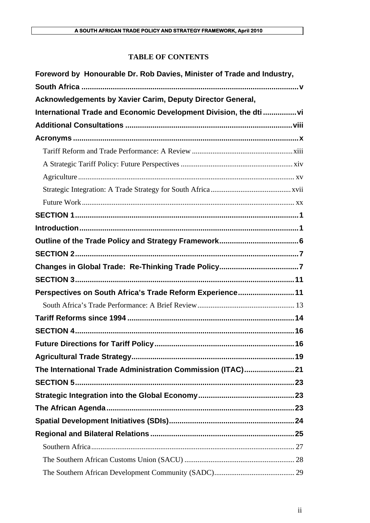## **TABLE OF CONTENTS**

| Foreword by Honourable Dr. Rob Davies, Minister of Trade and Industry, |
|------------------------------------------------------------------------|
|                                                                        |
| Acknowledgements by Xavier Carim, Deputy Director General,             |
| International Trade and Economic Development Division, the dti vi      |
|                                                                        |
|                                                                        |
|                                                                        |
|                                                                        |
|                                                                        |
|                                                                        |
|                                                                        |
|                                                                        |
|                                                                        |
|                                                                        |
|                                                                        |
|                                                                        |
|                                                                        |
| Perspectives on South Africa's Trade Reform Experience11               |
|                                                                        |
|                                                                        |
|                                                                        |
|                                                                        |
|                                                                        |
| The International Trade Administration Commission (ITAC)21             |
|                                                                        |
|                                                                        |
|                                                                        |
|                                                                        |
|                                                                        |
|                                                                        |
|                                                                        |
|                                                                        |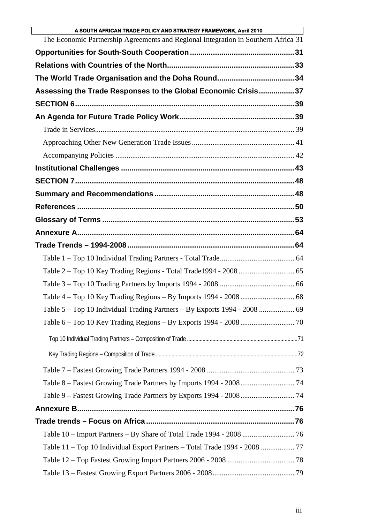| A SOUTH AFRICAN TRADE POLICY AND STRATEGY FRAMEWORK, April 2010                    |  |
|------------------------------------------------------------------------------------|--|
| The Economic Partnership Agreements and Regional Integration in Southern Africa 31 |  |
|                                                                                    |  |
|                                                                                    |  |
| The World Trade Organisation and the Doha Round34                                  |  |
| Assessing the Trade Responses to the Global Economic Crisis37                      |  |
|                                                                                    |  |
|                                                                                    |  |
|                                                                                    |  |
|                                                                                    |  |
|                                                                                    |  |
|                                                                                    |  |
|                                                                                    |  |
|                                                                                    |  |
|                                                                                    |  |
|                                                                                    |  |
|                                                                                    |  |
|                                                                                    |  |
|                                                                                    |  |
|                                                                                    |  |
|                                                                                    |  |
|                                                                                    |  |
|                                                                                    |  |
|                                                                                    |  |
|                                                                                    |  |
|                                                                                    |  |
|                                                                                    |  |
|                                                                                    |  |
|                                                                                    |  |
|                                                                                    |  |
|                                                                                    |  |
|                                                                                    |  |
|                                                                                    |  |
|                                                                                    |  |
|                                                                                    |  |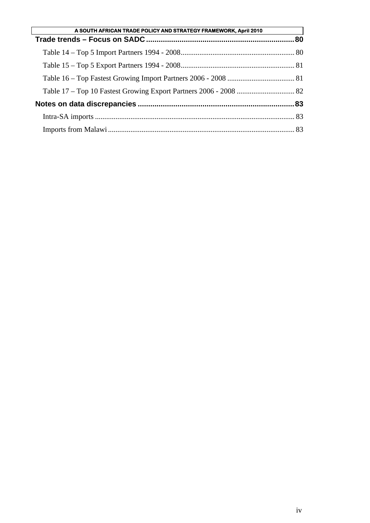| A SOUTH AFRICAN TRADE POLICY AND STRATEGY FRAMEWORK, April 2010 |  |
|-----------------------------------------------------------------|--|
|                                                                 |  |
|                                                                 |  |
|                                                                 |  |
|                                                                 |  |
|                                                                 |  |
|                                                                 |  |
|                                                                 |  |
|                                                                 |  |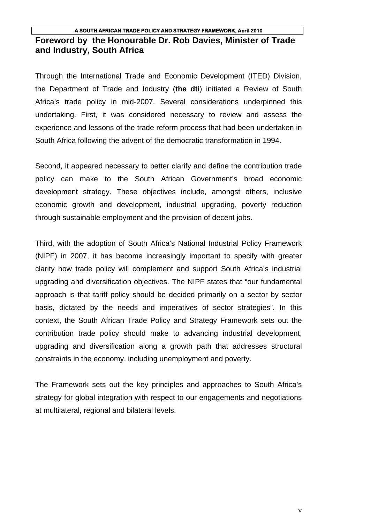## **A SOUTH AFRICAN TRADE POLICY AND STRATEGY FRAMEWORK, April 2010 Foreword by the Honourable Dr. Rob Davies, Minister of Trade and Industry, South Africa**

Through the International Trade and Economic Development (ITED) Division, the Department of Trade and Industry (**the dti**) initiated a Review of South Africa's trade policy in mid-2007. Several considerations underpinned this undertaking. First, it was considered necessary to review and assess the experience and lessons of the trade reform process that had been undertaken in South Africa following the advent of the democratic transformation in 1994.

Second, it appeared necessary to better clarify and define the contribution trade policy can make to the South African Government's broad economic development strategy. These objectives include, amongst others, inclusive economic growth and development, industrial upgrading, poverty reduction through sustainable employment and the provision of decent jobs.

Third, with the adoption of South Africa's National Industrial Policy Framework (NIPF) in 2007, it has become increasingly important to specify with greater clarity how trade policy will complement and support South Africa's industrial upgrading and diversification objectives. The NIPF states that "our fundamental approach is that tariff policy should be decided primarily on a sector by sector basis, dictated by the needs and imperatives of sector strategies". In this context, the South African Trade Policy and Strategy Framework sets out the contribution trade policy should make to advancing industrial development, upgrading and diversification along a growth path that addresses structural constraints in the economy, including unemployment and poverty.

The Framework sets out the key principles and approaches to South Africa's strategy for global integration with respect to our engagements and negotiations at multilateral, regional and bilateral levels.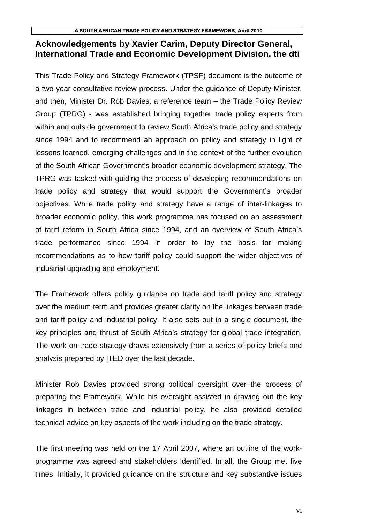## **Acknowledgements by Xavier Carim, Deputy Director General, International Trade and Economic Development Division, the dti**

This Trade Policy and Strategy Framework (TPSF) document is the outcome of a two-year consultative review process. Under the guidance of Deputy Minister, and then, Minister Dr. Rob Davies, a reference team – the Trade Policy Review Group (TPRG) - was established bringing together trade policy experts from within and outside government to review South Africa's trade policy and strategy since 1994 and to recommend an approach on policy and strategy in light of lessons learned, emerging challenges and in the context of the further evolution of the South African Government's broader economic development strategy. The TPRG was tasked with guiding the process of developing recommendations on trade policy and strategy that would support the Government's broader objectives. While trade policy and strategy have a range of inter-linkages to broader economic policy, this work programme has focused on an assessment of tariff reform in South Africa since 1994, and an overview of South Africa's trade performance since 1994 in order to lay the basis for making recommendations as to how tariff policy could support the wider objectives of industrial upgrading and employment.

The Framework offers policy guidance on trade and tariff policy and strategy over the medium term and provides greater clarity on the linkages between trade and tariff policy and industrial policy. It also sets out in a single document, the key principles and thrust of South Africa's strategy for global trade integration. The work on trade strategy draws extensively from a series of policy briefs and analysis prepared by ITED over the last decade.

Minister Rob Davies provided strong political oversight over the process of preparing the Framework. While his oversight assisted in drawing out the key linkages in between trade and industrial policy, he also provided detailed technical advice on key aspects of the work including on the trade strategy.

The first meeting was held on the 17 April 2007, where an outline of the workprogramme was agreed and stakeholders identified. In all, the Group met five times. Initially, it provided guidance on the structure and key substantive issues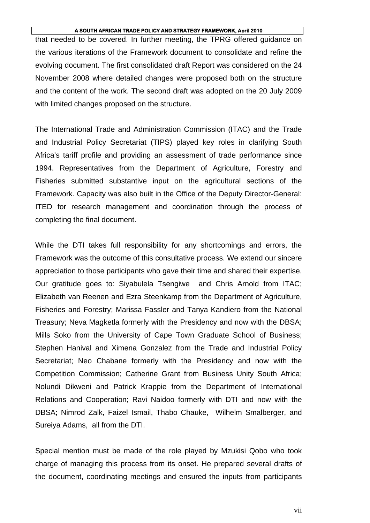that needed to be covered. In further meeting, the TPRG offered guidance on the various iterations of the Framework document to consolidate and refine the evolving document. The first consolidated draft Report was considered on the 24 November 2008 where detailed changes were proposed both on the structure and the content of the work. The second draft was adopted on the 20 July 2009 with limited changes proposed on the structure.

The International Trade and Administration Commission (ITAC) and the Trade and Industrial Policy Secretariat (TIPS) played key roles in clarifying South Africa's tariff profile and providing an assessment of trade performance since 1994. Representatives from the Department of Agriculture, Forestry and Fisheries submitted substantive input on the agricultural sections of the Framework. Capacity was also built in the Office of the Deputy Director-General: ITED for research management and coordination through the process of completing the final document.

While the DTI takes full responsibility for any shortcomings and errors, the Framework was the outcome of this consultative process. We extend our sincere appreciation to those participants who gave their time and shared their expertise. Our gratitude goes to: Siyabulela Tsengiwe and Chris Arnold from ITAC; Elizabeth van Reenen and Ezra Steenkamp from the Department of Agriculture, Fisheries and Forestry; Marissa Fassler and Tanya Kandiero from the National Treasury; Neva Magketla formerly with the Presidency and now with the DBSA; Mills Soko from the University of Cape Town Graduate School of Business; Stephen Hanival and Ximena Gonzalez from the Trade and Industrial Policy Secretariat; Neo Chabane formerly with the Presidency and now with the Competition Commission; Catherine Grant from Business Unity South Africa; Nolundi Dikweni and Patrick Krappie from the Department of International Relations and Cooperation; Ravi Naidoo formerly with DTI and now with the DBSA; Nimrod Zalk, Faizel Ismail, Thabo Chauke, Wilhelm Smalberger, and Sureiya Adams, all from the DTI.

Special mention must be made of the role played by Mzukisi Qobo who took charge of managing this process from its onset. He prepared several drafts of the document, coordinating meetings and ensured the inputs from participants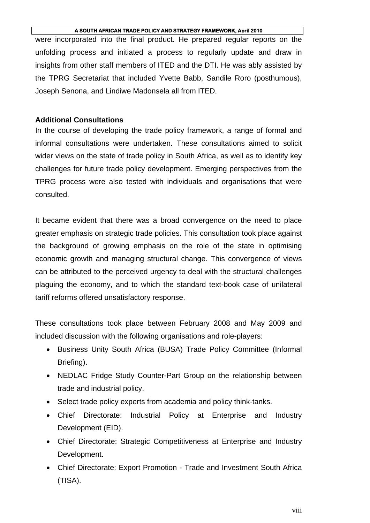were incorporated into the final product. He prepared regular reports on the unfolding process and initiated a process to regularly update and draw in insights from other staff members of ITED and the DTI. He was ably assisted by the TPRG Secretariat that included Yvette Babb, Sandile Roro (posthumous), Joseph Senona, and Lindiwe Madonsela all from ITED.

## **Additional Consultations**

In the course of developing the trade policy framework, a range of formal and informal consultations were undertaken. These consultations aimed to solicit wider views on the state of trade policy in South Africa, as well as to identify key challenges for future trade policy development. Emerging perspectives from the TPRG process were also tested with individuals and organisations that were consulted.

It became evident that there was a broad convergence on the need to place greater emphasis on strategic trade policies. This consultation took place against the background of growing emphasis on the role of the state in optimising economic growth and managing structural change. This convergence of views can be attributed to the perceived urgency to deal with the structural challenges plaguing the economy, and to which the standard text-book case of unilateral tariff reforms offered unsatisfactory response.

These consultations took place between February 2008 and May 2009 and included discussion with the following organisations and role-players:

- Business Unity South Africa (BUSA) Trade Policy Committee (Informal Briefing).
- NEDLAC Fridge Study Counter-Part Group on the relationship between trade and industrial policy.
- Select trade policy experts from academia and policy think-tanks.
- Chief Directorate: Industrial Policy at Enterprise and Industry Development (EID).
- Chief Directorate: Strategic Competitiveness at Enterprise and Industry Development.
- Chief Directorate: Export Promotion Trade and Investment South Africa (TISA).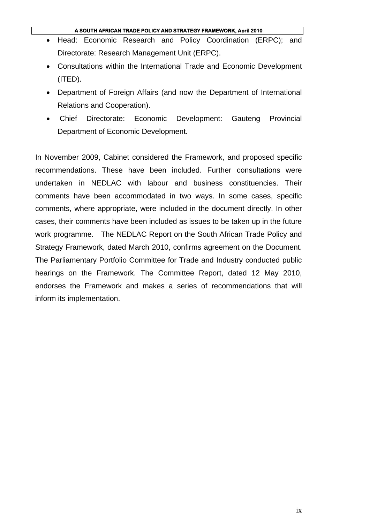- Head: Economic Research and Policy Coordination (ERPC); and Directorate: Research Management Unit (ERPC).
- Consultations within the International Trade and Economic Development (ITED).
- Department of Foreign Affairs (and now the Department of International Relations and Cooperation).
- Chief Directorate: Economic Development: Gauteng Provincial Department of Economic Development.

In November 2009, Cabinet considered the Framework, and proposed specific recommendations. These have been included. Further consultations were undertaken in NEDLAC with labour and business constituencies. Their comments have been accommodated in two ways. In some cases, specific comments, where appropriate, were included in the document directly. In other cases, their comments have been included as issues to be taken up in the future work programme. The NEDLAC Report on the South African Trade Policy and Strategy Framework, dated March 2010, confirms agreement on the Document. The Parliamentary Portfolio Committee for Trade and Industry conducted public hearings on the Framework. The Committee Report, dated 12 May 2010, endorses the Framework and makes a series of recommendations that will inform its implementation.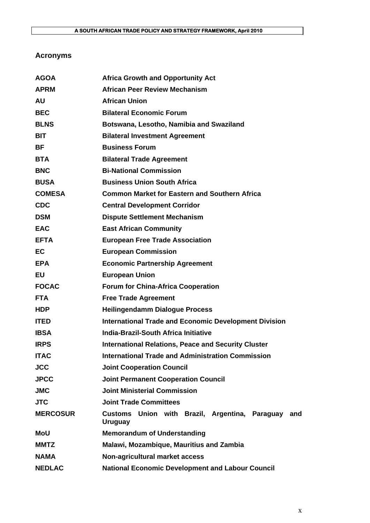## **Acronyms**

| <b>AGOA</b>     | <b>Africa Growth and Opportunity Act</b>                             |
|-----------------|----------------------------------------------------------------------|
| <b>APRM</b>     | <b>African Peer Review Mechanism</b>                                 |
| <b>AU</b>       | <b>African Union</b>                                                 |
| <b>BEC</b>      | <b>Bilateral Economic Forum</b>                                      |
| <b>BLNS</b>     | Botswana, Lesotho, Namibia and Swaziland                             |
| <b>BIT</b>      | <b>Bilateral Investment Agreement</b>                                |
| BF              | <b>Business Forum</b>                                                |
| <b>BTA</b>      | <b>Bilateral Trade Agreement</b>                                     |
| <b>BNC</b>      | <b>Bi-National Commission</b>                                        |
| <b>BUSA</b>     | <b>Business Union South Africa</b>                                   |
| <b>COMESA</b>   | <b>Common Market for Eastern and Southern Africa</b>                 |
| <b>CDC</b>      | <b>Central Development Corridor</b>                                  |
| <b>DSM</b>      | <b>Dispute Settlement Mechanism</b>                                  |
| <b>EAC</b>      | <b>East African Community</b>                                        |
| <b>EFTA</b>     | <b>European Free Trade Association</b>                               |
| <b>EC</b>       | <b>European Commission</b>                                           |
| <b>EPA</b>      | <b>Economic Partnership Agreement</b>                                |
| EU              | <b>European Union</b>                                                |
| <b>FOCAC</b>    | <b>Forum for China-Africa Cooperation</b>                            |
| <b>FTA</b>      | <b>Free Trade Agreement</b>                                          |
| <b>HDP</b>      | <b>Heilingendamm Dialogue Process</b>                                |
| <b>ITED</b>     | <b>International Trade and Economic Development Division</b>         |
| <b>IBSA</b>     | <b>India-Brazil-South Africa Initiative</b>                          |
| <b>IRPS</b>     | <b>International Relations, Peace and Security Cluster</b>           |
| <b>ITAC</b>     | International Trade and Administration Commission                    |
| <b>JCC</b>      | <b>Joint Cooperation Council</b>                                     |
| <b>JPCC</b>     | <b>Joint Permanent Cooperation Council</b>                           |
| <b>JMC</b>      | <b>Joint Ministerial Commission</b>                                  |
| <b>JTC</b>      | <b>Joint Trade Committees</b>                                        |
| <b>MERCOSUR</b> | Customs Union with Brazil, Argentina, Paraguay and<br><b>Uruguay</b> |
| MoU             | <b>Memorandum of Understanding</b>                                   |
| <b>MMTZ</b>     | Malawi, Mozambique, Mauritius and Zambia                             |
| <b>NAMA</b>     | Non-agricultural market access                                       |
| <b>NEDLAC</b>   | <b>National Economic Development and Labour Council</b>              |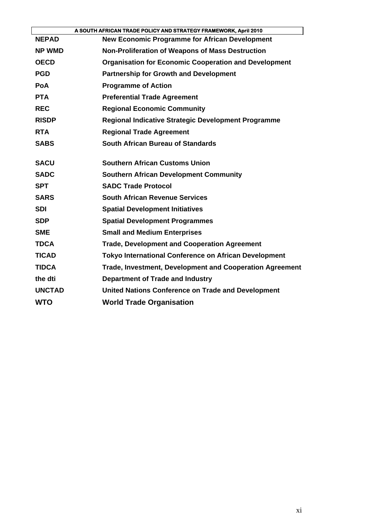|               | A SOUTH AFRICAN TRADE POLICY AND STRATEGY FRAMEWORK, April 2010 |
|---------------|-----------------------------------------------------------------|
| <b>NEPAD</b>  | <b>New Economic Programme for African Development</b>           |
| <b>NP WMD</b> | Non-Proliferation of Weapons of Mass Destruction                |
| <b>OECD</b>   | <b>Organisation for Economic Cooperation and Development</b>    |
| <b>PGD</b>    | <b>Partnership for Growth and Development</b>                   |
| <b>PoA</b>    | <b>Programme of Action</b>                                      |
| <b>PTA</b>    | <b>Preferential Trade Agreement</b>                             |
| <b>REC</b>    | <b>Regional Economic Community</b>                              |
| <b>RISDP</b>  | <b>Regional Indicative Strategic Development Programme</b>      |
| <b>RTA</b>    | <b>Regional Trade Agreement</b>                                 |
| <b>SABS</b>   | South African Bureau of Standards                               |
| <b>SACU</b>   | <b>Southern African Customs Union</b>                           |
| <b>SADC</b>   | <b>Southern African Development Community</b>                   |
| <b>SPT</b>    | <b>SADC Trade Protocol</b>                                      |
| <b>SARS</b>   | <b>South African Revenue Services</b>                           |
| <b>SDI</b>    | <b>Spatial Development Initiatives</b>                          |
| <b>SDP</b>    | <b>Spatial Development Programmes</b>                           |
| <b>SME</b>    | <b>Small and Medium Enterprises</b>                             |
| <b>TDCA</b>   | <b>Trade, Development and Cooperation Agreement</b>             |
| <b>TICAD</b>  | <b>Tokyo International Conference on African Development</b>    |
| <b>TIDCA</b>  | Trade, Investment, Development and Cooperation Agreement        |
| the dti       | Department of Trade and Industry                                |
| <b>UNCTAD</b> | <b>United Nations Conference on Trade and Development</b>       |
| <b>WTO</b>    | <b>World Trade Organisation</b>                                 |
|               |                                                                 |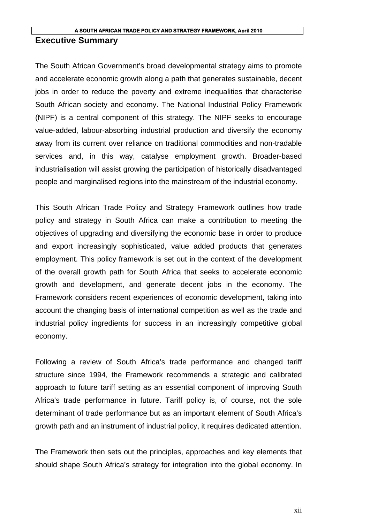## **Executive Summary**

The South African Government's broad developmental strategy aims to promote and accelerate economic growth along a path that generates sustainable, decent jobs in order to reduce the poverty and extreme inequalities that characterise South African society and economy. The National Industrial Policy Framework (NIPF) is a central component of this strategy. The NIPF seeks to encourage value-added, labour-absorbing industrial production and diversify the economy away from its current over reliance on traditional commodities and non-tradable services and, in this way, catalyse employment growth. Broader-based industrialisation will assist growing the participation of historically disadvantaged people and marginalised regions into the mainstream of the industrial economy.

This South African Trade Policy and Strategy Framework outlines how trade policy and strategy in South Africa can make a contribution to meeting the objectives of upgrading and diversifying the economic base in order to produce and export increasingly sophisticated, value added products that generates employment. This policy framework is set out in the context of the development of the overall growth path for South Africa that seeks to accelerate economic growth and development, and generate decent jobs in the economy. The Framework considers recent experiences of economic development, taking into account the changing basis of international competition as well as the trade and industrial policy ingredients for success in an increasingly competitive global economy.

Following a review of South Africa's trade performance and changed tariff structure since 1994, the Framework recommends a strategic and calibrated approach to future tariff setting as an essential component of improving South Africa's trade performance in future. Tariff policy is, of course, not the sole determinant of trade performance but as an important element of South Africa's growth path and an instrument of industrial policy, it requires dedicated attention.

The Framework then sets out the principles, approaches and key elements that should shape South Africa's strategy for integration into the global economy. In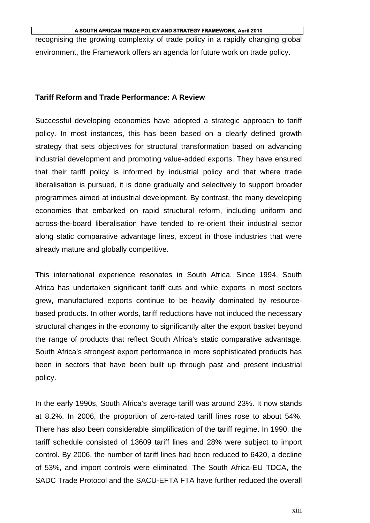recognising the growing complexity of trade policy in a rapidly changing global environment, the Framework offers an agenda for future work on trade policy.

## **Tariff Reform and Trade Performance: A Review**

Successful developing economies have adopted a strategic approach to tariff policy. In most instances, this has been based on a clearly defined growth strategy that sets objectives for structural transformation based on advancing industrial development and promoting value-added exports. They have ensured that their tariff policy is informed by industrial policy and that where trade liberalisation is pursued, it is done gradually and selectively to support broader programmes aimed at industrial development. By contrast, the many developing economies that embarked on rapid structural reform, including uniform and across-the-board liberalisation have tended to re-orient their industrial sector along static comparative advantage lines, except in those industries that were already mature and globally competitive.

This international experience resonates in South Africa. Since 1994, South Africa has undertaken significant tariff cuts and while exports in most sectors grew, manufactured exports continue to be heavily dominated by resourcebased products. In other words, tariff reductions have not induced the necessary structural changes in the economy to significantly alter the export basket beyond the range of products that reflect South Africa's static comparative advantage. South Africa's strongest export performance in more sophisticated products has been in sectors that have been built up through past and present industrial policy.

In the early 1990s, South Africa's average tariff was around 23%. It now stands at 8.2%. In 2006, the proportion of zero-rated tariff lines rose to about 54%. There has also been considerable simplification of the tariff regime. In 1990, the tariff schedule consisted of 13609 tariff lines and 28% were subject to import control. By 2006, the number of tariff lines had been reduced to 6420, a decline of 53%, and import controls were eliminated. The South Africa-EU TDCA, the SADC Trade Protocol and the SACU-EFTA FTA have further reduced the overall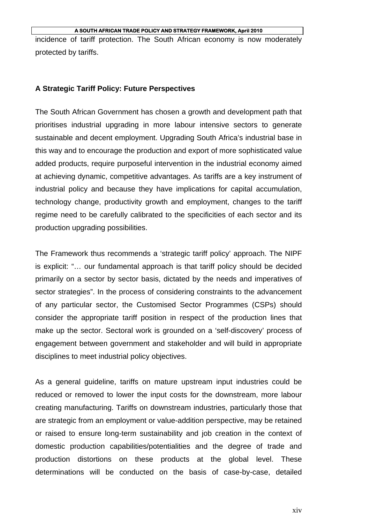incidence of tariff protection. The South African economy is now moderately protected by tariffs.

## **A Strategic Tariff Policy: Future Perspectives**

The South African Government has chosen a growth and development path that prioritises industrial upgrading in more labour intensive sectors to generate sustainable and decent employment. Upgrading South Africa's industrial base in this way and to encourage the production and export of more sophisticated value added products, require purposeful intervention in the industrial economy aimed at achieving dynamic, competitive advantages. As tariffs are a key instrument of industrial policy and because they have implications for capital accumulation, technology change, productivity growth and employment, changes to the tariff regime need to be carefully calibrated to the specificities of each sector and its production upgrading possibilities.

The Framework thus recommends a 'strategic tariff policy' approach. The NIPF is explicit: "… our fundamental approach is that tariff policy should be decided primarily on a sector by sector basis, dictated by the needs and imperatives of sector strategies". In the process of considering constraints to the advancement of any particular sector, the Customised Sector Programmes (CSPs) should consider the appropriate tariff position in respect of the production lines that make up the sector. Sectoral work is grounded on a 'self-discovery' process of engagement between government and stakeholder and will build in appropriate disciplines to meet industrial policy objectives.

As a general guideline, tariffs on mature upstream input industries could be reduced or removed to lower the input costs for the downstream, more labour creating manufacturing. Tariffs on downstream industries, particularly those that are strategic from an employment or value-addition perspective, may be retained or raised to ensure long-term sustainability and job creation in the context of domestic production capabilities/potentialities and the degree of trade and production distortions on these products at the global level. These determinations will be conducted on the basis of case-by-case, detailed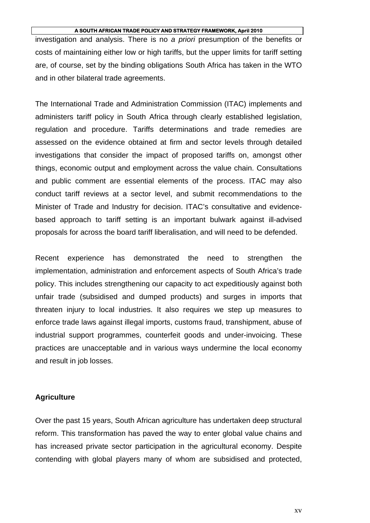investigation and analysis. There is no *a priori* presumption of the benefits or costs of maintaining either low or high tariffs, but the upper limits for tariff setting are, of course, set by the binding obligations South Africa has taken in the WTO and in other bilateral trade agreements.

The International Trade and Administration Commission (ITAC) implements and administers tariff policy in South Africa through clearly established legislation, regulation and procedure. Tariffs determinations and trade remedies are assessed on the evidence obtained at firm and sector levels through detailed investigations that consider the impact of proposed tariffs on, amongst other things, economic output and employment across the value chain. Consultations and public comment are essential elements of the process. ITAC may also conduct tariff reviews at a sector level, and submit recommendations to the Minister of Trade and Industry for decision. ITAC's consultative and evidencebased approach to tariff setting is an important bulwark against ill-advised proposals for across the board tariff liberalisation, and will need to be defended.

Recent experience has demonstrated the need to strengthen the implementation, administration and enforcement aspects of South Africa's trade policy. This includes strengthening our capacity to act expeditiously against both unfair trade (subsidised and dumped products) and surges in imports that threaten injury to local industries. It also requires we step up measures to enforce trade laws against illegal imports, customs fraud, transhipment, abuse of industrial support programmes, counterfeit goods and under-invoicing. These practices are unacceptable and in various ways undermine the local economy and result in job losses.

## **Agriculture**

Over the past 15 years, South African agriculture has undertaken deep structural reform. This transformation has paved the way to enter global value chains and has increased private sector participation in the agricultural economy. Despite contending with global players many of whom are subsidised and protected,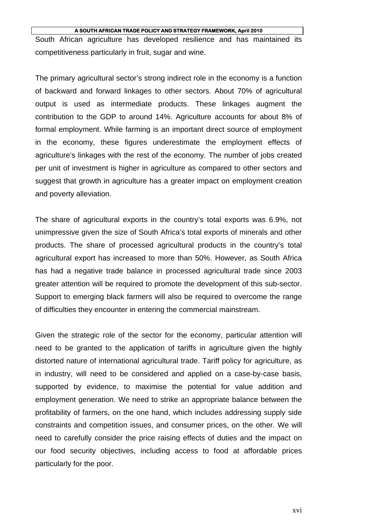South African agriculture has developed resilience and has maintained its competitiveness particularly in fruit, sugar and wine.

The primary agricultural sector's strong indirect role in the economy is a function of backward and forward linkages to other sectors. About 70% of agricultural output is used as intermediate products. These linkages augment the contribution to the GDP to around 14%. Agriculture accounts for about 8% of formal employment. While farming is an important direct source of employment in the economy, these figures underestimate the employment effects of agriculture's linkages with the rest of the economy. The number of jobs created per unit of investment is higher in agriculture as compared to other sectors and suggest that growth in agriculture has a greater impact on employment creation and poverty alleviation.

The share of agricultural exports in the country's total exports was 6.9%, not unimpressive given the size of South Africa's total exports of minerals and other products. The share of processed agricultural products in the country's total agricultural export has increased to more than 50%. However, as South Africa has had a negative trade balance in processed agricultural trade since 2003 greater attention will be required to promote the development of this sub-sector. Support to emerging black farmers will also be required to overcome the range of difficulties they encounter in entering the commercial mainstream.

Given the strategic role of the sector for the economy, particular attention will need to be granted to the application of tariffs in agriculture given the highly distorted nature of international agricultural trade. Tariff policy for agriculture, as in industry, will need to be considered and applied on a case-by-case basis, supported by evidence, to maximise the potential for value addition and employment generation. We need to strike an appropriate balance between the profitability of farmers, on the one hand, which includes addressing supply side constraints and competition issues, and consumer prices, on the other. We will need to carefully consider the price raising effects of duties and the impact on our food security objectives, including access to food at affordable prices particularly for the poor.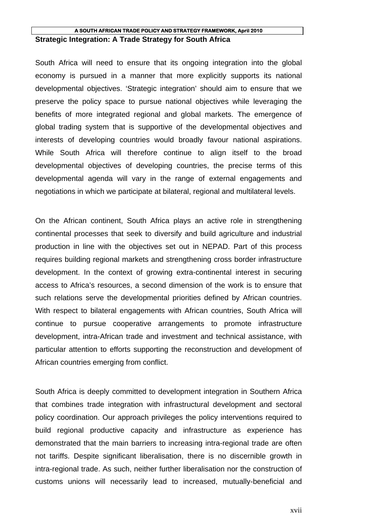## **A SOUTH AFRICAN TRADE POLICY AND STRATEGY FRAMEWORK, April 2010 Strategic Integration: A Trade Strategy for South Africa**

South Africa will need to ensure that its ongoing integration into the global economy is pursued in a manner that more explicitly supports its national developmental objectives. 'Strategic integration' should aim to ensure that we preserve the policy space to pursue national objectives while leveraging the benefits of more integrated regional and global markets. The emergence of global trading system that is supportive of the developmental objectives and interests of developing countries would broadly favour national aspirations. While South Africa will therefore continue to align itself to the broad developmental objectives of developing countries, the precise terms of this developmental agenda will vary in the range of external engagements and negotiations in which we participate at bilateral, regional and multilateral levels.

On the African continent, South Africa plays an active role in strengthening continental processes that seek to diversify and build agriculture and industrial production in line with the objectives set out in NEPAD. Part of this process requires building regional markets and strengthening cross border infrastructure development. In the context of growing extra-continental interest in securing access to Africa's resources, a second dimension of the work is to ensure that such relations serve the developmental priorities defined by African countries. With respect to bilateral engagements with African countries, South Africa will continue to pursue cooperative arrangements to promote infrastructure development, intra-African trade and investment and technical assistance, with particular attention to efforts supporting the reconstruction and development of African countries emerging from conflict.

South Africa is deeply committed to development integration in Southern Africa that combines trade integration with infrastructural development and sectoral policy coordination. Our approach privileges the policy interventions required to build regional productive capacity and infrastructure as experience has demonstrated that the main barriers to increasing intra-regional trade are often not tariffs. Despite significant liberalisation, there is no discernible growth in intra-regional trade. As such, neither further liberalisation nor the construction of customs unions will necessarily lead to increased, mutually-beneficial and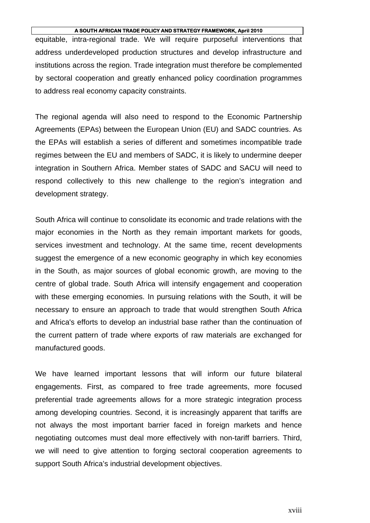equitable, intra-regional trade. We will require purposeful interventions that address underdeveloped production structures and develop infrastructure and institutions across the region. Trade integration must therefore be complemented by sectoral cooperation and greatly enhanced policy coordination programmes to address real economy capacity constraints.

The regional agenda will also need to respond to the Economic Partnership Agreements (EPAs) between the European Union (EU) and SADC countries. As the EPAs will establish a series of different and sometimes incompatible trade regimes between the EU and members of SADC, it is likely to undermine deeper integration in Southern Africa. Member states of SADC and SACU will need to respond collectively to this new challenge to the region's integration and development strategy.

South Africa will continue to consolidate its economic and trade relations with the major economies in the North as they remain important markets for goods, services investment and technology. At the same time, recent developments suggest the emergence of a new economic geography in which key economies in the South, as major sources of global economic growth, are moving to the centre of global trade. South Africa will intensify engagement and cooperation with these emerging economies. In pursuing relations with the South, it will be necessary to ensure an approach to trade that would strengthen South Africa and Africa's efforts to develop an industrial base rather than the continuation of the current pattern of trade where exports of raw materials are exchanged for manufactured goods.

We have learned important lessons that will inform our future bilateral engagements. First, as compared to free trade agreements, more focused preferential trade agreements allows for a more strategic integration process among developing countries. Second, it is increasingly apparent that tariffs are not always the most important barrier faced in foreign markets and hence negotiating outcomes must deal more effectively with non-tariff barriers. Third, we will need to give attention to forging sectoral cooperation agreements to support South Africa's industrial development objectives.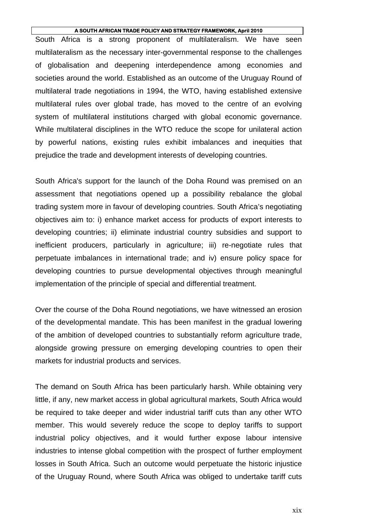South Africa is a strong proponent of multilateralism. We have seen multilateralism as the necessary inter-governmental response to the challenges of globalisation and deepening interdependence among economies and societies around the world. Established as an outcome of the Uruguay Round of multilateral trade negotiations in 1994, the WTO, having established extensive multilateral rules over global trade, has moved to the centre of an evolving system of multilateral institutions charged with global economic governance. While multilateral disciplines in the WTO reduce the scope for unilateral action by powerful nations, existing rules exhibit imbalances and inequities that prejudice the trade and development interests of developing countries.

South Africa's support for the launch of the Doha Round was premised on an assessment that negotiations opened up a possibility rebalance the global trading system more in favour of developing countries. South Africa's negotiating objectives aim to: i) enhance market access for products of export interests to developing countries; ii) eliminate industrial country subsidies and support to inefficient producers, particularly in agriculture; iii) re-negotiate rules that perpetuate imbalances in international trade; and iv) ensure policy space for developing countries to pursue developmental objectives through meaningful implementation of the principle of special and differential treatment.

Over the course of the Doha Round negotiations, we have witnessed an erosion of the developmental mandate. This has been manifest in the gradual lowering of the ambition of developed countries to substantially reform agriculture trade, alongside growing pressure on emerging developing countries to open their markets for industrial products and services.

The demand on South Africa has been particularly harsh. While obtaining very little, if any, new market access in global agricultural markets, South Africa would be required to take deeper and wider industrial tariff cuts than any other WTO member. This would severely reduce the scope to deploy tariffs to support industrial policy objectives, and it would further expose labour intensive industries to intense global competition with the prospect of further employment losses in South Africa. Such an outcome would perpetuate the historic injustice of the Uruguay Round, where South Africa was obliged to undertake tariff cuts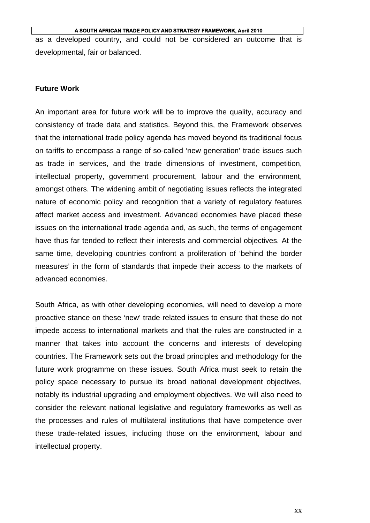as a developed country, and could not be considered an outcome that is developmental, fair or balanced.

## **Future Work**

An important area for future work will be to improve the quality, accuracy and consistency of trade data and statistics. Beyond this, the Framework observes that the international trade policy agenda has moved beyond its traditional focus on tariffs to encompass a range of so-called 'new generation' trade issues such as trade in services, and the trade dimensions of investment, competition, intellectual property, government procurement, labour and the environment, amongst others. The widening ambit of negotiating issues reflects the integrated nature of economic policy and recognition that a variety of regulatory features affect market access and investment. Advanced economies have placed these issues on the international trade agenda and, as such, the terms of engagement have thus far tended to reflect their interests and commercial objectives. At the same time, developing countries confront a proliferation of 'behind the border measures' in the form of standards that impede their access to the markets of advanced economies.

South Africa, as with other developing economies, will need to develop a more proactive stance on these 'new' trade related issues to ensure that these do not impede access to international markets and that the rules are constructed in a manner that takes into account the concerns and interests of developing countries. The Framework sets out the broad principles and methodology for the future work programme on these issues. South Africa must seek to retain the policy space necessary to pursue its broad national development objectives, notably its industrial upgrading and employment objectives. We will also need to consider the relevant national legislative and regulatory frameworks as well as the processes and rules of multilateral institutions that have competence over these trade-related issues, including those on the environment, labour and intellectual property.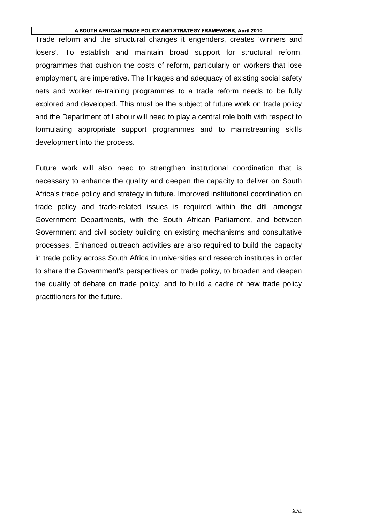Trade reform and the structural changes it engenders, creates 'winners and losers'. To establish and maintain broad support for structural reform, programmes that cushion the costs of reform, particularly on workers that lose employment, are imperative. The linkages and adequacy of existing social safety nets and worker re-training programmes to a trade reform needs to be fully explored and developed. This must be the subject of future work on trade policy and the Department of Labour will need to play a central role both with respect to formulating appropriate support programmes and to mainstreaming skills development into the process.

Future work will also need to strengthen institutional coordination that is necessary to enhance the quality and deepen the capacity to deliver on South Africa's trade policy and strategy in future. Improved institutional coordination on trade policy and trade-related issues is required within **the dti**, amongst Government Departments, with the South African Parliament, and between Government and civil society building on existing mechanisms and consultative processes. Enhanced outreach activities are also required to build the capacity in trade policy across South Africa in universities and research institutes in order to share the Government's perspectives on trade policy, to broaden and deepen the quality of debate on trade policy, and to build a cadre of new trade policy practitioners for the future.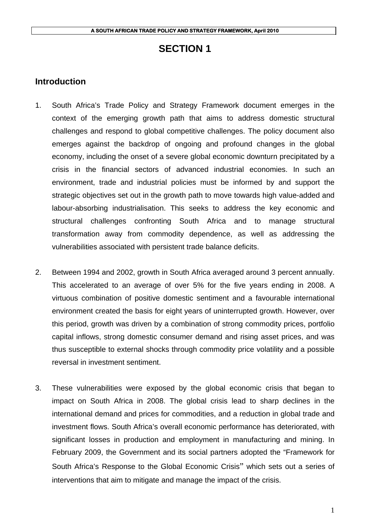## **SECTION 1**

## **Introduction**

- 1. South Africa's Trade Policy and Strategy Framework document emerges in the context of the emerging growth path that aims to address domestic structural challenges and respond to global competitive challenges. The policy document also emerges against the backdrop of ongoing and profound changes in the global economy, including the onset of a severe global economic downturn precipitated by a crisis in the financial sectors of advanced industrial economies. In such an environment, trade and industrial policies must be informed by and support the strategic objectives set out in the growth path to move towards high value-added and labour-absorbing industrialisation. This seeks to address the key economic and structural challenges confronting South Africa and to manage structural transformation away from commodity dependence, as well as addressing the vulnerabilities associated with persistent trade balance deficits.
- 2. Between 1994 and 2002, growth in South Africa averaged around 3 percent annually. This accelerated to an average of over 5% for the five years ending in 2008. A virtuous combination of positive domestic sentiment and a favourable international environment created the basis for eight years of uninterrupted growth. However, over this period, growth was driven by a combination of strong commodity prices, portfolio capital inflows, strong domestic consumer demand and rising asset prices, and was thus susceptible to external shocks through commodity price volatility and a possible reversal in investment sentiment.
- 3. These vulnerabilities were exposed by the global economic crisis that began to impact on South Africa in 2008. The global crisis lead to sharp declines in the international demand and prices for commodities, and a reduction in global trade and investment flows. South Africa's overall economic performance has deteriorated, with significant losses in production and employment in manufacturing and mining. In February 2009, the Government and its social partners adopted the "Framework for South Africa's Response to the Global Economic Crisis" which sets out a series of interventions that aim to mitigate and manage the impact of the crisis.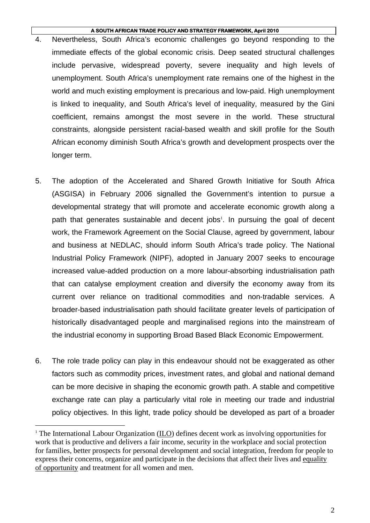- 4. Nevertheless, South Africa's economic challenges go beyond responding to the immediate effects of the global economic crisis. Deep seated structural challenges include pervasive, widespread poverty, severe inequality and high levels of unemployment. South Africa's unemployment rate remains one of the highest in the world and much existing employment is precarious and low-paid. High unemployment is linked to inequality, and South Africa's level of inequality, measured by the Gini coefficient, remains amongst the most severe in the world. These structural constraints, alongside persistent racial-based wealth and skill profile for the South African economy diminish South Africa's growth and development prospects over the longer term.
- 5. The adoption of the Accelerated and Shared Growth Initiative for South Africa (ASGISA) in February 2006 signalled the Government's intention to pursue a developmental strategy that will promote and accelerate economic growth along a path that generates sustainable and decent jobs<sup>1</sup>. In pursuing the goal of decent work, the Framework Agreement on the Social Clause, agreed by government, labour and business at NEDLAC, should inform South Africa's trade policy. The National Industrial Policy Framework (NIPF), adopted in January 2007 seeks to encourage increased value-added production on a more labour-absorbing industrialisation path that can catalyse employment creation and diversify the economy away from its current over reliance on traditional commodities and non-tradable services. A broader-based industrialisation path should facilitate greater levels of participation of historically disadvantaged people and marginalised regions into the mainstream of the industrial economy in supporting Broad Based Black Economic Empowerment.
- 6. The role trade policy can play in this endeavour should not be exaggerated as other factors such as commodity prices, investment rates, and global and national demand can be more decisive in shaping the economic growth path. A stable and competitive exchange rate can play a particularly vital role in meeting our trade and industrial policy objectives. In this light, trade policy should be developed as part of a broader

 $\overline{a}$ 

<sup>&</sup>lt;sup>1</sup> The International Labour Organization ( $\underline{ILO}$ ) defines decent work as involving opportunities for work that is productive and delivers a fair income, security in the workplace and social protection for families, better prospects for personal development and social integration, freedom for people to express their concerns, organize and participate in the decisions that affect their lives and equality of opportunity and treatment for all women and men.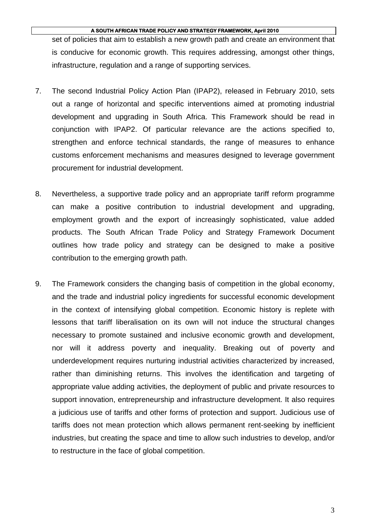set of policies that aim to establish a new growth path and create an environment that is conducive for economic growth. This requires addressing, amongst other things, infrastructure, regulation and a range of supporting services.

- 7. The second Industrial Policy Action Plan (IPAP2), released in February 2010, sets out a range of horizontal and specific interventions aimed at promoting industrial development and upgrading in South Africa. This Framework should be read in conjunction with IPAP2. Of particular relevance are the actions specified to, strengthen and enforce technical standards, the range of measures to enhance customs enforcement mechanisms and measures designed to leverage government procurement for industrial development.
- 8. Nevertheless, a supportive trade policy and an appropriate tariff reform programme can make a positive contribution to industrial development and upgrading, employment growth and the export of increasingly sophisticated, value added products. The South African Trade Policy and Strategy Framework Document outlines how trade policy and strategy can be designed to make a positive contribution to the emerging growth path.
- 9. The Framework considers the changing basis of competition in the global economy, and the trade and industrial policy ingredients for successful economic development in the context of intensifying global competition. Economic history is replete with lessons that tariff liberalisation on its own will not induce the structural changes necessary to promote sustained and inclusive economic growth and development, nor will it address poverty and inequality. Breaking out of poverty and underdevelopment requires nurturing industrial activities characterized by increased, rather than diminishing returns. This involves the identification and targeting of appropriate value adding activities, the deployment of public and private resources to support innovation, entrepreneurship and infrastructure development. It also requires a judicious use of tariffs and other forms of protection and support. Judicious use of tariffs does not mean protection which allows permanent rent-seeking by inefficient industries, but creating the space and time to allow such industries to develop, and/or to restructure in the face of global competition.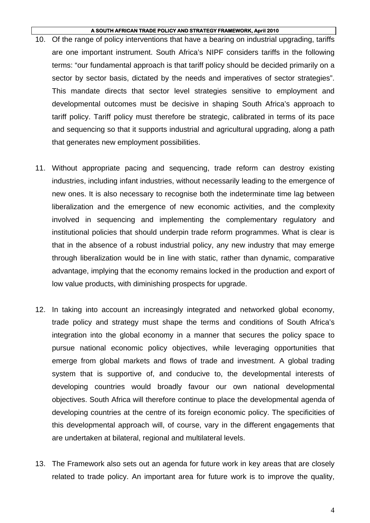- 10. Of the range of policy interventions that have a bearing on industrial upgrading, tariffs are one important instrument. South Africa's NIPF considers tariffs in the following terms: "our fundamental approach is that tariff policy should be decided primarily on a sector by sector basis, dictated by the needs and imperatives of sector strategies". This mandate directs that sector level strategies sensitive to employment and developmental outcomes must be decisive in shaping South Africa's approach to tariff policy. Tariff policy must therefore be strategic, calibrated in terms of its pace and sequencing so that it supports industrial and agricultural upgrading, along a path that generates new employment possibilities.
- 11. Without appropriate pacing and sequencing, trade reform can destroy existing industries, including infant industries, without necessarily leading to the emergence of new ones. It is also necessary to recognise both the indeterminate time lag between liberalization and the emergence of new economic activities, and the complexity involved in sequencing and implementing the complementary regulatory and institutional policies that should underpin trade reform programmes. What is clear is that in the absence of a robust industrial policy, any new industry that may emerge through liberalization would be in line with static, rather than dynamic, comparative advantage, implying that the economy remains locked in the production and export of low value products, with diminishing prospects for upgrade.
- 12. In taking into account an increasingly integrated and networked global economy, trade policy and strategy must shape the terms and conditions of South Africa's integration into the global economy in a manner that secures the policy space to pursue national economic policy objectives, while leveraging opportunities that emerge from global markets and flows of trade and investment. A global trading system that is supportive of, and conducive to, the developmental interests of developing countries would broadly favour our own national developmental objectives. South Africa will therefore continue to place the developmental agenda of developing countries at the centre of its foreign economic policy. The specificities of this developmental approach will, of course, vary in the different engagements that are undertaken at bilateral, regional and multilateral levels.
- 13. The Framework also sets out an agenda for future work in key areas that are closely related to trade policy. An important area for future work is to improve the quality,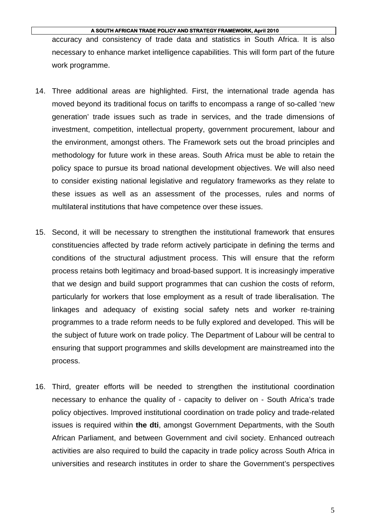accuracy and consistency of trade data and statistics in South Africa. It is also necessary to enhance market intelligence capabilities. This will form part of the future work programme.

- 14. Three additional areas are highlighted. First, the international trade agenda has moved beyond its traditional focus on tariffs to encompass a range of so-called 'new generation' trade issues such as trade in services, and the trade dimensions of investment, competition, intellectual property, government procurement, labour and the environment, amongst others. The Framework sets out the broad principles and methodology for future work in these areas. South Africa must be able to retain the policy space to pursue its broad national development objectives. We will also need to consider existing national legislative and regulatory frameworks as they relate to these issues as well as an assessment of the processes, rules and norms of multilateral institutions that have competence over these issues.
- 15. Second, it will be necessary to strengthen the institutional framework that ensures constituencies affected by trade reform actively participate in defining the terms and conditions of the structural adjustment process. This will ensure that the reform process retains both legitimacy and broad-based support. It is increasingly imperative that we design and build support programmes that can cushion the costs of reform, particularly for workers that lose employment as a result of trade liberalisation. The linkages and adequacy of existing social safety nets and worker re-training programmes to a trade reform needs to be fully explored and developed. This will be the subject of future work on trade policy. The Department of Labour will be central to ensuring that support programmes and skills development are mainstreamed into the process.
- 16. Third, greater efforts will be needed to strengthen the institutional coordination necessary to enhance the quality of - capacity to deliver on - South Africa's trade policy objectives. Improved institutional coordination on trade policy and trade-related issues is required within **the dti**, amongst Government Departments, with the South African Parliament, and between Government and civil society. Enhanced outreach activities are also required to build the capacity in trade policy across South Africa in universities and research institutes in order to share the Government's perspectives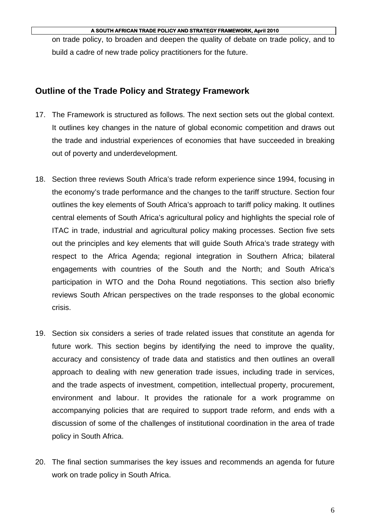on trade policy, to broaden and deepen the quality of debate on trade policy, and to build a cadre of new trade policy practitioners for the future.

## **Outline of the Trade Policy and Strategy Framework**

- 17. The Framework is structured as follows. The next section sets out the global context. It outlines key changes in the nature of global economic competition and draws out the trade and industrial experiences of economies that have succeeded in breaking out of poverty and underdevelopment.
- 18. Section three reviews South Africa's trade reform experience since 1994, focusing in the economy's trade performance and the changes to the tariff structure. Section four outlines the key elements of South Africa's approach to tariff policy making. It outlines central elements of South Africa's agricultural policy and highlights the special role of ITAC in trade, industrial and agricultural policy making processes. Section five sets out the principles and key elements that will guide South Africa's trade strategy with respect to the Africa Agenda; regional integration in Southern Africa; bilateral engagements with countries of the South and the North; and South Africa's participation in WTO and the Doha Round negotiations. This section also briefly reviews South African perspectives on the trade responses to the global economic crisis.
- 19. Section six considers a series of trade related issues that constitute an agenda for future work. This section begins by identifying the need to improve the quality, accuracy and consistency of trade data and statistics and then outlines an overall approach to dealing with new generation trade issues, including trade in services, and the trade aspects of investment, competition, intellectual property, procurement, environment and labour. It provides the rationale for a work programme on accompanying policies that are required to support trade reform, and ends with a discussion of some of the challenges of institutional coordination in the area of trade policy in South Africa.
- 20. The final section summarises the key issues and recommends an agenda for future work on trade policy in South Africa.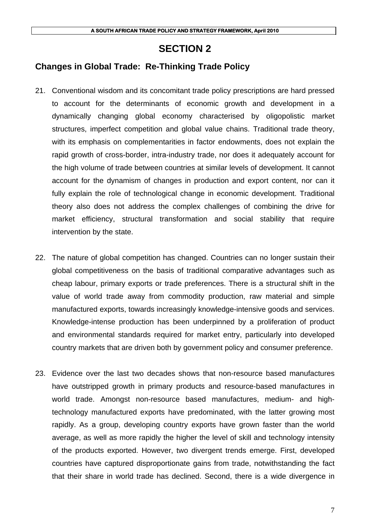## **SECTION 2**

## **Changes in Global Trade: Re-Thinking Trade Policy**

- 21. Conventional wisdom and its concomitant trade policy prescriptions are hard pressed to account for the determinants of economic growth and development in a dynamically changing global economy characterised by oligopolistic market structures, imperfect competition and global value chains. Traditional trade theory, with its emphasis on complementarities in factor endowments, does not explain the rapid growth of cross-border, intra-industry trade, nor does it adequately account for the high volume of trade between countries at similar levels of development. It cannot account for the dynamism of changes in production and export content, nor can it fully explain the role of technological change in economic development. Traditional theory also does not address the complex challenges of combining the drive for market efficiency, structural transformation and social stability that require intervention by the state.
- 22. The nature of global competition has changed. Countries can no longer sustain their global competitiveness on the basis of traditional comparative advantages such as cheap labour, primary exports or trade preferences. There is a structural shift in the value of world trade away from commodity production, raw material and simple manufactured exports, towards increasingly knowledge-intensive goods and services. Knowledge-intense production has been underpinned by a proliferation of product and environmental standards required for market entry, particularly into developed country markets that are driven both by government policy and consumer preference.
- 23. Evidence over the last two decades shows that non-resource based manufactures have outstripped growth in primary products and resource-based manufactures in world trade. Amongst non-resource based manufactures, medium- and hightechnology manufactured exports have predominated, with the latter growing most rapidly. As a group, developing country exports have grown faster than the world average, as well as more rapidly the higher the level of skill and technology intensity of the products exported. However, two divergent trends emerge. First, developed countries have captured disproportionate gains from trade, notwithstanding the fact that their share in world trade has declined. Second, there is a wide divergence in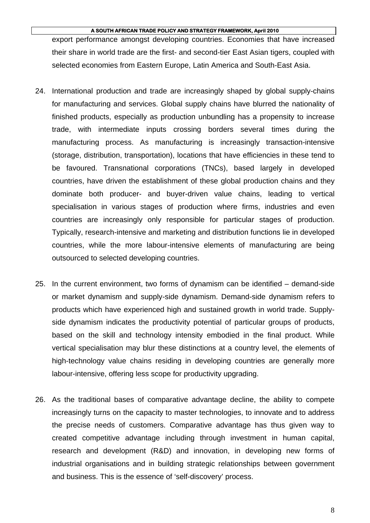export performance amongst developing countries. Economies that have increased their share in world trade are the first- and second-tier East Asian tigers, coupled with selected economies from Eastern Europe, Latin America and South-East Asia.

- 24. International production and trade are increasingly shaped by global supply-chains for manufacturing and services. Global supply chains have blurred the nationality of finished products, especially as production unbundling has a propensity to increase trade, with intermediate inputs crossing borders several times during the manufacturing process. As manufacturing is increasingly transaction-intensive (storage, distribution, transportation), locations that have efficiencies in these tend to be favoured. Transnational corporations (TNCs), based largely in developed countries, have driven the establishment of these global production chains and they dominate both producer- and buyer-driven value chains, leading to vertical specialisation in various stages of production where firms, industries and even countries are increasingly only responsible for particular stages of production. Typically, research-intensive and marketing and distribution functions lie in developed countries, while the more labour-intensive elements of manufacturing are being outsourced to selected developing countries.
- 25. In the current environment, two forms of dynamism can be identified demand-side or market dynamism and supply-side dynamism. Demand-side dynamism refers to products which have experienced high and sustained growth in world trade. Supplyside dynamism indicates the productivity potential of particular groups of products, based on the skill and technology intensity embodied in the final product. While vertical specialisation may blur these distinctions at a country level, the elements of high-technology value chains residing in developing countries are generally more labour-intensive, offering less scope for productivity upgrading.
- 26. As the traditional bases of comparative advantage decline, the ability to compete increasingly turns on the capacity to master technologies, to innovate and to address the precise needs of customers. Comparative advantage has thus given way to created competitive advantage including through investment in human capital, research and development (R&D) and innovation, in developing new forms of industrial organisations and in building strategic relationships between government and business. This is the essence of 'self-discovery' process.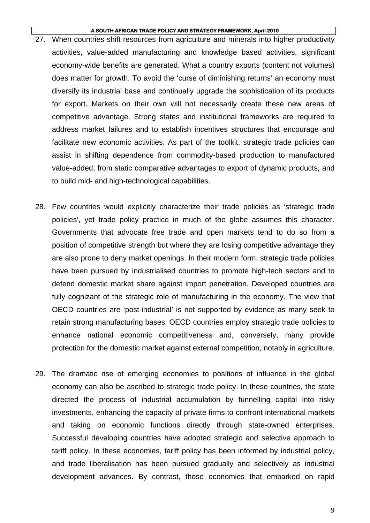- 27. When countries shift resources from agriculture and minerals into higher productivity activities, value-added manufacturing and knowledge based activities, significant economy-wide benefits are generated. What a country exports (content not volumes) does matter for growth. To avoid the 'curse of diminishing returns' an economy must diversify its industrial base and continually upgrade the sophistication of its products for export. Markets on their own will not necessarily create these new areas of competitive advantage. Strong states and institutional frameworks are required to address market failures and to establish incentives structures that encourage and facilitate new economic activities. As part of the toolkit, strategic trade policies can assist in shifting dependence from commodity-based production to manufactured value-added, from static comparative advantages to export of dynamic products, and to build mid- and high-technological capabilities.
- 28. Few countries would explicitly characterize their trade policies as 'strategic trade policies', yet trade policy practice in much of the globe assumes this character. Governments that advocate free trade and open markets tend to do so from a position of competitive strength but where they are losing competitive advantage they are also prone to deny market openings. In their modern form, strategic trade policies have been pursued by industrialised countries to promote high-tech sectors and to defend domestic market share against import penetration. Developed countries are fully cognizant of the strategic role of manufacturing in the economy. The view that OECD countries are 'post-industrial' is not supported by evidence as many seek to retain strong manufacturing bases. OECD countries employ strategic trade policies to enhance national economic competitiveness and, conversely, many provide protection for the domestic market against external competition, notably in agriculture.
- 29. The dramatic rise of emerging economies to positions of influence in the global economy can also be ascribed to strategic trade policy. In these countries, the state directed the process of industrial accumulation by funnelling capital into risky investments, enhancing the capacity of private firms to confront international markets and taking on economic functions directly through state-owned enterprises. Successful developing countries have adopted strategic and selective approach to tariff policy. In these economies, tariff policy has been informed by industrial policy, and trade liberalisation has been pursued gradually and selectively as industrial development advances. By contrast, those economies that embarked on rapid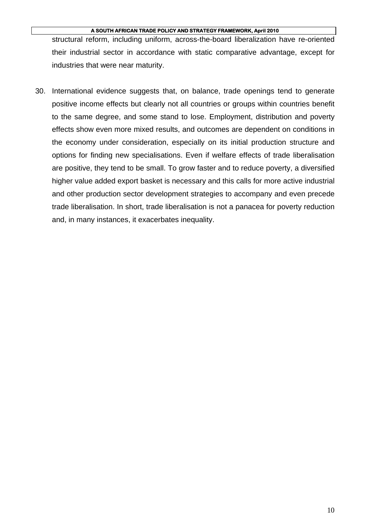structural reform, including uniform, across-the-board liberalization have re-oriented their industrial sector in accordance with static comparative advantage, except for industries that were near maturity.

30. International evidence suggests that, on balance, trade openings tend to generate positive income effects but clearly not all countries or groups within countries benefit to the same degree, and some stand to lose. Employment, distribution and poverty effects show even more mixed results, and outcomes are dependent on conditions in the economy under consideration, especially on its initial production structure and options for finding new specialisations. Even if welfare effects of trade liberalisation are positive, they tend to be small. To grow faster and to reduce poverty, a diversified higher value added export basket is necessary and this calls for more active industrial and other production sector development strategies to accompany and even precede trade liberalisation. In short, trade liberalisation is not a panacea for poverty reduction and, in many instances, it exacerbates inequality.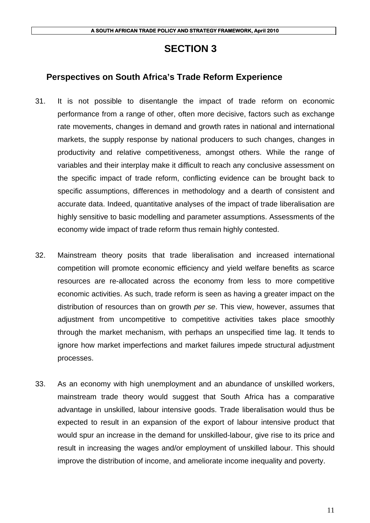## **SECTION 3**

## **Perspectives on South Africa's Trade Reform Experience**

- 31. It is not possible to disentangle the impact of trade reform on economic performance from a range of other, often more decisive, factors such as exchange rate movements, changes in demand and growth rates in national and international markets, the supply response by national producers to such changes, changes in productivity and relative competitiveness, amongst others. While the range of variables and their interplay make it difficult to reach any conclusive assessment on the specific impact of trade reform, conflicting evidence can be brought back to specific assumptions, differences in methodology and a dearth of consistent and accurate data. Indeed, quantitative analyses of the impact of trade liberalisation are highly sensitive to basic modelling and parameter assumptions. Assessments of the economy wide impact of trade reform thus remain highly contested.
- 32. Mainstream theory posits that trade liberalisation and increased international competition will promote economic efficiency and yield welfare benefits as scarce resources are re-allocated across the economy from less to more competitive economic activities. As such, trade reform is seen as having a greater impact on the distribution of resources than on growth *per se*. This view, however, assumes that adjustment from uncompetitive to competitive activities takes place smoothly through the market mechanism, with perhaps an unspecified time lag. It tends to ignore how market imperfections and market failures impede structural adjustment processes.
- 33. As an economy with high unemployment and an abundance of unskilled workers, mainstream trade theory would suggest that South Africa has a comparative advantage in unskilled, labour intensive goods. Trade liberalisation would thus be expected to result in an expansion of the export of labour intensive product that would spur an increase in the demand for unskilled-labour, give rise to its price and result in increasing the wages and/or employment of unskilled labour. This should improve the distribution of income, and ameliorate income inequality and poverty.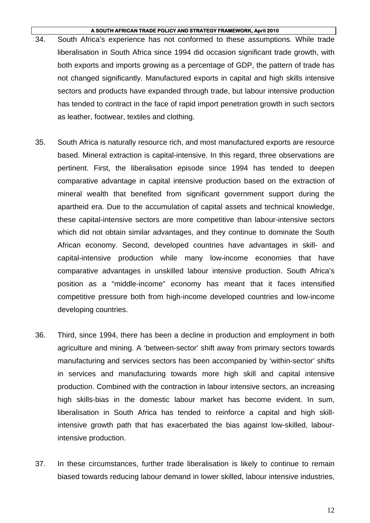- 34. South Africa's experience has not conformed to these assumptions. While trade liberalisation in South Africa since 1994 did occasion significant trade growth, with both exports and imports growing as a percentage of GDP, the pattern of trade has not changed significantly. Manufactured exports in capital and high skills intensive sectors and products have expanded through trade, but labour intensive production has tended to contract in the face of rapid import penetration growth in such sectors as leather, footwear, textiles and clothing.
- 35. South Africa is naturally resource rich, and most manufactured exports are resource based. Mineral extraction is capital-intensive. In this regard, three observations are pertinent. First, the liberalisation episode since 1994 has tended to deepen comparative advantage in capital intensive production based on the extraction of mineral wealth that benefited from significant government support during the apartheid era. Due to the accumulation of capital assets and technical knowledge, these capital-intensive sectors are more competitive than labour-intensive sectors which did not obtain similar advantages, and they continue to dominate the South African economy. Second, developed countries have advantages in skill- and capital-intensive production while many low-income economies that have comparative advantages in unskilled labour intensive production. South Africa's position as a "middle-income" economy has meant that it faces intensified competitive pressure both from high-income developed countries and low-income developing countries.
- 36. Third, since 1994, there has been a decline in production and employment in both agriculture and mining. A 'between-sector' shift away from primary sectors towards manufacturing and services sectors has been accompanied by 'within-sector' shifts in services and manufacturing towards more high skill and capital intensive production. Combined with the contraction in labour intensive sectors, an increasing high skills-bias in the domestic labour market has become evident. In sum, liberalisation in South Africa has tended to reinforce a capital and high skillintensive growth path that has exacerbated the bias against low-skilled, labourintensive production.
- 37. In these circumstances, further trade liberalisation is likely to continue to remain biased towards reducing labour demand in lower skilled, labour intensive industries,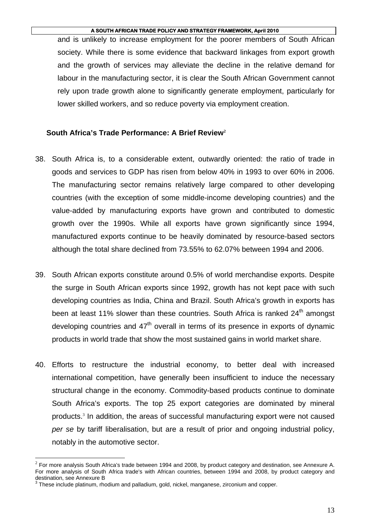and is unlikely to increase employment for the poorer members of South African society. While there is some evidence that backward linkages from export growth and the growth of services may alleviate the decline in the relative demand for labour in the manufacturing sector, it is clear the South African Government cannot rely upon trade growth alone to significantly generate employment, particularly for lower skilled workers, and so reduce poverty via employment creation.

## **South Africa's Trade Performance: A Brief Review<sup>2</sup>**

- 38. South Africa is, to a considerable extent, outwardly oriented: the ratio of trade in goods and services to GDP has risen from below 40% in 1993 to over 60% in 2006. The manufacturing sector remains relatively large compared to other developing countries (with the exception of some middle-income developing countries) and the value-added by manufacturing exports have grown and contributed to domestic growth over the 1990s. While all exports have grown significantly since 1994, manufactured exports continue to be heavily dominated by resource-based sectors although the total share declined from 73.55% to 62.07% between 1994 and 2006.
- 39. South African exports constitute around 0.5% of world merchandise exports. Despite the surge in South African exports since 1992, growth has not kept pace with such developing countries as India, China and Brazil. South Africa's growth in exports has been at least 11% slower than these countries. South Africa is ranked  $24<sup>th</sup>$  amongst developing countries and  $47<sup>th</sup>$  overall in terms of its presence in exports of dynamic products in world trade that show the most sustained gains in world market share.
- 40. Efforts to restructure the industrial economy, to better deal with increased international competition, have generally been insufficient to induce the necessary structural change in the economy. Commodity-based products continue to dominate South Africa's exports. The top 25 export categories are dominated by mineral products.<sup>3</sup> In addition, the areas of successful manufacturing export were not caused *per se* by tariff liberalisation, but are a result of prior and ongoing industrial policy, notably in the automotive sector.

 $\overline{a}$ 

 $2$  For more analysis South Africa's trade between 1994 and 2008, by product category and destination, see Annexure A. For more analysis of South Africa trade's with African countries, between 1994 and 2008, by product category and destination, see Annexure B<br><sup>3</sup> These include platinum, rhodium and palladium, gold, nickel, manganese, zirconium and copper.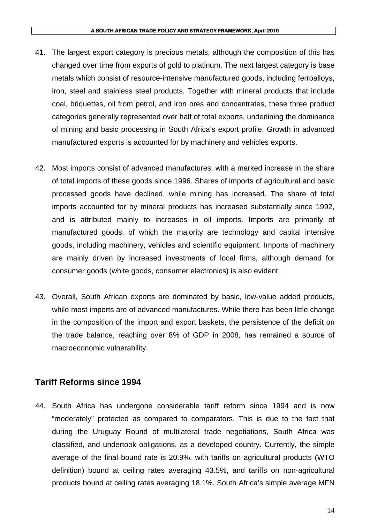- 41. The largest export category is precious metals, although the composition of this has changed over time from exports of gold to platinum. The next largest category is base metals which consist of resource-intensive manufactured goods, including ferroalloys, iron, steel and stainless steel products. Together with mineral products that include coal, briquettes, oil from petrol, and iron ores and concentrates, these three product categories generally represented over half of total exports, underlining the dominance of mining and basic processing in South Africa's export profile. Growth in advanced manufactured exports is accounted for by machinery and vehicles exports.
- 42. Most imports consist of advanced manufactures, with a marked increase in the share of total imports of these goods since 1996. Shares of imports of agricultural and basic processed goods have declined, while mining has increased. The share of total imports accounted for by mineral products has increased substantially since 1992, and is attributed mainly to increases in oil imports. Imports are primarily of manufactured goods, of which the majority are technology and capital intensive goods, including machinery, vehicles and scientific equipment. Imports of machinery are mainly driven by increased investments of local firms, although demand for consumer goods (white goods, consumer electronics) is also evident.
- 43. Overall, South African exports are dominated by basic, low-value added products, while most imports are of advanced manufactures. While there has been little change in the composition of the import and export baskets, the persistence of the deficit on the trade balance, reaching over 8% of GDP in 2008, has remained a source of macroeconomic vulnerability.

## **Tariff Reforms since 1994**

44. South Africa has undergone considerable tariff reform since 1994 and is now "moderately" protected as compared to comparators. This is due to the fact that during the Uruguay Round of multilateral trade negotiations, South Africa was classified, and undertook obligations, as a developed country. Currently, the simple average of the final bound rate is 20.9%, with tariffs on agricultural products (WTO definition) bound at ceiling rates averaging 43.5%, and tariffs on non-agricultural products bound at ceiling rates averaging 18.1%. South Africa's simple average MFN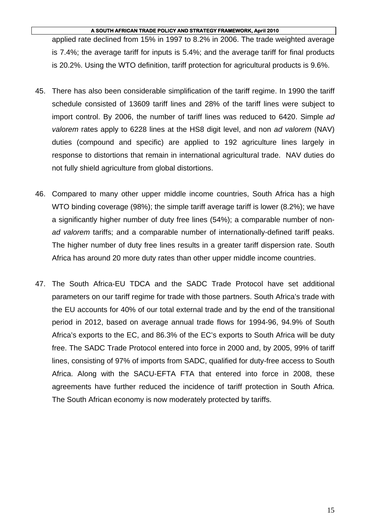applied rate declined from 15% in 1997 to 8.2% in 2006. The trade weighted average is 7.4%; the average tariff for inputs is 5.4%; and the average tariff for final products is 20.2%. Using the WTO definition, tariff protection for agricultural products is 9.6%.

- 45. There has also been considerable simplification of the tariff regime. In 1990 the tariff schedule consisted of 13609 tariff lines and 28% of the tariff lines were subject to import control. By 2006, the number of tariff lines was reduced to 6420. Simple *ad valorem* rates apply to 6228 lines at the HS8 digit level, and non *ad valorem* (NAV) duties (compound and specific) are applied to 192 agriculture lines largely in response to distortions that remain in international agricultural trade. NAV duties do not fully shield agriculture from global distortions.
- 46. Compared to many other upper middle income countries, South Africa has a high WTO binding coverage (98%); the simple tariff average tariff is lower (8.2%); we have a significantly higher number of duty free lines (54%); a comparable number of non*ad valorem* tariffs; and a comparable number of internationally-defined tariff peaks. The higher number of duty free lines results in a greater tariff dispersion rate. South Africa has around 20 more duty rates than other upper middle income countries.
- 47. The South Africa-EU TDCA and the SADC Trade Protocol have set additional parameters on our tariff regime for trade with those partners. South Africa's trade with the EU accounts for 40% of our total external trade and by the end of the transitional period in 2012, based on average annual trade flows for 1994-96, 94.9% of South Africa's exports to the EC, and 86.3% of the EC's exports to South Africa will be duty free. The SADC Trade Protocol entered into force in 2000 and, by 2005, 99% of tariff lines, consisting of 97% of imports from SADC, qualified for duty-free access to South Africa. Along with the SACU-EFTA FTA that entered into force in 2008, these agreements have further reduced the incidence of tariff protection in South Africa. The South African economy is now moderately protected by tariffs.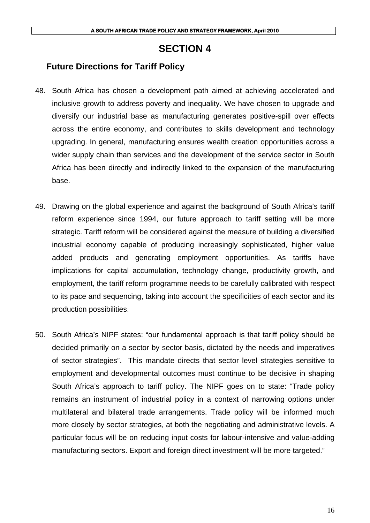# **SECTION 4**

# **Future Directions for Tariff Policy**

- 48. South Africa has chosen a development path aimed at achieving accelerated and inclusive growth to address poverty and inequality. We have chosen to upgrade and diversify our industrial base as manufacturing generates positive-spill over effects across the entire economy, and contributes to skills development and technology upgrading. In general, manufacturing ensures wealth creation opportunities across a wider supply chain than services and the development of the service sector in South Africa has been directly and indirectly linked to the expansion of the manufacturing base.
- 49. Drawing on the global experience and against the background of South Africa's tariff reform experience since 1994, our future approach to tariff setting will be more strategic. Tariff reform will be considered against the measure of building a diversified industrial economy capable of producing increasingly sophisticated, higher value added products and generating employment opportunities. As tariffs have implications for capital accumulation, technology change, productivity growth, and employment, the tariff reform programme needs to be carefully calibrated with respect to its pace and sequencing, taking into account the specificities of each sector and its production possibilities.
- 50. South Africa's NIPF states: "our fundamental approach is that tariff policy should be decided primarily on a sector by sector basis, dictated by the needs and imperatives of sector strategies". This mandate directs that sector level strategies sensitive to employment and developmental outcomes must continue to be decisive in shaping South Africa's approach to tariff policy. The NIPF goes on to state: "Trade policy remains an instrument of industrial policy in a context of narrowing options under multilateral and bilateral trade arrangements. Trade policy will be informed much more closely by sector strategies, at both the negotiating and administrative levels. A particular focus will be on reducing input costs for labour-intensive and value-adding manufacturing sectors. Export and foreign direct investment will be more targeted."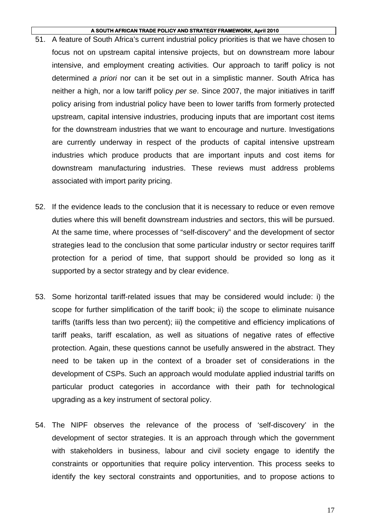- 51. A feature of South Africa's current industrial policy priorities is that we have chosen to focus not on upstream capital intensive projects, but on downstream more labour intensive, and employment creating activities. Our approach to tariff policy is not determined *a priori* nor can it be set out in a simplistic manner. South Africa has neither a high, nor a low tariff policy *per se*. Since 2007, the major initiatives in tariff policy arising from industrial policy have been to lower tariffs from formerly protected upstream, capital intensive industries, producing inputs that are important cost items for the downstream industries that we want to encourage and nurture. Investigations are currently underway in respect of the products of capital intensive upstream industries which produce products that are important inputs and cost items for downstream manufacturing industries. These reviews must address problems associated with import parity pricing.
- 52. If the evidence leads to the conclusion that it is necessary to reduce or even remove duties where this will benefit downstream industries and sectors, this will be pursued. At the same time, where processes of "self-discovery" and the development of sector strategies lead to the conclusion that some particular industry or sector requires tariff protection for a period of time, that support should be provided so long as it supported by a sector strategy and by clear evidence.
- 53. Some horizontal tariff-related issues that may be considered would include: i) the scope for further simplification of the tariff book; ii) the scope to eliminate nuisance tariffs (tariffs less than two percent); iii) the competitive and efficiency implications of tariff peaks, tariff escalation, as well as situations of negative rates of effective protection. Again, these questions cannot be usefully answered in the abstract. They need to be taken up in the context of a broader set of considerations in the development of CSPs. Such an approach would modulate applied industrial tariffs on particular product categories in accordance with their path for technological upgrading as a key instrument of sectoral policy.
- 54. The NIPF observes the relevance of the process of 'self-discovery' in the development of sector strategies. It is an approach through which the government with stakeholders in business, labour and civil society engage to identify the constraints or opportunities that require policy intervention. This process seeks to identify the key sectoral constraints and opportunities, and to propose actions to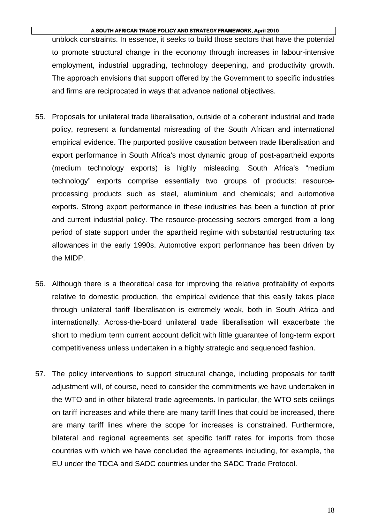unblock constraints. In essence, it seeks to build those sectors that have the potential to promote structural change in the economy through increases in labour-intensive employment, industrial upgrading, technology deepening, and productivity growth. The approach envisions that support offered by the Government to specific industries and firms are reciprocated in ways that advance national objectives.

- 55. Proposals for unilateral trade liberalisation, outside of a coherent industrial and trade policy, represent a fundamental misreading of the South African and international empirical evidence. The purported positive causation between trade liberalisation and export performance in South Africa's most dynamic group of post-apartheid exports (medium technology exports) is highly misleading. South Africa's "medium technology" exports comprise essentially two groups of products: resourceprocessing products such as steel, aluminium and chemicals; and automotive exports. Strong export performance in these industries has been a function of prior and current industrial policy. The resource-processing sectors emerged from a long period of state support under the apartheid regime with substantial restructuring tax allowances in the early 1990s. Automotive export performance has been driven by the MIDP.
- 56. Although there is a theoretical case for improving the relative profitability of exports relative to domestic production, the empirical evidence that this easily takes place through unilateral tariff liberalisation is extremely weak, both in South Africa and internationally. Across-the-board unilateral trade liberalisation will exacerbate the short to medium term current account deficit with little guarantee of long-term export competitiveness unless undertaken in a highly strategic and sequenced fashion.
- 57. The policy interventions to support structural change, including proposals for tariff adjustment will, of course, need to consider the commitments we have undertaken in the WTO and in other bilateral trade agreements. In particular, the WTO sets ceilings on tariff increases and while there are many tariff lines that could be increased, there are many tariff lines where the scope for increases is constrained. Furthermore, bilateral and regional agreements set specific tariff rates for imports from those countries with which we have concluded the agreements including, for example, the EU under the TDCA and SADC countries under the SADC Trade Protocol.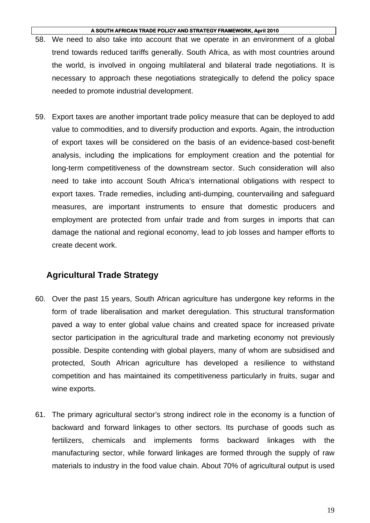- 58. We need to also take into account that we operate in an environment of a global trend towards reduced tariffs generally. South Africa, as with most countries around the world, is involved in ongoing multilateral and bilateral trade negotiations. It is necessary to approach these negotiations strategically to defend the policy space needed to promote industrial development.
- 59. Export taxes are another important trade policy measure that can be deployed to add value to commodities, and to diversify production and exports. Again, the introduction of export taxes will be considered on the basis of an evidence-based cost-benefit analysis, including the implications for employment creation and the potential for long-term competitiveness of the downstream sector. Such consideration will also need to take into account South Africa's international obligations with respect to export taxes. Trade remedies, including anti-dumping, countervailing and safeguard measures, are important instruments to ensure that domestic producers and employment are protected from unfair trade and from surges in imports that can damage the national and regional economy, lead to job losses and hamper efforts to create decent work.

# **Agricultural Trade Strategy**

- 60. Over the past 15 years, South African agriculture has undergone key reforms in the form of trade liberalisation and market deregulation. This structural transformation paved a way to enter global value chains and created space for increased private sector participation in the agricultural trade and marketing economy not previously possible. Despite contending with global players, many of whom are subsidised and protected, South African agriculture has developed a resilience to withstand competition and has maintained its competitiveness particularly in fruits, sugar and wine exports.
- 61. The primary agricultural sector's strong indirect role in the economy is a function of backward and forward linkages to other sectors. Its purchase of goods such as fertilizers, chemicals and implements forms backward linkages with the manufacturing sector, while forward linkages are formed through the supply of raw materials to industry in the food value chain. About 70% of agricultural output is used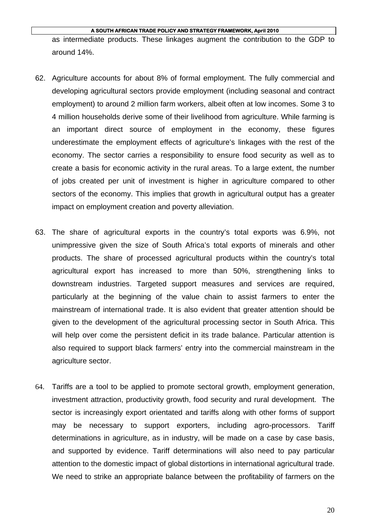as intermediate products. These linkages augment the contribution to the GDP to around 14%.

- 62. Agriculture accounts for about 8% of formal employment. The fully commercial and developing agricultural sectors provide employment (including seasonal and contract employment) to around 2 million farm workers, albeit often at low incomes. Some 3 to 4 million households derive some of their livelihood from agriculture. While farming is an important direct source of employment in the economy, these figures underestimate the employment effects of agriculture's linkages with the rest of the economy. The sector carries a responsibility to ensure food security as well as to create a basis for economic activity in the rural areas. To a large extent, the number of jobs created per unit of investment is higher in agriculture compared to other sectors of the economy. This implies that growth in agricultural output has a greater impact on employment creation and poverty alleviation.
- 63. The share of agricultural exports in the country's total exports was 6.9%, not unimpressive given the size of South Africa's total exports of minerals and other products. The share of processed agricultural products within the country's total agricultural export has increased to more than 50%, strengthening links to downstream industries. Targeted support measures and services are required, particularly at the beginning of the value chain to assist farmers to enter the mainstream of international trade. It is also evident that greater attention should be given to the development of the agricultural processing sector in South Africa. This will help over come the persistent deficit in its trade balance. Particular attention is also required to support black farmers' entry into the commercial mainstream in the agriculture sector.
- 64. Tariffs are a tool to be applied to promote sectoral growth, employment generation, investment attraction, productivity growth, food security and rural development. The sector is increasingly export orientated and tariffs along with other forms of support may be necessary to support exporters, including agro-processors. Tariff determinations in agriculture, as in industry, will be made on a case by case basis, and supported by evidence. Tariff determinations will also need to pay particular attention to the domestic impact of global distortions in international agricultural trade. We need to strike an appropriate balance between the profitability of farmers on the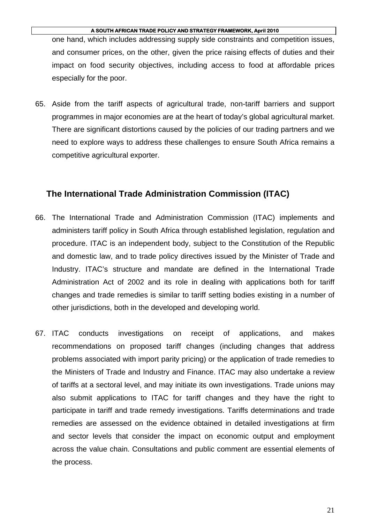one hand, which includes addressing supply side constraints and competition issues, and consumer prices, on the other, given the price raising effects of duties and their impact on food security objectives, including access to food at affordable prices especially for the poor.

65. Aside from the tariff aspects of agricultural trade, non-tariff barriers and support programmes in major economies are at the heart of today's global agricultural market. There are significant distortions caused by the policies of our trading partners and we need to explore ways to address these challenges to ensure South Africa remains a competitive agricultural exporter.

### **The International Trade Administration Commission (ITAC)**

- 66. The International Trade and Administration Commission (ITAC) implements and administers tariff policy in South Africa through established legislation, regulation and procedure. ITAC is an independent body, subject to the Constitution of the Republic and domestic law, and to trade policy directives issued by the Minister of Trade and Industry. ITAC's structure and mandate are defined in the International Trade Administration Act of 2002 and its role in dealing with applications both for tariff changes and trade remedies is similar to tariff setting bodies existing in a number of other jurisdictions, both in the developed and developing world.
- 67. ITAC conducts investigations on receipt of applications, and makes recommendations on proposed tariff changes (including changes that address problems associated with import parity pricing) or the application of trade remedies to the Ministers of Trade and Industry and Finance. ITAC may also undertake a review of tariffs at a sectoral level, and may initiate its own investigations. Trade unions may also submit applications to ITAC for tariff changes and they have the right to participate in tariff and trade remedy investigations. Tariffs determinations and trade remedies are assessed on the evidence obtained in detailed investigations at firm and sector levels that consider the impact on economic output and employment across the value chain. Consultations and public comment are essential elements of the process.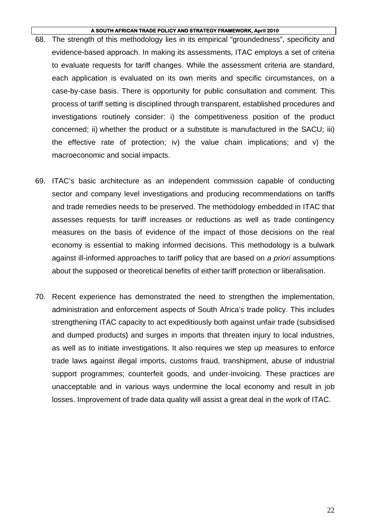- 68. The strength of this methodology lies in its empirical "groundedness", specificity and evidence-based approach. In making its assessments, ITAC employs a set of criteria to evaluate requests for tariff changes. While the assessment criteria are standard, each application is evaluated on its own merits and specific circumstances, on a case-by-case basis. There is opportunity for public consultation and comment. This process of tariff setting is disciplined through transparent, established procedures and investigations routinely consider: i) the competitiveness position of the product concerned; ii) whether the product or a substitute is manufactured in the SACU; iii) the effective rate of protection; iv) the value chain implications; and v) the macroeconomic and social impacts.
- 69. ITAC's basic architecture as an independent commission capable of conducting sector and company level investigations and producing recommendations on tariffs and trade remedies needs to be preserved. The methodology embedded in ITAC that assesses requests for tariff increases or reductions as well as trade contingency measures on the basis of evidence of the impact of those decisions on the real economy is essential to making informed decisions. This methodology is a bulwark against ill-informed approaches to tariff policy that are based on *a priori* assumptions about the supposed or theoretical benefits of either tariff protection or liberalisation.
- 70. Recent experience has demonstrated the need to strengthen the implementation, administration and enforcement aspects of South Africa's trade policy. This includes strengthening ITAC capacity to act expeditiously both against unfair trade (subsidised and dumped products) and surges in imports that threaten injury to local industries, as well as to initiate investigations. It also requires we step up measures to enforce trade laws against illegal imports, customs fraud, transhipment, abuse of industrial support programmes; counterfeit goods, and under-invoicing. These practices are unacceptable and in various ways undermine the local economy and result in job losses. Improvement of trade data quality will assist a great deal in the work of ITAC.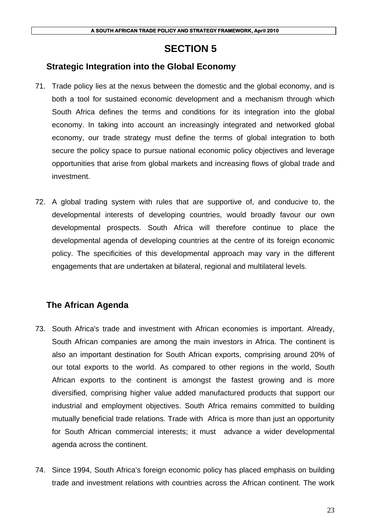# **SECTION 5**

## **Strategic Integration into the Global Economy**

- 71. Trade policy lies at the nexus between the domestic and the global economy, and is both a tool for sustained economic development and a mechanism through which South Africa defines the terms and conditions for its integration into the global economy. In taking into account an increasingly integrated and networked global economy, our trade strategy must define the terms of global integration to both secure the policy space to pursue national economic policy objectives and leverage opportunities that arise from global markets and increasing flows of global trade and investment.
- 72. A global trading system with rules that are supportive of, and conducive to, the developmental interests of developing countries, would broadly favour our own developmental prospects. South Africa will therefore continue to place the developmental agenda of developing countries at the centre of its foreign economic policy. The specificities of this developmental approach may vary in the different engagements that are undertaken at bilateral, regional and multilateral levels.

# **The African Agenda**

- 73. South Africa's trade and investment with African economies is important. Already, South African companies are among the main investors in Africa. The continent is also an important destination for South African exports, comprising around 20% of our total exports to the world. As compared to other regions in the world, South African exports to the continent is amongst the fastest growing and is more diversified, comprising higher value added manufactured products that support our industrial and employment objectives. South Africa remains committed to building mutually beneficial trade relations. Trade with Africa is more than just an opportunity for South African commercial interests; it must advance a wider developmental agenda across the continent.
- 74. Since 1994, South Africa's foreign economic policy has placed emphasis on building trade and investment relations with countries across the African continent. The work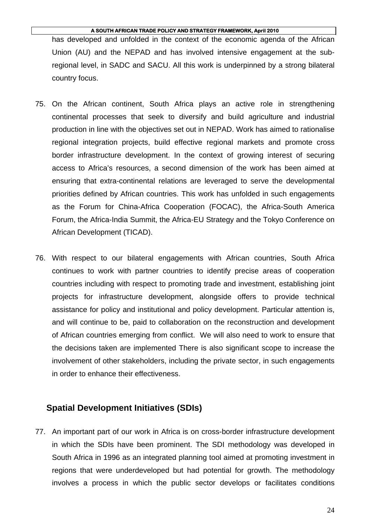has developed and unfolded in the context of the economic agenda of the African Union (AU) and the NEPAD and has involved intensive engagement at the subregional level, in SADC and SACU. All this work is underpinned by a strong bilateral country focus.

- 75. On the African continent, South Africa plays an active role in strengthening continental processes that seek to diversify and build agriculture and industrial production in line with the objectives set out in NEPAD. Work has aimed to rationalise regional integration projects, build effective regional markets and promote cross border infrastructure development. In the context of growing interest of securing access to Africa's resources, a second dimension of the work has been aimed at ensuring that extra-continental relations are leveraged to serve the developmental priorities defined by African countries. This work has unfolded in such engagements as the Forum for China-Africa Cooperation (FOCAC), the Africa-South America Forum, the Africa-India Summit, the Africa-EU Strategy and the Tokyo Conference on African Development (TICAD).
- 76. With respect to our bilateral engagements with African countries, South Africa continues to work with partner countries to identify precise areas of cooperation countries including with respect to promoting trade and investment, establishing joint projects for infrastructure development, alongside offers to provide technical assistance for policy and institutional and policy development. Particular attention is, and will continue to be, paid to collaboration on the reconstruction and development of African countries emerging from conflict. We will also need to work to ensure that the decisions taken are implemented There is also significant scope to increase the involvement of other stakeholders, including the private sector, in such engagements in order to enhance their effectiveness.

### **Spatial Development Initiatives (SDIs)**

77. An important part of our work in Africa is on cross-border infrastructure development in which the SDIs have been prominent. The SDI methodology was developed in South Africa in 1996 as an integrated planning tool aimed at promoting investment in regions that were underdeveloped but had potential for growth. The methodology involves a process in which the public sector develops or facilitates conditions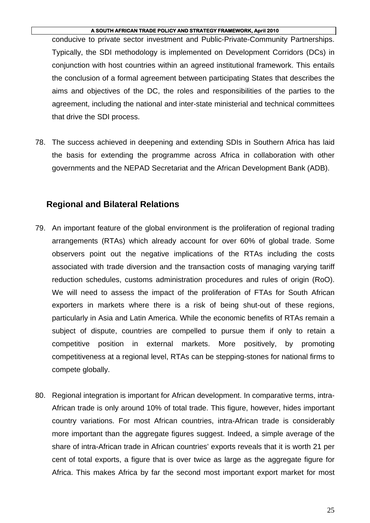conducive to private sector investment and Public-Private-Community Partnerships. Typically, the SDI methodology is implemented on Development Corridors (DCs) in conjunction with host countries within an agreed institutional framework. This entails the conclusion of a formal agreement between participating States that describes the aims and objectives of the DC, the roles and responsibilities of the parties to the agreement, including the national and inter-state ministerial and technical committees that drive the SDI process.

78. The success achieved in deepening and extending SDIs in Southern Africa has laid the basis for extending the programme across Africa in collaboration with other governments and the NEPAD Secretariat and the African Development Bank (ADB).

### **Regional and Bilateral Relations**

- 79. An important feature of the global environment is the proliferation of regional trading arrangements (RTAs) which already account for over 60% of global trade. Some observers point out the negative implications of the RTAs including the costs associated with trade diversion and the transaction costs of managing varying tariff reduction schedules, customs administration procedures and rules of origin (RoO). We will need to assess the impact of the proliferation of FTAs for South African exporters in markets where there is a risk of being shut-out of these regions, particularly in Asia and Latin America. While the economic benefits of RTAs remain a subject of dispute, countries are compelled to pursue them if only to retain a competitive position in external markets. More positively, by promoting competitiveness at a regional level, RTAs can be stepping-stones for national firms to compete globally.
- 80. Regional integration is important for African development. In comparative terms, intra-African trade is only around 10% of total trade. This figure, however, hides important country variations. For most African countries, intra-African trade is considerably more important than the aggregate figures suggest. Indeed, a simple average of the share of intra-African trade in African countries' exports reveals that it is worth 21 per cent of total exports, a figure that is over twice as large as the aggregate figure for Africa. This makes Africa by far the second most important export market for most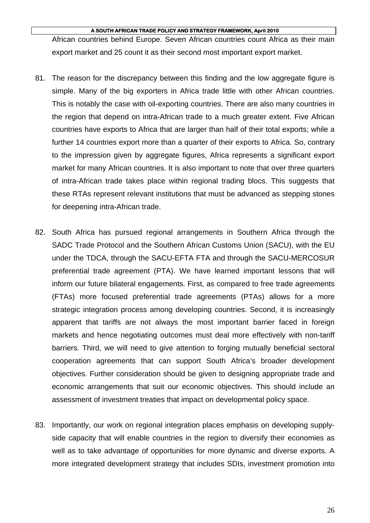African countries behind Europe. Seven African countries count Africa as their main export market and 25 count it as their second most important export market.

- 81. The reason for the discrepancy between this finding and the low aggregate figure is simple. Many of the big exporters in Africa trade little with other African countries. This is notably the case with oil-exporting countries. There are also many countries in the region that depend on intra-African trade to a much greater extent. Five African countries have exports to Africa that are larger than half of their total exports; while a further 14 countries export more than a quarter of their exports to Africa. So, contrary to the impression given by aggregate figures, Africa represents a significant export market for many African countries. It is also important to note that over three quarters of intra-African trade takes place within regional trading blocs. This suggests that these RTAs represent relevant institutions that must be advanced as stepping stones for deepening intra-African trade.
- 82. South Africa has pursued regional arrangements in Southern Africa through the SADC Trade Protocol and the Southern African Customs Union (SACU), with the EU under the TDCA, through the SACU-EFTA FTA and through the SACU-MERCOSUR preferential trade agreement (PTA). We have learned important lessons that will inform our future bilateral engagements. First, as compared to free trade agreements (FTAs) more focused preferential trade agreements (PTAs) allows for a more strategic integration process among developing countries. Second, it is increasingly apparent that tariffs are not always the most important barrier faced in foreign markets and hence negotiating outcomes must deal more effectively with non-tariff barriers. Third, we will need to give attention to forging mutually beneficial sectoral cooperation agreements that can support South Africa's broader development objectives. Further consideration should be given to designing appropriate trade and economic arrangements that suit our economic objectives. This should include an assessment of investment treaties that impact on developmental policy space.
- 83. Importantly, our work on regional integration places emphasis on developing supplyside capacity that will enable countries in the region to diversify their economies as well as to take advantage of opportunities for more dynamic and diverse exports. A more integrated development strategy that includes SDIs, investment promotion into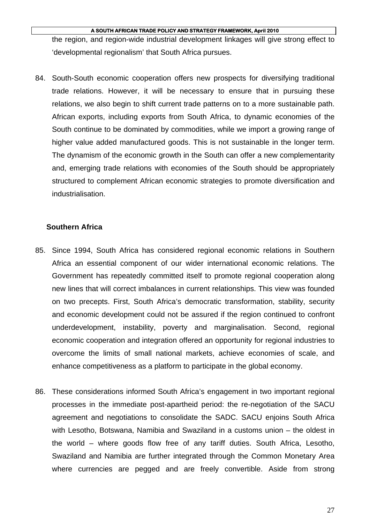the region, and region-wide industrial development linkages will give strong effect to 'developmental regionalism' that South Africa pursues.

84. South-South economic cooperation offers new prospects for diversifying traditional trade relations. However, it will be necessary to ensure that in pursuing these relations, we also begin to shift current trade patterns on to a more sustainable path. African exports, including exports from South Africa, to dynamic economies of the South continue to be dominated by commodities, while we import a growing range of higher value added manufactured goods. This is not sustainable in the longer term. The dynamism of the economic growth in the South can offer a new complementarity and, emerging trade relations with economies of the South should be appropriately structured to complement African economic strategies to promote diversification and industrialisation.

### **Southern Africa**

- 85. Since 1994, South Africa has considered regional economic relations in Southern Africa an essential component of our wider international economic relations. The Government has repeatedly committed itself to promote regional cooperation along new lines that will correct imbalances in current relationships. This view was founded on two precepts. First, South Africa's democratic transformation, stability, security and economic development could not be assured if the region continued to confront underdevelopment, instability, poverty and marginalisation. Second, regional economic cooperation and integration offered an opportunity for regional industries to overcome the limits of small national markets, achieve economies of scale, and enhance competitiveness as a platform to participate in the global economy.
- 86. These considerations informed South Africa's engagement in two important regional processes in the immediate post-apartheid period: the re-negotiation of the SACU agreement and negotiations to consolidate the SADC. SACU enjoins South Africa with Lesotho, Botswana, Namibia and Swaziland in a customs union – the oldest in the world – where goods flow free of any tariff duties. South Africa, Lesotho, Swaziland and Namibia are further integrated through the Common Monetary Area where currencies are pegged and are freely convertible. Aside from strong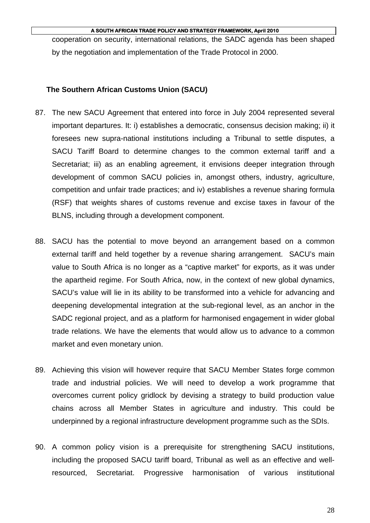cooperation on security, international relations, the SADC agenda has been shaped by the negotiation and implementation of the Trade Protocol in 2000.

### **The Southern African Customs Union (SACU)**

- 87. The new SACU Agreement that entered into force in July 2004 represented several important departures. It: i) establishes a democratic, consensus decision making; ii) it foresees new supra-national institutions including a Tribunal to settle disputes, a SACU Tariff Board to determine changes to the common external tariff and a Secretariat; iii) as an enabling agreement, it envisions deeper integration through development of common SACU policies in, amongst others, industry, agriculture, competition and unfair trade practices; and iv) establishes a revenue sharing formula (RSF) that weights shares of customs revenue and excise taxes in favour of the BLNS, including through a development component.
- 88. SACU has the potential to move beyond an arrangement based on a common external tariff and held together by a revenue sharing arrangement. SACU's main value to South Africa is no longer as a "captive market" for exports, as it was under the apartheid regime. For South Africa, now, in the context of new global dynamics, SACU's value will lie in its ability to be transformed into a vehicle for advancing and deepening developmental integration at the sub-regional level, as an anchor in the SADC regional project, and as a platform for harmonised engagement in wider global trade relations. We have the elements that would allow us to advance to a common market and even monetary union.
- 89. Achieving this vision will however require that SACU Member States forge common trade and industrial policies. We will need to develop a work programme that overcomes current policy gridlock by devising a strategy to build production value chains across all Member States in agriculture and industry. This could be underpinned by a regional infrastructure development programme such as the SDIs.
- 90. A common policy vision is a prerequisite for strengthening SACU institutions, including the proposed SACU tariff board, Tribunal as well as an effective and wellresourced, Secretariat. Progressive harmonisation of various institutional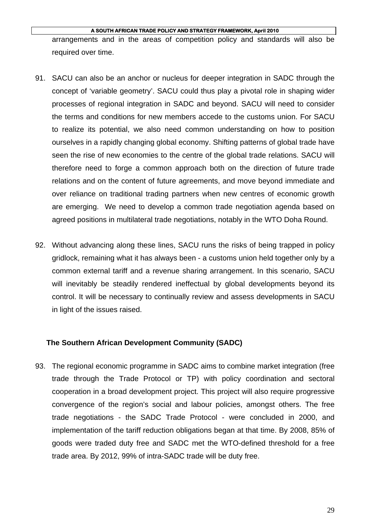arrangements and in the areas of competition policy and standards will also be required over time.

- 91. SACU can also be an anchor or nucleus for deeper integration in SADC through the concept of 'variable geometry'. SACU could thus play a pivotal role in shaping wider processes of regional integration in SADC and beyond. SACU will need to consider the terms and conditions for new members accede to the customs union. For SACU to realize its potential, we also need common understanding on how to position ourselves in a rapidly changing global economy. Shifting patterns of global trade have seen the rise of new economies to the centre of the global trade relations. SACU will therefore need to forge a common approach both on the direction of future trade relations and on the content of future agreements, and move beyond immediate and over reliance on traditional trading partners when new centres of economic growth are emerging. We need to develop a common trade negotiation agenda based on agreed positions in multilateral trade negotiations, notably in the WTO Doha Round.
- 92. Without advancing along these lines, SACU runs the risks of being trapped in policy gridlock, remaining what it has always been - a customs union held together only by a common external tariff and a revenue sharing arrangement. In this scenario, SACU will inevitably be steadily rendered ineffectual by global developments beyond its control. It will be necessary to continually review and assess developments in SACU in light of the issues raised.

### **The Southern African Development Community (SADC)**

93. The regional economic programme in SADC aims to combine market integration (free trade through the Trade Protocol or TP) with policy coordination and sectoral cooperation in a broad development project. This project will also require progressive convergence of the region's social and labour policies, amongst others. The free trade negotiations - the SADC Trade Protocol - were concluded in 2000, and implementation of the tariff reduction obligations began at that time. By 2008, 85% of goods were traded duty free and SADC met the WTO-defined threshold for a free trade area. By 2012, 99% of intra-SADC trade will be duty free.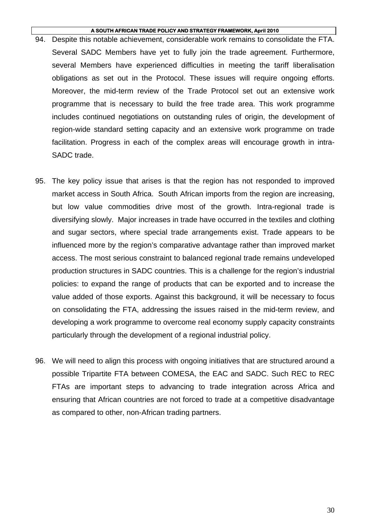- 94. Despite this notable achievement, considerable work remains to consolidate the FTA. Several SADC Members have yet to fully join the trade agreement. Furthermore, several Members have experienced difficulties in meeting the tariff liberalisation obligations as set out in the Protocol. These issues will require ongoing efforts. Moreover, the mid-term review of the Trade Protocol set out an extensive work programme that is necessary to build the free trade area. This work programme includes continued negotiations on outstanding rules of origin, the development of region-wide standard setting capacity and an extensive work programme on trade facilitation. Progress in each of the complex areas will encourage growth in intra-SADC trade.
- 95. The key policy issue that arises is that the region has not responded to improved market access in South Africa. South African imports from the region are increasing, but low value commodities drive most of the growth. Intra-regional trade is diversifying slowly. Major increases in trade have occurred in the textiles and clothing and sugar sectors, where special trade arrangements exist. Trade appears to be influenced more by the region's comparative advantage rather than improved market access. The most serious constraint to balanced regional trade remains undeveloped production structures in SADC countries. This is a challenge for the region's industrial policies: to expand the range of products that can be exported and to increase the value added of those exports. Against this background, it will be necessary to focus on consolidating the FTA, addressing the issues raised in the mid-term review, and developing a work programme to overcome real economy supply capacity constraints particularly through the development of a regional industrial policy.
- 96. We will need to align this process with ongoing initiatives that are structured around a possible Tripartite FTA between COMESA, the EAC and SADC. Such REC to REC FTAs are important steps to advancing to trade integration across Africa and ensuring that African countries are not forced to trade at a competitive disadvantage as compared to other, non-African trading partners.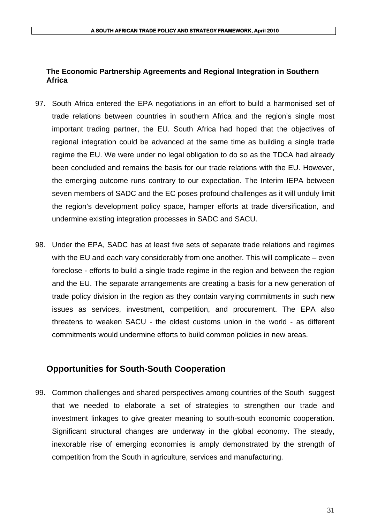### **The Economic Partnership Agreements and Regional Integration in Southern Africa**

- 97. South Africa entered the EPA negotiations in an effort to build a harmonised set of trade relations between countries in southern Africa and the region's single most important trading partner, the EU. South Africa had hoped that the objectives of regional integration could be advanced at the same time as building a single trade regime the EU. We were under no legal obligation to do so as the TDCA had already been concluded and remains the basis for our trade relations with the EU. However, the emerging outcome runs contrary to our expectation. The Interim IEPA between seven members of SADC and the EC poses profound challenges as it will unduly limit the region's development policy space, hamper efforts at trade diversification, and undermine existing integration processes in SADC and SACU.
- 98. Under the EPA, SADC has at least five sets of separate trade relations and regimes with the EU and each vary considerably from one another. This will complicate – even foreclose - efforts to build a single trade regime in the region and between the region and the EU. The separate arrangements are creating a basis for a new generation of trade policy division in the region as they contain varying commitments in such new issues as services, investment, competition, and procurement. The EPA also threatens to weaken SACU - the oldest customs union in the world - as different commitments would undermine efforts to build common policies in new areas.

### **Opportunities for South-South Cooperation**

99. Common challenges and shared perspectives among countries of the South suggest that we needed to elaborate a set of strategies to strengthen our trade and investment linkages to give greater meaning to south-south economic cooperation. Significant structural changes are underway in the global economy. The steady, inexorable rise of emerging economies is amply demonstrated by the strength of competition from the South in agriculture, services and manufacturing.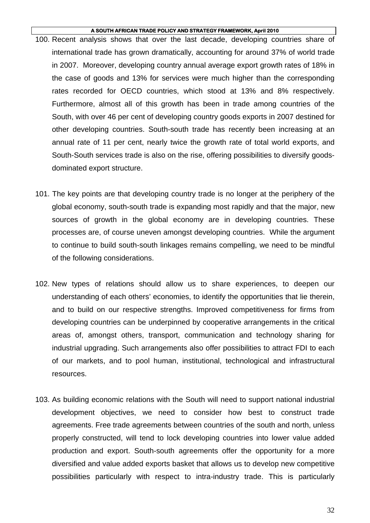- 100. Recent analysis shows that over the last decade, developing countries share of international trade has grown dramatically, accounting for around 37% of world trade in 2007. Moreover, developing country annual average export growth rates of 18% in the case of goods and 13% for services were much higher than the corresponding rates recorded for OECD countries, which stood at 13% and 8% respectively. Furthermore, almost all of this growth has been in trade among countries of the South, with over 46 per cent of developing country goods exports in 2007 destined for other developing countries. South-south trade has recently been increasing at an annual rate of 11 per cent, nearly twice the growth rate of total world exports, and South-South services trade is also on the rise, offering possibilities to diversify goodsdominated export structure.
- 101. The key points are that developing country trade is no longer at the periphery of the global economy, south-south trade is expanding most rapidly and that the major, new sources of growth in the global economy are in developing countries. These processes are, of course uneven amongst developing countries. While the argument to continue to build south-south linkages remains compelling, we need to be mindful of the following considerations.
- 102. New types of relations should allow us to share experiences, to deepen our understanding of each others' economies, to identify the opportunities that lie therein, and to build on our respective strengths. Improved competitiveness for firms from developing countries can be underpinned by cooperative arrangements in the critical areas of, amongst others, transport, communication and technology sharing for industrial upgrading. Such arrangements also offer possibilities to attract FDI to each of our markets, and to pool human, institutional, technological and infrastructural resources.
- 103. As building economic relations with the South will need to support national industrial development objectives, we need to consider how best to construct trade agreements. Free trade agreements between countries of the south and north, unless properly constructed, will tend to lock developing countries into lower value added production and export. South-south agreements offer the opportunity for a more diversified and value added exports basket that allows us to develop new competitive possibilities particularly with respect to intra-industry trade. This is particularly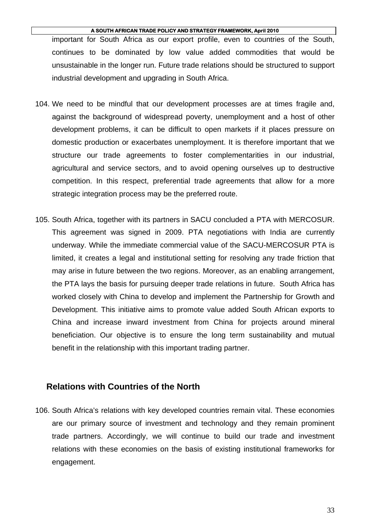important for South Africa as our export profile, even to countries of the South, continues to be dominated by low value added commodities that would be unsustainable in the longer run. Future trade relations should be structured to support industrial development and upgrading in South Africa.

- 104. We need to be mindful that our development processes are at times fragile and, against the background of widespread poverty, unemployment and a host of other development problems, it can be difficult to open markets if it places pressure on domestic production or exacerbates unemployment. It is therefore important that we structure our trade agreements to foster complementarities in our industrial, agricultural and service sectors, and to avoid opening ourselves up to destructive competition. In this respect, preferential trade agreements that allow for a more strategic integration process may be the preferred route.
- 105. South Africa, together with its partners in SACU concluded a PTA with MERCOSUR. This agreement was signed in 2009. PTA negotiations with India are currently underway. While the immediate commercial value of the SACU-MERCOSUR PTA is limited, it creates a legal and institutional setting for resolving any trade friction that may arise in future between the two regions. Moreover, as an enabling arrangement, the PTA lays the basis for pursuing deeper trade relations in future. South Africa has worked closely with China to develop and implement the Partnership for Growth and Development. This initiative aims to promote value added South African exports to China and increase inward investment from China for projects around mineral beneficiation. Our objective is to ensure the long term sustainability and mutual benefit in the relationship with this important trading partner.

### **Relations with Countries of the North**

106. South Africa's relations with key developed countries remain vital. These economies are our primary source of investment and technology and they remain prominent trade partners. Accordingly, we will continue to build our trade and investment relations with these economies on the basis of existing institutional frameworks for engagement.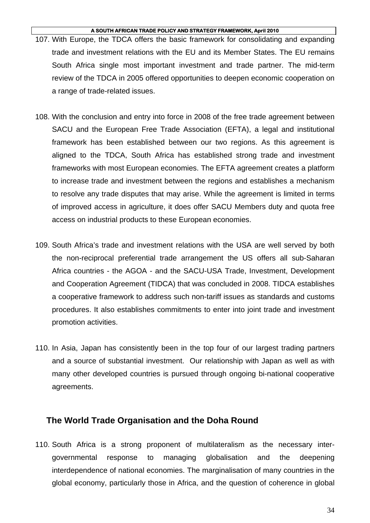- 107. With Europe, the TDCA offers the basic framework for consolidating and expanding trade and investment relations with the EU and its Member States. The EU remains South Africa single most important investment and trade partner. The mid-term review of the TDCA in 2005 offered opportunities to deepen economic cooperation on a range of trade-related issues.
- 108. With the conclusion and entry into force in 2008 of the free trade agreement between SACU and the European Free Trade Association (EFTA), a legal and institutional framework has been established between our two regions. As this agreement is aligned to the TDCA, South Africa has established strong trade and investment frameworks with most European economies. The EFTA agreement creates a platform to increase trade and investment between the regions and establishes a mechanism to resolve any trade disputes that may arise. While the agreement is limited in terms of improved access in agriculture, it does offer SACU Members duty and quota free access on industrial products to these European economies.
- 109. South Africa's trade and investment relations with the USA are well served by both the non-reciprocal preferential trade arrangement the US offers all sub-Saharan Africa countries - the AGOA - and the SACU-USA Trade, Investment, Development and Cooperation Agreement (TIDCA) that was concluded in 2008. TIDCA establishes a cooperative framework to address such non-tariff issues as standards and customs procedures. It also establishes commitments to enter into joint trade and investment promotion activities.
- 110. In Asia, Japan has consistently been in the top four of our largest trading partners and a source of substantial investment. Our relationship with Japan as well as with many other developed countries is pursued through ongoing bi-national cooperative agreements.

### **The World Trade Organisation and the Doha Round**

110. South Africa is a strong proponent of multilateralism as the necessary intergovernmental response to managing globalisation and the deepening interdependence of national economies. The marginalisation of many countries in the global economy, particularly those in Africa, and the question of coherence in global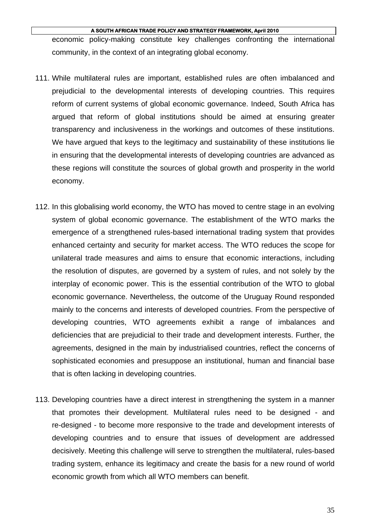economic policy-making constitute key challenges confronting the international community, in the context of an integrating global economy.

- 111. While multilateral rules are important, established rules are often imbalanced and prejudicial to the developmental interests of developing countries. This requires reform of current systems of global economic governance. Indeed, South Africa has argued that reform of global institutions should be aimed at ensuring greater transparency and inclusiveness in the workings and outcomes of these institutions. We have argued that keys to the legitimacy and sustainability of these institutions lie in ensuring that the developmental interests of developing countries are advanced as these regions will constitute the sources of global growth and prosperity in the world economy.
- 112. In this globalising world economy, the WTO has moved to centre stage in an evolving system of global economic governance. The establishment of the WTO marks the emergence of a strengthened rules-based international trading system that provides enhanced certainty and security for market access. The WTO reduces the scope for unilateral trade measures and aims to ensure that economic interactions, including the resolution of disputes, are governed by a system of rules, and not solely by the interplay of economic power. This is the essential contribution of the WTO to global economic governance. Nevertheless, the outcome of the Uruguay Round responded mainly to the concerns and interests of developed countries. From the perspective of developing countries, WTO agreements exhibit a range of imbalances and deficiencies that are prejudicial to their trade and development interests. Further, the agreements, designed in the main by industrialised countries, reflect the concerns of sophisticated economies and presuppose an institutional, human and financial base that is often lacking in developing countries.
- 113. Developing countries have a direct interest in strengthening the system in a manner that promotes their development. Multilateral rules need to be designed - and re-designed - to become more responsive to the trade and development interests of developing countries and to ensure that issues of development are addressed decisively. Meeting this challenge will serve to strengthen the multilateral, rules-based trading system, enhance its legitimacy and create the basis for a new round of world economic growth from which all WTO members can benefit.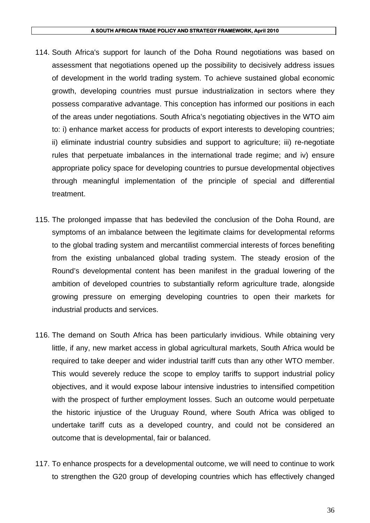- 114. South Africa's support for launch of the Doha Round negotiations was based on assessment that negotiations opened up the possibility to decisively address issues of development in the world trading system. To achieve sustained global economic growth, developing countries must pursue industrialization in sectors where they possess comparative advantage. This conception has informed our positions in each of the areas under negotiations. South Africa's negotiating objectives in the WTO aim to: i) enhance market access for products of export interests to developing countries; ii) eliminate industrial country subsidies and support to agriculture; iii) re-negotiate rules that perpetuate imbalances in the international trade regime; and iv) ensure appropriate policy space for developing countries to pursue developmental objectives through meaningful implementation of the principle of special and differential treatment.
- 115. The prolonged impasse that has bedeviled the conclusion of the Doha Round, are symptoms of an imbalance between the legitimate claims for developmental reforms to the global trading system and mercantilist commercial interests of forces benefiting from the existing unbalanced global trading system. The steady erosion of the Round's developmental content has been manifest in the gradual lowering of the ambition of developed countries to substantially reform agriculture trade, alongside growing pressure on emerging developing countries to open their markets for industrial products and services.
- 116. The demand on South Africa has been particularly invidious. While obtaining very little, if any, new market access in global agricultural markets, South Africa would be required to take deeper and wider industrial tariff cuts than any other WTO member. This would severely reduce the scope to employ tariffs to support industrial policy objectives, and it would expose labour intensive industries to intensified competition with the prospect of further employment losses. Such an outcome would perpetuate the historic injustice of the Uruguay Round, where South Africa was obliged to undertake tariff cuts as a developed country, and could not be considered an outcome that is developmental, fair or balanced.
- 117. To enhance prospects for a developmental outcome, we will need to continue to work to strengthen the G20 group of developing countries which has effectively changed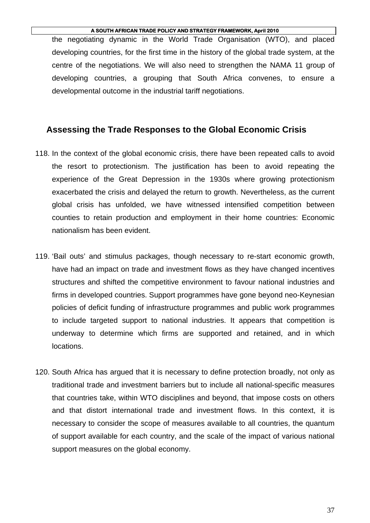the negotiating dynamic in the World Trade Organisation (WTO), and placed developing countries, for the first time in the history of the global trade system, at the centre of the negotiations. We will also need to strengthen the NAMA 11 group of developing countries, a grouping that South Africa convenes, to ensure a developmental outcome in the industrial tariff negotiations.

### **Assessing the Trade Responses to the Global Economic Crisis**

- 118. In the context of the global economic crisis, there have been repeated calls to avoid the resort to protectionism. The justification has been to avoid repeating the experience of the Great Depression in the 1930s where growing protectionism exacerbated the crisis and delayed the return to growth. Nevertheless, as the current global crisis has unfolded, we have witnessed intensified competition between counties to retain production and employment in their home countries: Economic nationalism has been evident.
- 119. 'Bail outs' and stimulus packages, though necessary to re-start economic growth, have had an impact on trade and investment flows as they have changed incentives structures and shifted the competitive environment to favour national industries and firms in developed countries. Support programmes have gone beyond neo-Keynesian policies of deficit funding of infrastructure programmes and public work programmes to include targeted support to national industries. It appears that competition is underway to determine which firms are supported and retained, and in which locations.
- 120. South Africa has argued that it is necessary to define protection broadly, not only as traditional trade and investment barriers but to include all national-specific measures that countries take, within WTO disciplines and beyond, that impose costs on others and that distort international trade and investment flows. In this context, it is necessary to consider the scope of measures available to all countries, the quantum of support available for each country, and the scale of the impact of various national support measures on the global economy.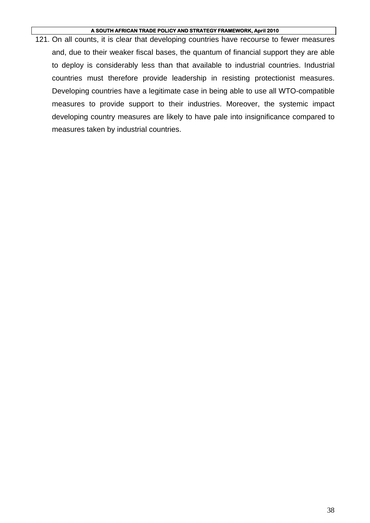121. On all counts, it is clear that developing countries have recourse to fewer measures and, due to their weaker fiscal bases, the quantum of financial support they are able to deploy is considerably less than that available to industrial countries. Industrial countries must therefore provide leadership in resisting protectionist measures. Developing countries have a legitimate case in being able to use all WTO-compatible measures to provide support to their industries. Moreover, the systemic impact developing country measures are likely to have pale into insignificance compared to measures taken by industrial countries.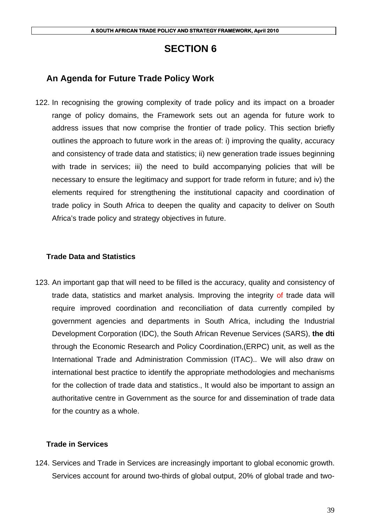# **SECTION 6**

# **An Agenda for Future Trade Policy Work**

122. In recognising the growing complexity of trade policy and its impact on a broader range of policy domains, the Framework sets out an agenda for future work to address issues that now comprise the frontier of trade policy. This section briefly outlines the approach to future work in the areas of: i) improving the quality, accuracy and consistency of trade data and statistics; ii) new generation trade issues beginning with trade in services; iii) the need to build accompanying policies that will be necessary to ensure the legitimacy and support for trade reform in future; and iv) the elements required for strengthening the institutional capacity and coordination of trade policy in South Africa to deepen the quality and capacity to deliver on South Africa's trade policy and strategy objectives in future.

### **Trade Data and Statistics**

123. An important gap that will need to be filled is the accuracy, quality and consistency of trade data, statistics and market analysis. Improving the integrity of trade data will require improved coordination and reconciliation of data currently compiled by government agencies and departments in South Africa, including the Industrial Development Corporation (IDC), the South African Revenue Services (SARS), **the dti** through the Economic Research and Policy Coordination,(ERPC) unit, as well as the International Trade and Administration Commission (ITAC).. We will also draw on international best practice to identify the appropriate methodologies and mechanisms for the collection of trade data and statistics., It would also be important to assign an authoritative centre in Government as the source for and dissemination of trade data for the country as a whole.

### **Trade in Services**

124. Services and Trade in Services are increasingly important to global economic growth. Services account for around two-thirds of global output, 20% of global trade and two-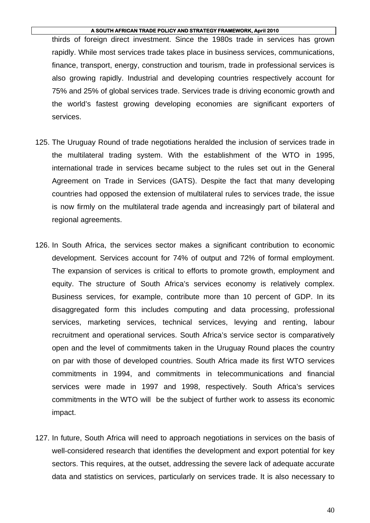thirds of foreign direct investment. Since the 1980s trade in services has grown rapidly. While most services trade takes place in business services, communications, finance, transport, energy, construction and tourism, trade in professional services is also growing rapidly. Industrial and developing countries respectively account for 75% and 25% of global services trade. Services trade is driving economic growth and the world's fastest growing developing economies are significant exporters of services.

- 125. The Uruguay Round of trade negotiations heralded the inclusion of services trade in the multilateral trading system. With the establishment of the WTO in 1995, international trade in services became subject to the rules set out in the General Agreement on Trade in Services (GATS). Despite the fact that many developing countries had opposed the extension of multilateral rules to services trade, the issue is now firmly on the multilateral trade agenda and increasingly part of bilateral and regional agreements.
- 126. In South Africa, the services sector makes a significant contribution to economic development. Services account for 74% of output and 72% of formal employment. The expansion of services is critical to efforts to promote growth, employment and equity. The structure of South Africa's services economy is relatively complex. Business services, for example, contribute more than 10 percent of GDP. In its disaggregated form this includes computing and data processing, professional services, marketing services, technical services, levying and renting, labour recruitment and operational services. South Africa's service sector is comparatively open and the level of commitments taken in the Uruguay Round places the country on par with those of developed countries. South Africa made its first WTO services commitments in 1994, and commitments in telecommunications and financial services were made in 1997 and 1998, respectively. South Africa's services commitments in the WTO will be the subject of further work to assess its economic impact.
- 127. In future, South Africa will need to approach negotiations in services on the basis of well-considered research that identifies the development and export potential for key sectors. This requires, at the outset, addressing the severe lack of adequate accurate data and statistics on services, particularly on services trade. It is also necessary to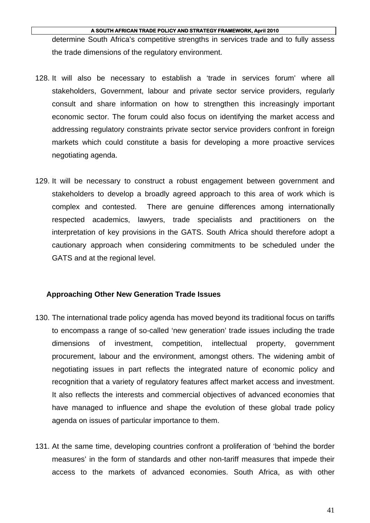determine South Africa's competitive strengths in services trade and to fully assess the trade dimensions of the regulatory environment.

- 128. It will also be necessary to establish a 'trade in services forum' where all stakeholders, Government, labour and private sector service providers, regularly consult and share information on how to strengthen this increasingly important economic sector. The forum could also focus on identifying the market access and addressing regulatory constraints private sector service providers confront in foreign markets which could constitute a basis for developing a more proactive services negotiating agenda.
- 129. It will be necessary to construct a robust engagement between government and stakeholders to develop a broadly agreed approach to this area of work which is complex and contested. There are genuine differences among internationally respected academics, lawyers, trade specialists and practitioners on the interpretation of key provisions in the GATS. South Africa should therefore adopt a cautionary approach when considering commitments to be scheduled under the GATS and at the regional level.

### **Approaching Other New Generation Trade Issues**

- 130. The international trade policy agenda has moved beyond its traditional focus on tariffs to encompass a range of so-called 'new generation' trade issues including the trade dimensions of investment, competition, intellectual property, government procurement, labour and the environment, amongst others. The widening ambit of negotiating issues in part reflects the integrated nature of economic policy and recognition that a variety of regulatory features affect market access and investment. It also reflects the interests and commercial objectives of advanced economies that have managed to influence and shape the evolution of these global trade policy agenda on issues of particular importance to them.
- 131. At the same time, developing countries confront a proliferation of 'behind the border measures' in the form of standards and other non-tariff measures that impede their access to the markets of advanced economies. South Africa, as with other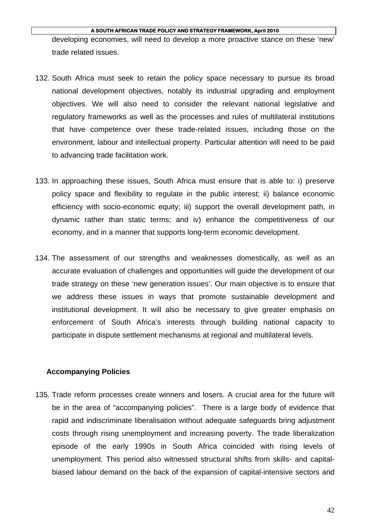developing economies, will need to develop a more proactive stance on these 'new' trade related issues.

- 132. South Africa must seek to retain the policy space necessary to pursue its broad national development objectives, notably its industrial upgrading and employment objectives. We will also need to consider the relevant national legislative and regulatory frameworks as well as the processes and rules of multilateral institutions that have competence over these trade-related issues, including those on the environment, labour and intellectual property. Particular attention will need to be paid to advancing trade facilitation work.
- 133. In approaching these issues, South Africa must ensure that is able to: i) preserve policy space and flexibility to regulate in the public interest; ii) balance economic efficiency with socio-economic equity; iii) support the overall development path, in dynamic rather than static terms; and iv) enhance the competitiveness of our economy, and in a manner that supports long-term economic development.
- 134. The assessment of our strengths and weaknesses domestically, as well as an accurate evaluation of challenges and opportunities will guide the development of our trade strategy on these 'new generation issues'. Our main objective is to ensure that we address these issues in ways that promote sustainable development and institutional development. It will also be necessary to give greater emphasis on enforcement of South Africa's interests through building national capacity to participate in dispute settlement mechanisms at regional and multilateral levels.

### **Accompanying Policies**

135. Trade reform processes create winners and losers. A crucial area for the future will be in the area of "accompanying policies". There is a large body of evidence that rapid and indiscriminate liberalisation without adequate safeguards bring adjustment costs through rising unemployment and increasing poverty. The trade liberalization episode of the early 1990s in South Africa coincided with rising levels of unemployment. This period also witnessed structural shifts from skills- and capitalbiased labour demand on the back of the expansion of capital-intensive sectors and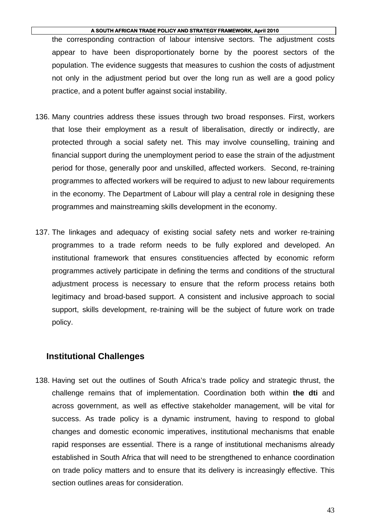the corresponding contraction of labour intensive sectors. The adjustment costs appear to have been disproportionately borne by the poorest sectors of the population. The evidence suggests that measures to cushion the costs of adjustment not only in the adjustment period but over the long run as well are a good policy practice, and a potent buffer against social instability.

- 136. Many countries address these issues through two broad responses. First, workers that lose their employment as a result of liberalisation, directly or indirectly, are protected through a social safety net. This may involve counselling, training and financial support during the unemployment period to ease the strain of the adjustment period for those, generally poor and unskilled, affected workers. Second, re-training programmes to affected workers will be required to adjust to new labour requirements in the economy. The Department of Labour will play a central role in designing these programmes and mainstreaming skills development in the economy.
- 137. The linkages and adequacy of existing social safety nets and worker re-training programmes to a trade reform needs to be fully explored and developed. An institutional framework that ensures constituencies affected by economic reform programmes actively participate in defining the terms and conditions of the structural adjustment process is necessary to ensure that the reform process retains both legitimacy and broad-based support. A consistent and inclusive approach to social support, skills development, re-training will be the subject of future work on trade policy.

### **Institutional Challenges**

138. Having set out the outlines of South Africa's trade policy and strategic thrust, the challenge remains that of implementation. Coordination both within **the dti** and across government, as well as effective stakeholder management, will be vital for success. As trade policy is a dynamic instrument, having to respond to global changes and domestic economic imperatives, institutional mechanisms that enable rapid responses are essential. There is a range of institutional mechanisms already established in South Africa that will need to be strengthened to enhance coordination on trade policy matters and to ensure that its delivery is increasingly effective. This section outlines areas for consideration.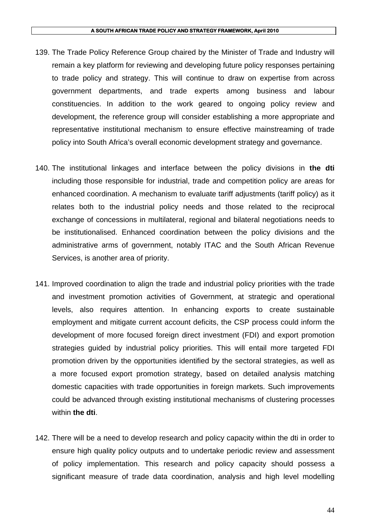- 139. The Trade Policy Reference Group chaired by the Minister of Trade and Industry will remain a key platform for reviewing and developing future policy responses pertaining to trade policy and strategy. This will continue to draw on expertise from across government departments, and trade experts among business and labour constituencies. In addition to the work geared to ongoing policy review and development, the reference group will consider establishing a more appropriate and representative institutional mechanism to ensure effective mainstreaming of trade policy into South Africa's overall economic development strategy and governance.
- 140. The institutional linkages and interface between the policy divisions in **the dti** including those responsible for industrial, trade and competition policy are areas for enhanced coordination. A mechanism to evaluate tariff adjustments (tariff policy) as it relates both to the industrial policy needs and those related to the reciprocal exchange of concessions in multilateral, regional and bilateral negotiations needs to be institutionalised. Enhanced coordination between the policy divisions and the administrative arms of government, notably ITAC and the South African Revenue Services, is another area of priority.
- 141. Improved coordination to align the trade and industrial policy priorities with the trade and investment promotion activities of Government, at strategic and operational levels, also requires attention. In enhancing exports to create sustainable employment and mitigate current account deficits, the CSP process could inform the development of more focused foreign direct investment (FDI) and export promotion strategies guided by industrial policy priorities. This will entail more targeted FDI promotion driven by the opportunities identified by the sectoral strategies, as well as a more focused export promotion strategy, based on detailed analysis matching domestic capacities with trade opportunities in foreign markets. Such improvements could be advanced through existing institutional mechanisms of clustering processes within **the dti**.
- 142. There will be a need to develop research and policy capacity within the dti in order to ensure high quality policy outputs and to undertake periodic review and assessment of policy implementation. This research and policy capacity should possess a significant measure of trade data coordination, analysis and high level modelling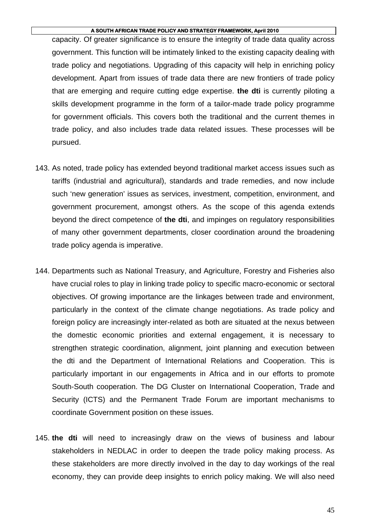capacity. Of greater significance is to ensure the integrity of trade data quality across government. This function will be intimately linked to the existing capacity dealing with trade policy and negotiations. Upgrading of this capacity will help in enriching policy development. Apart from issues of trade data there are new frontiers of trade policy that are emerging and require cutting edge expertise. **the dti** is currently piloting a skills development programme in the form of a tailor-made trade policy programme for government officials. This covers both the traditional and the current themes in trade policy, and also includes trade data related issues. These processes will be pursued.

- 143. As noted, trade policy has extended beyond traditional market access issues such as tariffs (industrial and agricultural), standards and trade remedies, and now include such 'new generation' issues as services, investment, competition, environment, and government procurement, amongst others. As the scope of this agenda extends beyond the direct competence of **the dti**, and impinges on regulatory responsibilities of many other government departments, closer coordination around the broadening trade policy agenda is imperative.
- 144. Departments such as National Treasury, and Agriculture, Forestry and Fisheries also have crucial roles to play in linking trade policy to specific macro-economic or sectoral objectives. Of growing importance are the linkages between trade and environment, particularly in the context of the climate change negotiations. As trade policy and foreign policy are increasingly inter-related as both are situated at the nexus between the domestic economic priorities and external engagement, it is necessary to strengthen strategic coordination, alignment, joint planning and execution between the dti and the Department of International Relations and Cooperation. This is particularly important in our engagements in Africa and in our efforts to promote South-South cooperation. The DG Cluster on International Cooperation, Trade and Security (ICTS) and the Permanent Trade Forum are important mechanisms to coordinate Government position on these issues.
- 145. **the dti** will need to increasingly draw on the views of business and labour stakeholders in NEDLAC in order to deepen the trade policy making process. As these stakeholders are more directly involved in the day to day workings of the real economy, they can provide deep insights to enrich policy making. We will also need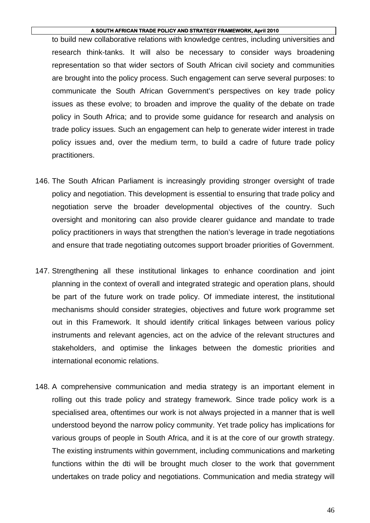to build new collaborative relations with knowledge centres, including universities and research think-tanks. It will also be necessary to consider ways broadening representation so that wider sectors of South African civil society and communities are brought into the policy process. Such engagement can serve several purposes: to communicate the South African Government's perspectives on key trade policy issues as these evolve; to broaden and improve the quality of the debate on trade policy in South Africa; and to provide some guidance for research and analysis on trade policy issues. Such an engagement can help to generate wider interest in trade policy issues and, over the medium term, to build a cadre of future trade policy practitioners.

- 146. The South African Parliament is increasingly providing stronger oversight of trade policy and negotiation. This development is essential to ensuring that trade policy and negotiation serve the broader developmental objectives of the country. Such oversight and monitoring can also provide clearer guidance and mandate to trade policy practitioners in ways that strengthen the nation's leverage in trade negotiations and ensure that trade negotiating outcomes support broader priorities of Government.
- 147. Strengthening all these institutional linkages to enhance coordination and joint planning in the context of overall and integrated strategic and operation plans, should be part of the future work on trade policy. Of immediate interest, the institutional mechanisms should consider strategies, objectives and future work programme set out in this Framework. It should identify critical linkages between various policy instruments and relevant agencies, act on the advice of the relevant structures and stakeholders, and optimise the linkages between the domestic priorities and international economic relations.
- 148. A comprehensive communication and media strategy is an important element in rolling out this trade policy and strategy framework. Since trade policy work is a specialised area, oftentimes our work is not always projected in a manner that is well understood beyond the narrow policy community. Yet trade policy has implications for various groups of people in South Africa, and it is at the core of our growth strategy. The existing instruments within government, including communications and marketing functions within the dti will be brought much closer to the work that government undertakes on trade policy and negotiations. Communication and media strategy will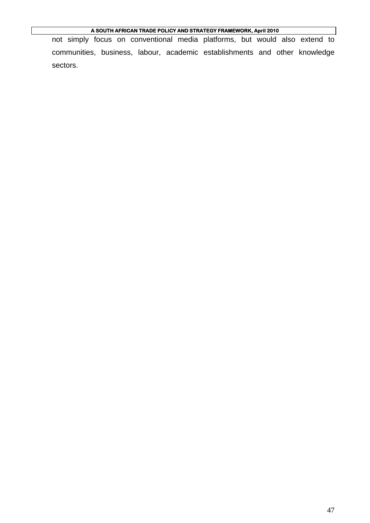not simply focus on conventional media platforms, but would also extend to communities, business, labour, academic establishments and other knowledge sectors.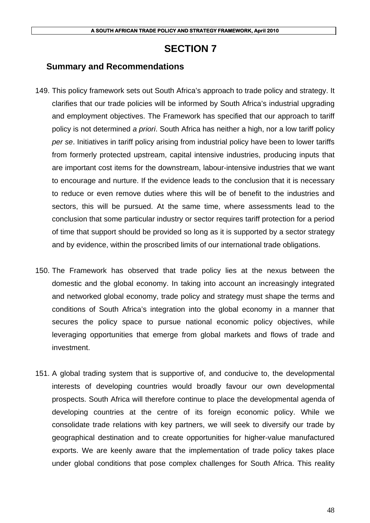# **SECTION 7**

### **Summary and Recommendations**

- 149. This policy framework sets out South Africa's approach to trade policy and strategy. It clarifies that our trade policies will be informed by South Africa's industrial upgrading and employment objectives. The Framework has specified that our approach to tariff policy is not determined *a priori*. South Africa has neither a high, nor a low tariff policy *per se*. Initiatives in tariff policy arising from industrial policy have been to lower tariffs from formerly protected upstream, capital intensive industries, producing inputs that are important cost items for the downstream, labour-intensive industries that we want to encourage and nurture. If the evidence leads to the conclusion that it is necessary to reduce or even remove duties where this will be of benefit to the industries and sectors, this will be pursued. At the same time, where assessments lead to the conclusion that some particular industry or sector requires tariff protection for a period of time that support should be provided so long as it is supported by a sector strategy and by evidence, within the proscribed limits of our international trade obligations.
- 150. The Framework has observed that trade policy lies at the nexus between the domestic and the global economy. In taking into account an increasingly integrated and networked global economy, trade policy and strategy must shape the terms and conditions of South Africa's integration into the global economy in a manner that secures the policy space to pursue national economic policy objectives, while leveraging opportunities that emerge from global markets and flows of trade and investment.
- 151. A global trading system that is supportive of, and conducive to, the developmental interests of developing countries would broadly favour our own developmental prospects. South Africa will therefore continue to place the developmental agenda of developing countries at the centre of its foreign economic policy. While we consolidate trade relations with key partners, we will seek to diversify our trade by geographical destination and to create opportunities for higher-value manufactured exports. We are keenly aware that the implementation of trade policy takes place under global conditions that pose complex challenges for South Africa. This reality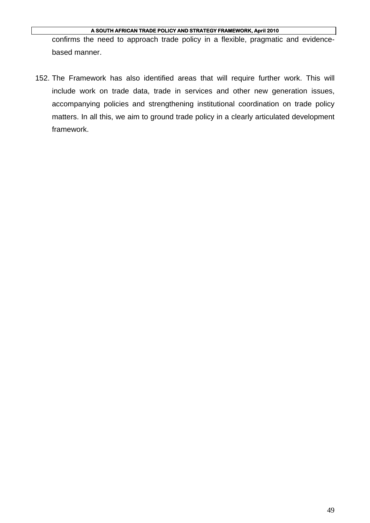confirms the need to approach trade policy in a flexible, pragmatic and evidencebased manner.

152. The Framework has also identified areas that will require further work. This will include work on trade data, trade in services and other new generation issues, accompanying policies and strengthening institutional coordination on trade policy matters. In all this, we aim to ground trade policy in a clearly articulated development framework.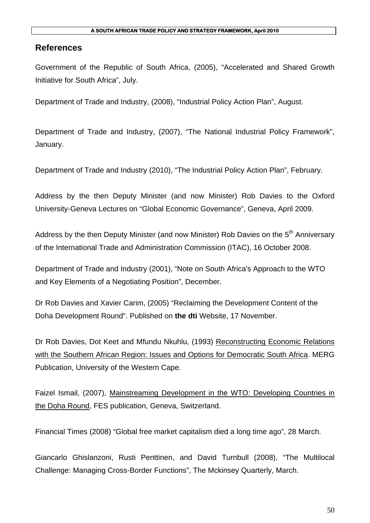### **References**

Government of the Republic of South Africa, (2005), "Accelerated and Shared Growth Initiative for South Africa", July.

Department of Trade and Industry, (2008), "Industrial Policy Action Plan", August.

Department of Trade and Industry, (2007), "The National Industrial Policy Framework", January.

Department of Trade and Industry (2010), "The Industrial Policy Action Plan", February.

Address by the then Deputy Minister (and now Minister) Rob Davies to the Oxford University-Geneva Lectures on "Global Economic Governance", Geneva, April 2009.

Address by the then Deputy Minister (and now Minister) Rob Davies on the 5<sup>th</sup> Anniversarv of the International Trade and Administration Commission (ITAC), 16 October 2008.

Department of Trade and Industry (2001), "Note on South Africa's Approach to the WTO and Key Elements of a Negotiating Position", December.

Dr Rob Davies and Xavier Carim, (2005) "Reclaiming the Development Content of the Doha Development Round". Published on **the dti** Website, 17 November.

Dr Rob Davies, Dot Keet and Mfundu Nkuhlu, (1993) Reconstructing Economic Relations with the Southern African Region: Issues and Options for Democratic South Africa. MERG Publication, University of the Western Cape.

Faizel Ismail, (2007), Mainstreaming Development in the WTO: Developing Countries in the Doha Round, FES publication, Geneva, Switzerland.

Financial Times (2008) "Global free market capitalism died a long time ago", 28 March.

Giancarlo Ghislanzoni, Rusti Penttinen, and David Turnbull (2008), "The Multilocal Challenge: Managing Cross-Border Functions", The Mckinsey Quarterly, March.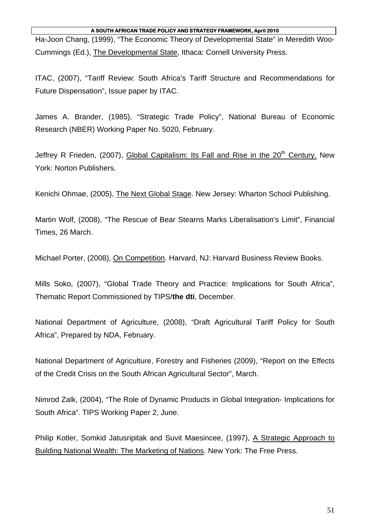Ha-Joon Chang, (1999), "The Economic Theory of Developmental State" in Meredith Woo-Cummings (Ed.), The Developmental State, Ithaca: Cornell University Press.

ITAC, (2007), "Tariff Review: South Africa's Tariff Structure and Recommendations for Future Dispensation", Issue paper by ITAC.

James A. Brander, (1985), "Strategic Trade Policy", National Bureau of Economic Research (NBER) Working Paper No. 5020, February.

Jeffrey R Frieden, (2007), Global Capitalism: Its Fall and Rise in the  $20<sup>th</sup>$  Century. New York: Norton Publishers.

Kenichi Ohmae, (2005), The Next Global Stage. New Jersey: Wharton School Publishing.

Martin Wolf, (2008), "The Rescue of Bear Stearns Marks Liberalisation's Limit", Financial Times, 26 March.

Michael Porter, (2008), On Competition. Harvard, NJ: Harvard Business Review Books.

Mills Soko, (2007), "Global Trade Theory and Practice: Implications for South Africa", Thematic Report Commissioned by TIPS/**the dti**, December.

National Department of Agriculture, (2008), "Draft Agricultural Tariff Policy for South Africa", Prepared by NDA, February.

National Department of Agriculture, Forestry and Fisheries (2009), "Report on the Effects of the Credit Crisis on the South African Agricultural Sector", March.

Nimrod Zalk, (2004), "The Role of Dynamic Products in Global Integration- Implications for South Africa". TIPS Working Paper 2, June.

Philip Kotler, Somkid Jatusripitak and Suvit Maesincee, (1997), A Strategic Approach to Building National Wealth: The Marketing of Nations. New York: The Free Press.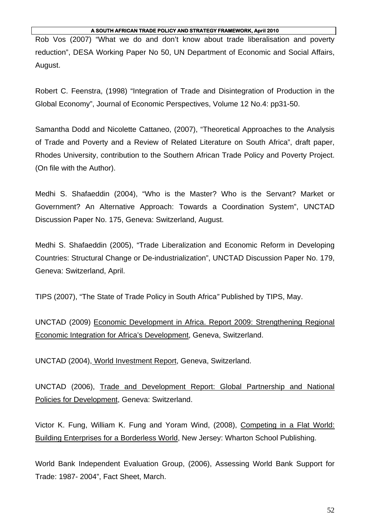Rob Vos (2007) "What we do and don't know about trade liberalisation and poverty reduction", DESA Working Paper No 50, UN Department of Economic and Social Affairs, August.

Robert C. Feenstra, (1998) "Integration of Trade and Disintegration of Production in the Global Economy", Journal of Economic Perspectives, Volume 12 No.4: pp31-50.

Samantha Dodd and Nicolette Cattaneo, (2007), "Theoretical Approaches to the Analysis of Trade and Poverty and a Review of Related Literature on South Africa", draft paper, Rhodes University, contribution to the Southern African Trade Policy and Poverty Project. (On file with the Author).

Medhi S. Shafaeddin (2004), "Who is the Master? Who is the Servant? Market or Government? An Alternative Approach: Towards a Coordination System", UNCTAD Discussion Paper No. 175, Geneva: Switzerland, August.

Medhi S. Shafaeddin (2005), "Trade Liberalization and Economic Reform in Developing Countries: Structural Change or De-industrialization", UNCTAD Discussion Paper No. 179, Geneva: Switzerland, April.

TIPS (2007), "The State of Trade Policy in South Africa*"* Published by TIPS, May.

UNCTAD (2009) Economic Development in Africa. Report 2009: Strengthening Regional Economic Integration for Africa's Development, Geneva, Switzerland.

UNCTAD (2004), World Investment Report, Geneva, Switzerland.

UNCTAD (2006), Trade and Development Report: Global Partnership and National Policies for Development, Geneva: Switzerland.

Victor K. Fung, William K. Fung and Yoram Wind, (2008), Competing in a Flat World: Building Enterprises for a Borderless World, New Jersey: Wharton School Publishing.

World Bank Independent Evaluation Group, (2006), Assessing World Bank Support for Trade: 1987- 2004", Fact Sheet, March.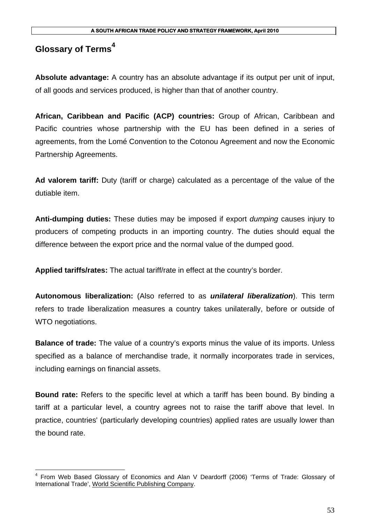# **Glossary of Terms<sup>4</sup>**

**Absolute advantage:** A country has an absolute advantage if its output per unit of input, of all goods and services produced, is higher than that of another country.

**African, Caribbean and Pacific (ACP) countries:** Group of African, Caribbean and Pacific countries whose partnership with the EU has been defined in a series of agreements, from the Lomé Convention to the Cotonou Agreement and now the Economic Partnership Agreements.

**Ad valorem tariff:** Duty (tariff or charge) calculated as a percentage of the value of the dutiable item.

**Anti-dumping duties:** These duties may be imposed if export *dumping* causes injury to producers of competing products in an importing country. The duties should equal the difference between the export price and the normal value of the dumped good.

**Applied tariffs/rates:** The actual tariff/rate in effect at the country's border.

**Autonomous liberalization:** (Also referred to as *unilateral liberalization*). This term refers to trade liberalization measures a country takes unilaterally, before or outside of WTO negotiations.

**Balance of trade:** The value of a country's exports minus the value of its imports. Unless specified as a balance of merchandise trade, it normally incorporates trade in services, including earnings on financial assets.

**Bound rate:** Refers to the specific level at which a tariff has been bound. By binding a tariff at a particular level, a country agrees not to raise the tariff above that level. In practice, countries' (particularly developing countries) applied rates are usually lower than the bound rate.

 4 From Web Based Glossary of Economics and Alan V Deardorff (2006) 'Terms of Trade: Glossary of International Trade', World Scientific Publishing Company.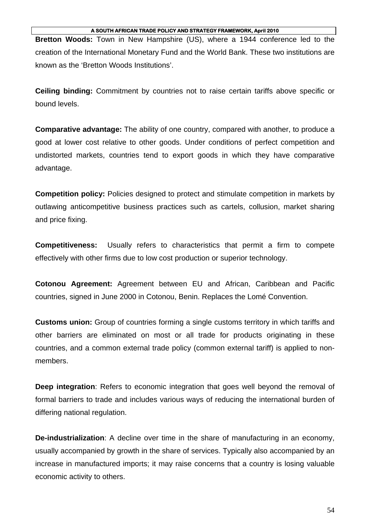**Bretton Woods:** Town in New Hampshire (US), where a 1944 conference led to the creation of the International Monetary Fund and the World Bank. These two institutions are known as the 'Bretton Woods Institutions'.

**Ceiling binding:** Commitment by countries not to raise certain tariffs above specific or bound levels.

**Comparative advantage:** The ability of one country, compared with another, to produce a good at lower cost relative to other goods. Under conditions of perfect competition and undistorted markets, countries tend to export goods in which they have comparative advantage.

**Competition policy:** Policies designed to protect and stimulate competition in markets by outlawing anticompetitive business practices such as cartels, collusion, market sharing and price fixing.

**Competitiveness:** Usually refers to characteristics that permit a firm to compete effectively with other firms due to low cost production or superior technology.

**Cotonou Agreement:** Agreement between EU and African, Caribbean and Pacific countries, signed in June 2000 in Cotonou, Benin. Replaces the Lomé Convention.

**Customs union:** Group of countries forming a single customs territory in which tariffs and other barriers are eliminated on most or all trade for products originating in these countries, and a common external trade policy (common external tariff) is applied to nonmembers.

**Deep integration**: Refers to economic integration that goes well beyond the removal of formal barriers to trade and includes various ways of reducing the international burden of differing national regulation.

**De-industrialization**: A decline over time in the share of manufacturing in an economy, usually accompanied by growth in the share of services. Typically also accompanied by an increase in manufactured imports; it may raise concerns that a country is losing valuable economic activity to others.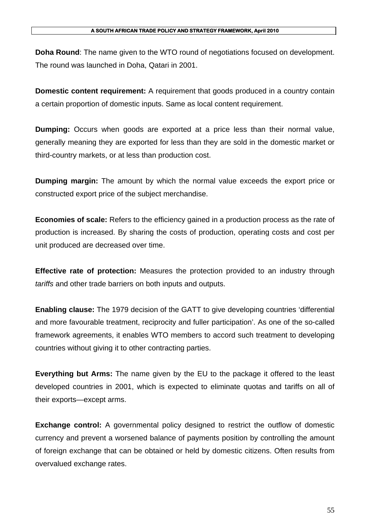**Doha Round**: The name given to the WTO round of negotiations focused on development. The round was launched in Doha, Qatari in 2001.

**Domestic content requirement:** A requirement that goods produced in a country contain a certain proportion of domestic inputs. Same as local content requirement.

**Dumping:** Occurs when goods are exported at a price less than their normal value, generally meaning they are exported for less than they are sold in the domestic market or third-country markets, or at less than production cost.

**Dumping margin:** The amount by which the normal value exceeds the export price or constructed export price of the subject merchandise.

**Economies of scale:** Refers to the efficiency gained in a production process as the rate of production is increased. By sharing the costs of production, operating costs and cost per unit produced are decreased over time.

**Effective rate of protection:** Measures the protection provided to an industry through *tariffs* and other trade barriers on both inputs and outputs.

**Enabling clause:** The 1979 decision of the GATT to give developing countries 'differential and more favourable treatment, reciprocity and fuller participation'. As one of the so-called framework agreements, it enables WTO members to accord such treatment to developing countries without giving it to other contracting parties.

**Everything but Arms:** The name given by the EU to the package it offered to the least developed countries in 2001, which is expected to eliminate quotas and tariffs on all of their exports—except arms.

**Exchange control:** A governmental policy designed to restrict the outflow of domestic currency and prevent a worsened balance of payments position by controlling the amount of foreign exchange that can be obtained or held by domestic citizens. Often results from overvalued exchange rates.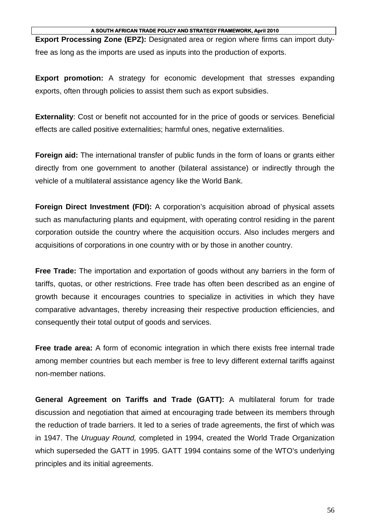**Export Processing Zone (EPZ):** Designated area or region where firms can import dutyfree as long as the imports are used as inputs into the production of exports.

**Export promotion:** A strategy for economic development that stresses expanding exports, often through policies to assist them such as export subsidies.

**Externality**: Cost or benefit not accounted for in the price of goods or services. Beneficial effects are called positive externalities; harmful ones, negative externalities.

**Foreign aid:** The international transfer of public funds in the form of loans or grants either directly from one government to another (bilateral assistance) or indirectly through the vehicle of a multilateral assistance agency like the World Bank.

**Foreign Direct Investment (FDI):** A corporation's acquisition abroad of physical assets such as manufacturing plants and equipment, with operating control residing in the parent corporation outside the country where the acquisition occurs. Also includes mergers and acquisitions of corporations in one country with or by those in another country.

**Free Trade:** The importation and exportation of goods without any barriers in the form of tariffs, quotas, or other restrictions. Free trade has often been described as an engine of growth because it encourages countries to specialize in activities in which they have comparative advantages, thereby increasing their respective production efficiencies, and consequently their total output of goods and services.

**Free trade area:** A form of economic integration in which there exists free internal trade among member countries but each member is free to levy different external tariffs against non-member nations.

**General Agreement on Tariffs and Trade (GATT):** A multilateral forum for trade discussion and negotiation that aimed at encouraging trade between its members through the reduction of trade barriers. It led to a series of trade agreements, the first of which was in 1947. The *Uruguay Round,* completed in 1994, created the World Trade Organization which superseded the GATT in 1995. GATT 1994 contains some of the WTO's underlying principles and its initial agreements.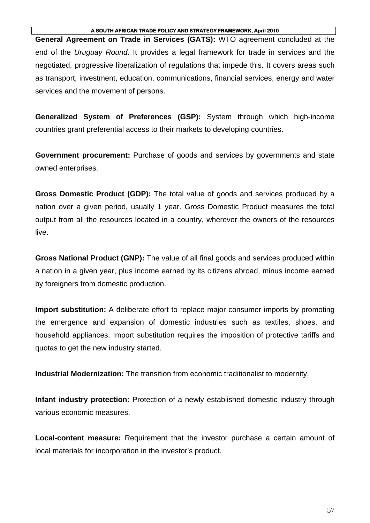**General Agreement on Trade in Services (GATS):** WTO agreement concluded at the end of the *Uruguay Round*. It provides a legal framework for trade in services and the negotiated, progressive liberalization of regulations that impede this. It covers areas such as transport, investment, education, communications, financial services, energy and water services and the movement of persons.

**Generalized System of Preferences (GSP):** System through which high-income countries grant preferential access to their markets to developing countries.

**Government procurement:** Purchase of goods and services by governments and state owned enterprises.

**Gross Domestic Product (GDP):** The total value of goods and services produced by a nation over a given period, usually 1 year. Gross Domestic Product measures the total output from all the resources located in a country, wherever the owners of the resources live.

**Gross National Product (GNP):** The value of all final goods and services produced within a nation in a given year, plus income earned by its citizens abroad, minus income earned by foreigners from domestic production.

**Import substitution:** A deliberate effort to replace major consumer imports by promoting the emergence and expansion of domestic industries such as textiles, shoes, and household appliances. Import substitution requires the imposition of protective tariffs and quotas to get the new industry started.

**Industrial Modernization:** The transition from economic traditionalist to modernity.

**Infant industry protection:** Protection of a newly established domestic industry through various economic measures.

**Local-content measure:** Requirement that the investor purchase a certain amount of local materials for incorporation in the investor's product.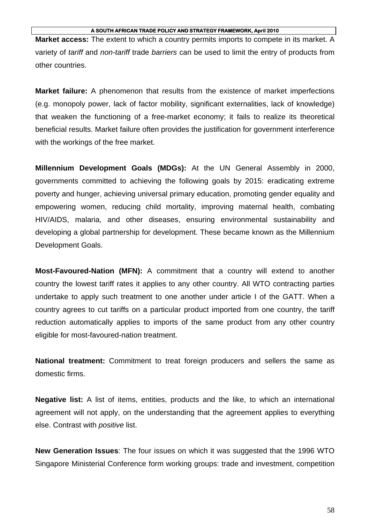**Market access:** The extent to which a country permits imports to compete in its market. A variety of *tariff* and *non-tariff* trade *barriers* can be used to limit the entry of products from other countries.

**Market failure:** A phenomenon that results from the existence of market imperfections (e.g. monopoly power, lack of factor mobility, significant externalities, lack of knowledge) that weaken the functioning of a free-market economy; it fails to realize its theoretical beneficial results. Market failure often provides the justification for government interference with the workings of the free market.

**Millennium Development Goals (MDGs):** At the UN General Assembly in 2000, governments committed to achieving the following goals by 2015: eradicating extreme poverty and hunger, achieving universal primary education, promoting gender equality and empowering women, reducing child mortality, improving maternal health, combating HIV/AIDS, malaria, and other diseases, ensuring environmental sustainability and developing a global partnership for development. These became known as the Millennium Development Goals.

**Most-Favoured-Nation (MFN):** A commitment that a country will extend to another country the lowest tariff rates it applies to any other country. All WTO contracting parties undertake to apply such treatment to one another under article I of the GATT. When a country agrees to cut tariffs on a particular product imported from one country, the tariff reduction automatically applies to imports of the same product from any other country eligible for most-favoured-nation treatment.

**National treatment:** Commitment to treat foreign producers and sellers the same as domestic firms.

**Negative list:** A list of items, entities, products and the like, to which an international agreement will not apply, on the understanding that the agreement applies to everything else. Contrast with *positive* list.

**New Generation Issues**: The four issues on which it was suggested that the 1996 WTO Singapore Ministerial Conference form working groups: trade and investment, competition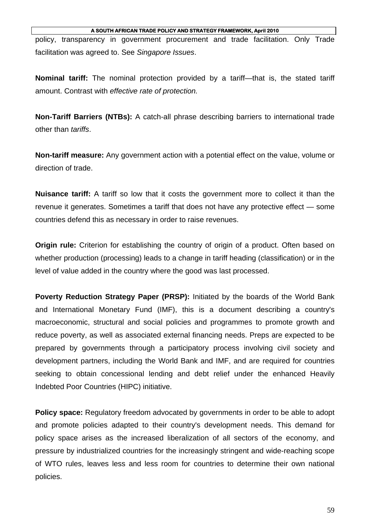policy, transparency in government procurement and trade facilitation. Only Trade facilitation was agreed to. See *Singapore Issues*.

**Nominal tariff:** The nominal protection provided by a tariff—that is, the stated tariff amount. Contrast with *effective rate of protection.* 

**Non-Tariff Barriers (NTBs):** A catch-all phrase describing barriers to international trade other than *tariffs*.

**Non-tariff measure:** Any government action with a potential effect on the value, volume or direction of trade.

**Nuisance tariff:** A tariff so low that it costs the government more to collect it than the revenue it generates. Sometimes a tariff that does not have any protective effect — some countries defend this as necessary in order to raise revenues.

**Origin rule:** Criterion for establishing the country of origin of a product. Often based on whether production (processing) leads to a change in tariff heading (classification) or in the level of value added in the country where the good was last processed.

**Poverty Reduction Strategy Paper (PRSP):** Initiated by the boards of the World Bank and International Monetary Fund (IMF), this is a document describing a country's macroeconomic, structural and social policies and programmes to promote growth and reduce poverty, as well as associated external financing needs. Preps are expected to be prepared by governments through a participatory process involving civil society and development partners, including the World Bank and IMF, and are required for countries seeking to obtain concessional lending and debt relief under the enhanced Heavily Indebted Poor Countries (HIPC) initiative.

**Policy space:** Regulatory freedom advocated by governments in order to be able to adopt and promote policies adapted to their country's development needs. This demand for policy space arises as the increased liberalization of all sectors of the economy, and pressure by industrialized countries for the increasingly stringent and wide-reaching scope of WTO rules, leaves less and less room for countries to determine their own national policies.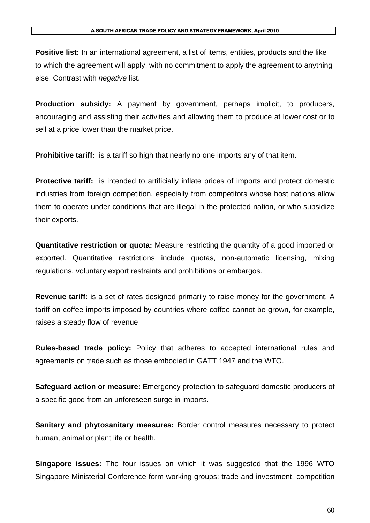**Positive list:** In an international agreement, a list of items, entities, products and the like to which the agreement will apply, with no commitment to apply the agreement to anything else. Contrast with *negative* list.

**Production subsidy:** A payment by government, perhaps implicit, to producers, encouraging and assisting their activities and allowing them to produce at lower cost or to sell at a price lower than the market price.

**Prohibitive tariff:** is a tariff so high that nearly no one imports any of that item.

**Protective tariff:** is intended to artificially inflate prices of imports and protect domestic industries from foreign competition, especially from competitors whose host nations allow them to operate under conditions that are illegal in the protected nation, or who subsidize their exports.

**Quantitative restriction or quota:** Measure restricting the quantity of a good imported or exported. Quantitative restrictions include quotas, non-automatic licensing, mixing regulations, voluntary export restraints and prohibitions or embargos.

**Revenue tariff:** is a set of rates designed primarily to raise money for the government. A tariff on coffee imports imposed by countries where coffee cannot be grown, for example, raises a steady flow of revenue

**Rules-based trade policy:** Policy that adheres to accepted international rules and agreements on trade such as those embodied in GATT 1947 and the WTO.

**Safeguard action or measure:** Emergency protection to safeguard domestic producers of a specific good from an unforeseen surge in imports.

**Sanitary and phytosanitary measures:** Border control measures necessary to protect human, animal or plant life or health.

**Singapore issues:** The four issues on which it was suggested that the 1996 WTO Singapore Ministerial Conference form working groups: trade and investment, competition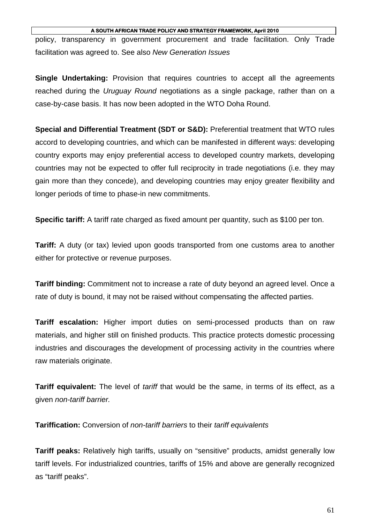policy, transparency in government procurement and trade facilitation. Only Trade facilitation was agreed to. See also *New Generation Issues*

**Single Undertaking:** Provision that requires countries to accept all the agreements reached during the *Uruguay Round* negotiations as a single package, rather than on a case-by-case basis. It has now been adopted in the WTO Doha Round.

**Special and Differential Treatment (SDT or S&D):** Preferential treatment that WTO rules accord to developing countries, and which can be manifested in different ways: developing country exports may enjoy preferential access to developed country markets, developing countries may not be expected to offer full reciprocity in trade negotiations (i.e. they may gain more than they concede), and developing countries may enjoy greater flexibility and longer periods of time to phase-in new commitments.

**Specific tariff:** A tariff rate charged as fixed amount per quantity, such as \$100 per ton.

**Tariff:** A duty (or tax) levied upon goods transported from one customs area to another either for protective or revenue purposes.

**Tariff binding:** Commitment not to increase a rate of duty beyond an agreed level. Once a rate of duty is bound, it may not be raised without compensating the affected parties.

**Tariff escalation:** Higher import duties on semi-processed products than on raw materials, and higher still on finished products. This practice protects domestic processing industries and discourages the development of processing activity in the countries where raw materials originate.

**Tariff equivalent:** The level of *tariff* that would be the same, in terms of its effect, as a given *non-tariff barrier.* 

**Tariffication:** Conversion of *non-tariff barriers* to their *tariff equivalents* 

**Tariff peaks:** Relatively high tariffs, usually on "sensitive" products, amidst generally low tariff levels. For industrialized countries, tariffs of 15% and above are generally recognized as "tariff peaks".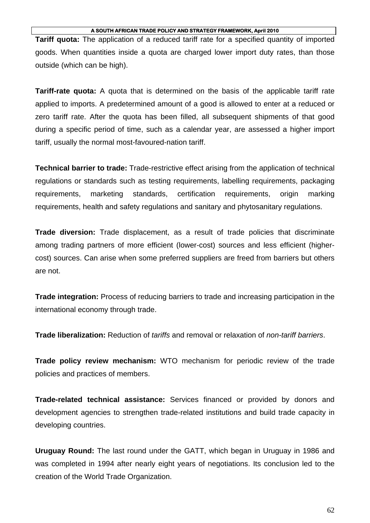**Tariff quota:** The application of a reduced tariff rate for a specified quantity of imported goods. When quantities inside a quota are charged lower import duty rates, than those outside (which can be high).

**Tariff-rate quota:** A quota that is determined on the basis of the applicable tariff rate applied to imports. A predetermined amount of a good is allowed to enter at a reduced or zero tariff rate. After the quota has been filled, all subsequent shipments of that good during a specific period of time, such as a calendar year, are assessed a higher import tariff, usually the normal most-favoured-nation tariff.

**Technical barrier to trade:** Trade-restrictive effect arising from the application of technical regulations or standards such as testing requirements, labelling requirements, packaging requirements, marketing standards, certification requirements, origin marking requirements, health and safety regulations and sanitary and phytosanitary regulations.

**Trade diversion:** Trade displacement, as a result of trade policies that discriminate among trading partners of more efficient (lower-cost) sources and less efficient (highercost) sources. Can arise when some preferred suppliers are freed from barriers but others are not.

**Trade integration:** Process of reducing barriers to trade and increasing participation in the international economy through trade.

**Trade liberalization:** Reduction of *tariffs* and removal or relaxation of *non-tariff barriers*.

**Trade policy review mechanism:** WTO mechanism for periodic review of the trade policies and practices of members.

**Trade-related technical assistance:** Services financed or provided by donors and development agencies to strengthen trade-related institutions and build trade capacity in developing countries.

**Uruguay Round:** The last round under the GATT, which began in Uruguay in 1986 and was completed in 1994 after nearly eight years of negotiations. Its conclusion led to the creation of the World Trade Organization.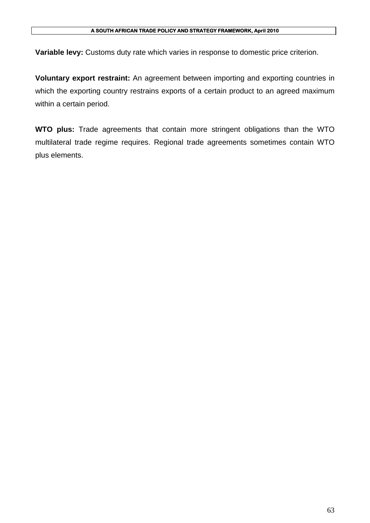**Variable levy:** Customs duty rate which varies in response to domestic price criterion.

**Voluntary export restraint:** An agreement between importing and exporting countries in which the exporting country restrains exports of a certain product to an agreed maximum within a certain period.

**WTO plus:** Trade agreements that contain more stringent obligations than the WTO multilateral trade regime requires. Regional trade agreements sometimes contain WTO plus elements.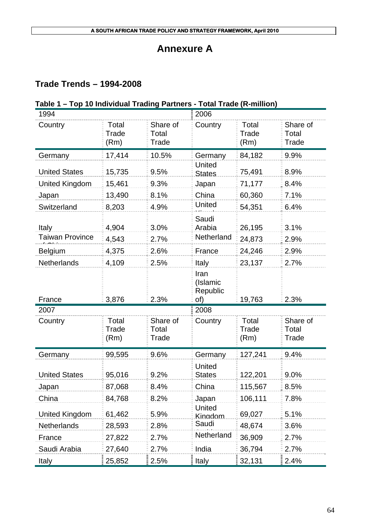# **Annexure A**

# **Trade Trends – 1994-2008**

# **Table 1 – Top 10 Individual Trading Partners - Total Trade (R-million)**

| 1994                   |                        |                            | 2006                                |                        |                            |
|------------------------|------------------------|----------------------------|-------------------------------------|------------------------|----------------------------|
| Country                | Total<br>Trade<br>(Rm) | Share of<br>Total<br>Trade | Country                             | Total<br>Trade<br>(Rm) | Share of<br>Total<br>Trade |
| Germany                | 17,414                 | 10.5%                      | Germany                             | 84,182                 | 9.9%                       |
| <b>United States</b>   | 15,735                 | 9.5%                       | <b>United</b>                       | 75,491                 | 8.9%                       |
| <b>United Kingdom</b>  | 15,461                 | 9.3%                       | States<br>Japan                     | 71,177                 | 8.4%                       |
|                        | 13,490                 | 8.1%                       | China                               | 60,360                 | 7.1%                       |
| Japan<br>Switzerland   | 8,203                  | 4.9%                       | United                              | 54,351                 | 6.4%                       |
|                        |                        |                            |                                     |                        |                            |
| Italy                  | 4,904                  | 3.0%                       | Saudi<br>Arabia                     | 26,195                 | 3.1%                       |
| <b>Taiwan Province</b> | 4,543                  | 2.7%                       | Netherland                          | 24,873                 | 2.9%                       |
| <b>Belgium</b>         | 4,375                  | 2.6%                       | France                              | 24,246                 | 2.9%                       |
| <b>Netherlands</b>     | 4,109                  | 2.5%                       | Italy                               | 23,137                 | 2.7%                       |
| France                 | 3,876                  | 2.3%                       | Iran<br>(Islamic<br>Republic<br>of) | 19,763                 | 2.3%                       |
| 2007                   |                        |                            | 2008                                |                        |                            |
| Country                | Total<br>Trade<br>(Rm) | Share of<br>Total<br>Trade | Country                             | Total<br>Trade<br>(Rm) | Share of<br>Total<br>Trade |
| Germany                | 99,595                 | 9.6%                       | Germany                             | 127,241                | 9.4%                       |
| <b>United States</b>   | 95,016                 | 9.2%                       | <b>United</b><br><b>States</b>      | 122,201                | 9.0%                       |
| Japan                  | 87,068                 | 8.4%                       | China                               | 115,567                | 8.5%                       |
| China                  | 84,768                 | 8.2%                       | Japan                               | 106,111                | 7.8%                       |
| <b>United Kingdom</b>  | 61,462                 | 5.9%                       | <b>United</b><br>Kinadom            | 69,027                 | 5.1%                       |
| Netherlands            | 28,593                 | 2.8%                       | Saudi                               | 48,674                 | 3.6%                       |
| France                 | 27,822                 | 2.7%                       | Netherland                          | 36,909                 | 2.7%                       |
| Saudi Arabia           | 27,640                 | 2.7%                       | India                               | 36,794                 | 2.7%                       |
|                        |                        |                            |                                     | 32,131                 |                            |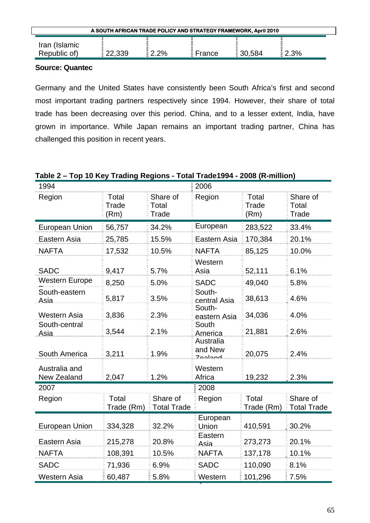| A SOUTH AFRICAN TRADE POLICY AND STRATEGY FRAMEWORK, April 2010 |        |         |        |        |      |  |
|-----------------------------------------------------------------|--------|---------|--------|--------|------|--|
| Iran (Islamic                                                   |        |         |        |        |      |  |
| Republic of)                                                    | 22,339 | $2.2\%$ | France | 30,584 | 2.3% |  |

Germany and the United States have consistently been South Africa's first and second most important trading partners respectively since 1994. However, their share of total trade has been decreasing over this period. China, and to a lesser extent, India, have grown in importance. While Japan remains an important trading partner, China has challenged this position in recent years.

# **Table 2 – Top 10 Key Trading Regions - Total Trade1994 - 2008 (R-million)**

| 1994                         |                        |                                      | 2006                              |                                   |                                |  |
|------------------------------|------------------------|--------------------------------------|-----------------------------------|-----------------------------------|--------------------------------|--|
| Region                       | Total<br>Trade<br>(Rm) | Share of<br>Total<br>Trade           | Region                            | Total<br>Trade<br>(Rm)            | Share of<br>Total<br>Trade     |  |
| <b>European Union</b>        | 56,757                 | 34.2%                                | European                          | 283,522                           | 33.4%                          |  |
| Eastern Asia                 | 25,785                 | 15.5%                                | Eastern Asia                      | 170,384                           | 20.1%                          |  |
| <b>NAFTA</b>                 | 17,532                 | 10.5%                                | <b>NAFTA</b>                      | 85,125                            | 10.0%                          |  |
| <b>SADC</b>                  | 9,417                  | 5.7%                                 | Western<br>Asia                   | 52,111                            | 6.1%                           |  |
| <b>Western Europe</b>        | 8,250                  | 5.0%                                 | <b>SADC</b>                       | 49,040                            | 5.8%                           |  |
| South-eastern<br>Asia        | 5,817                  | 3.5%                                 | South-<br>central Asia.<br>South- | 38,613                            | 4.6%                           |  |
| <b>Western Asia</b>          | 3,836                  | 2.3%                                 | eastern Asia                      | 34,036                            | 4.0%                           |  |
| South-central<br>Asia        | 3,544                  | 2.1%                                 | South<br>America                  | 21,881                            | 2.6%                           |  |
| South America                | 3,211                  | 1.9%                                 | Australia<br>and New<br>Zoolond   | 20,075                            | 2.4%                           |  |
| Australia and<br>New Zealand | 2,047                  | 1.2%                                 | Western<br>Africa                 | 19,232                            | 2.3%                           |  |
| 2007                         |                        |                                      | 2008                              |                                   |                                |  |
| Region                       | Total                  | Share of<br>Trade (Rm) : Total Trade | Region                            | Total<br>Trade (Rm) $\frac{1}{2}$ | Share of<br><b>Total Trade</b> |  |
| <b>European Union</b>        | 334,328                | 32.2%                                | European<br>Union                 | 410,591                           | 30.2%                          |  |
| Eastern Asia                 | 215,278                | 20.8%                                | Eastern<br>Asia                   | 273,273                           | 20.1%                          |  |
| <b>NAFTA</b>                 | 108,391                | 10.5%                                | <b>NAFTA</b>                      | 137,178                           | 10.1%                          |  |
| <b>SADC</b>                  | 71,936                 | 6.9%                                 | <b>SADC</b>                       | 110,090                           | 8.1%                           |  |
| Western Asia                 | 60,487                 | 5.8%                                 | Western                           | 101,296                           | $\frac{1}{2}$ 7.5%             |  |
|                              |                        |                                      |                                   |                                   |                                |  |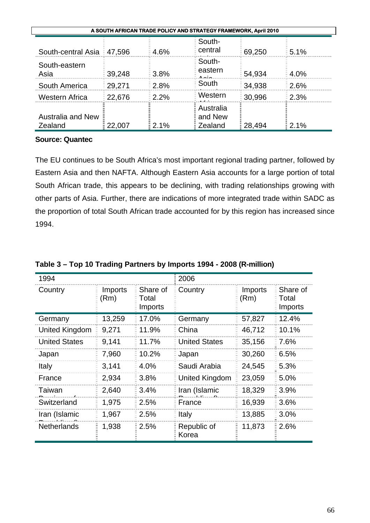| A SOUTH AFRICAN TRADE POLICY AND STRATEGY FRAMEWORK, April 2010 |        |             |                                  |        |                       |  |
|-----------------------------------------------------------------|--------|-------------|----------------------------------|--------|-----------------------|--|
| South-central Asia : 47,596                                     |        | $= 4.6\%$   | South-<br>central                | 69,250 | 5.1%                  |  |
| South-eastern<br>Asia                                           | 39,248 | $= 3.8\%$   | South-<br>eastern<br>^~:~        | 54,934 | 4.0%                  |  |
| South America                                                   | 29,271 | $2.8\%$     | South                            | 34,938 | 2.6%                  |  |
| <b>Western Africa</b>                                           | 22,676 | $= 2.2\%$   | Western                          | 30,996 | $\frac{2.3\%}{2.3\%}$ |  |
| <b>Australia and New</b><br>Zealand                             | 22,007 | $\pm 2.1\%$ | Australia<br>and New<br>EZealand | 28,494 | $= 2.1\%$             |  |

The EU continues to be South Africa's most important regional trading partner, followed by Eastern Asia and then NAFTA. Although Eastern Asia accounts for a large portion of total South African trade, this appears to be declining, with trading relationships growing with other parts of Asia. Further, there are indications of more integrated trade within SADC as the proportion of total South African trade accounted for by this region has increased since 1994.

| 1994                 |                 |                              | 2006                 |                 |                              |
|----------------------|-----------------|------------------------------|----------------------|-----------------|------------------------------|
| Country              | Imports<br>(Rm) | Share of<br>Total<br>Imports | Country              | Imports<br>(Rm) | Share of<br>Total<br>Imports |
| Germany              | 13,259          | 17.0%                        | Germany              | 57,827          | 12.4%                        |
| United Kingdom       | 9,271           | 11.9%                        | China                | 46,712          | 10.1%                        |
| <b>United States</b> | 9,141           | 11.7%                        | <b>United States</b> | 35,156          | 7.6%                         |
| Japan                | 7,960           | 10.2%                        | Japan                | 30,260          | 6.5%                         |
| <b>Italy</b>         | 3,141           | 4.0%                         | Saudi Arabia         | 24,545          | 5.3%                         |
| France               | 2,934           | 3.8%                         | United Kingdom       | 23,059          | 5.0%                         |
| Taiwan               | 2,640           | 3.4%                         | Iran (Islamic        | 18,329          | 3.9%                         |
| Switzerland          | 1,975           | 2.5%                         | France               | 16,939          | 3.6%                         |
| Iran (Islamic        | 1,967           | 2.5%                         | Italy                | 13,885          | 3.0%                         |
| <b>Netherlands</b>   | 1,938           | 2.5%                         | Republic of<br>Korea | 11,873          | 2.6%                         |

**Table 3 – Top 10 Trading Partners by Imports 1994 - 2008 (R-million)**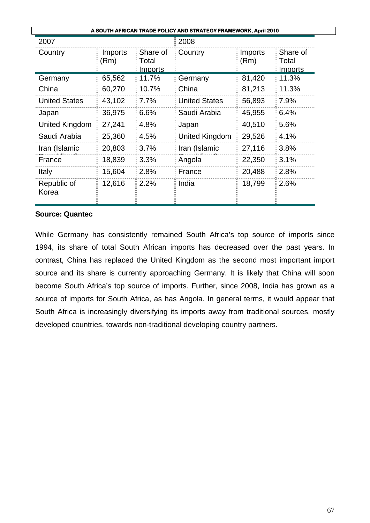| A SOUTH AFRICAN TRADE POLICY AND STRATEGY FRAMEWORK, April 2010 |                 |                                     |                       |                 |                              |  |  |
|-----------------------------------------------------------------|-----------------|-------------------------------------|-----------------------|-----------------|------------------------------|--|--|
| 2007                                                            |                 |                                     | 2008                  |                 |                              |  |  |
| Country                                                         | Imports<br>(Rm) | Share of<br>Total<br><b>Imports</b> | Country               | Imports<br>(Rm) | Share of<br>Total<br>Imports |  |  |
| Germany                                                         | 65,562          | 11.7%                               | Germany               | 81,420          | 11.3%                        |  |  |
| China                                                           | 60,270          | 10.7%                               | China                 | 81,213          | 11.3%                        |  |  |
| <b>United States</b>                                            | 43,102          | 7.7%                                | <b>United States</b>  | 56,893          | 7.9%                         |  |  |
| Japan                                                           | 36,975          | 6.6%                                | Saudi Arabia          | 45,955          | 6.4%                         |  |  |
| United Kingdom                                                  | 27,241          | 4.8%                                | Japan                 | 40,510          | 5.6%                         |  |  |
| Saudi Arabia                                                    | 25,360          | 4.5%                                | <b>United Kingdom</b> | 29,526          | 4.1%                         |  |  |
| Iran (Islamic                                                   | 20,803          | 3.7%                                | Iran (Islamic         | 27,116          | 3.8%                         |  |  |
| France                                                          | 18,839          | 3.3%                                | Angola                | 22,350          | 3.1%                         |  |  |
| <b>Italy</b>                                                    | 15,604          | 2.8%                                | France                | 20,488          | 2.8%                         |  |  |
| Republic of<br>Korea                                            | 12,616          | 2.2%                                | India                 | 18,799          | 2.6%                         |  |  |

While Germany has consistently remained South Africa's top source of imports since 1994, its share of total South African imports has decreased over the past years. In contrast, China has replaced the United Kingdom as the second most important import source and its share is currently approaching Germany. It is likely that China will soon become South Africa's top source of imports. Further, since 2008, India has grown as a source of imports for South Africa, as has Angola. In general terms, it would appear that South Africa is increasingly diversifying its imports away from traditional sources, mostly developed countries, towards non-traditional developing country partners.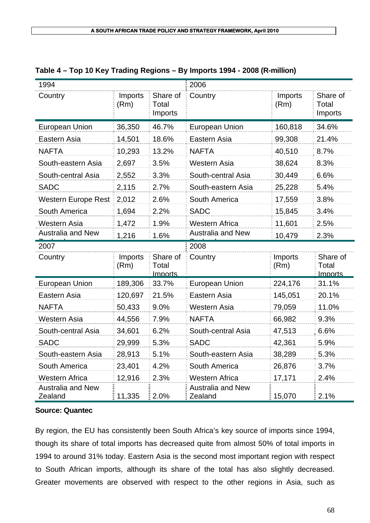| 1994                       |                 |                                     | 2006                     |                 |                              |
|----------------------------|-----------------|-------------------------------------|--------------------------|-----------------|------------------------------|
| Country                    | Imports<br>(Rm) | Share of<br>Total<br>Imports        | Country                  | Imports<br>(Rm) | Share of<br>Total<br>Imports |
| European Union             | 36,350          | 46.7%                               | <b>European Union</b>    | 160,818         | 34.6%                        |
| Eastern Asia               | 14,501          | 18.6%                               | Eastern Asia             | 99,308          | 21.4%                        |
| <b>NAFTA</b>               | 10,293          | 13.2%                               | <b>NAFTA</b>             | 40,510          | 8.7%                         |
| South-eastern Asia         | 2,697           | 3.5%                                | <b>Western Asia</b>      | 38,624          | 8.3%                         |
| South-central Asia         | 2,552           | 3.3%                                | South-central Asia       | 30,449          | 6.6%                         |
| <b>SADC</b>                | 2,115           | 2.7%                                | South-eastern Asia       | 25,228          | 5.4%                         |
| <b>Western Europe Rest</b> | 2,012           | 2.6%                                | South America            | 17,559          | 3.8%                         |
| South America              | 1,694           | 2.2%                                | <b>SADC</b>              | 15,845          | 3.4%                         |
| <b>Western Asia</b>        | 1,472           | 1.9%                                | <b>Western Africa</b>    | 11,601          | 2.5%                         |
| <b>Australia and New</b>   | 1,216           | 1.6%                                | <b>Australia and New</b> | 10,479          | 2.3%                         |
|                            |                 |                                     |                          |                 |                              |
| 2007                       |                 |                                     | 2008                     |                 |                              |
| Country                    | Imports<br>(Rm) | Share of<br>Total<br><b>Imports</b> | Country                  | Imports<br>(Rm) | Share of<br>Total<br>Imports |
| <b>European Union</b>      | 189,306         | 33.7%                               | <b>European Union</b>    | 224,176         | 31.1%                        |
| Eastern Asia               | 120,697         | 21.5%                               | Eastern Asia             | 145,051         | 20.1%                        |
| <b>NAFTA</b>               | 50,433          | 9.0%                                | <b>Western Asia</b>      | 79,059          | 11.0%                        |
| <b>Western Asia</b>        | 44,556          | 7.9%                                | <b>NAFTA</b>             | 66,982          | 9.3%                         |
| South-central Asia         | 34,601          | 6.2%                                | South-central Asia       | 47,513          | 6.6%                         |
| <b>SADC</b>                | 29,999          | 5.3%                                | <b>SADC</b>              | 42,361          | 5.9%                         |
| South-eastern Asia         | 28,913          | 5.1%                                | South-eastern Asia       | 38,289          | 5.3%                         |
| South America              | 23,401          | 4.2%                                | South America            | 26,876          | 3.7%                         |
| <b>Western Africa</b>      | 12,916          | 2.3%                                | <b>Western Africa</b>    | 17,171          | 2.4%                         |

| Table 4 – Top 10 Key Trading Regions – By Imports 1994 - 2008 (R-million) |  |  |  |
|---------------------------------------------------------------------------|--|--|--|
|                                                                           |  |  |  |

By region, the EU has consistently been South Africa's key source of imports since 1994, though its share of total imports has decreased quite from almost 50% of total imports in 1994 to around 31% today. Eastern Asia is the second most important region with respect to South African imports, although its share of the total has also slightly decreased. Greater movements are observed with respect to the other regions in Asia, such as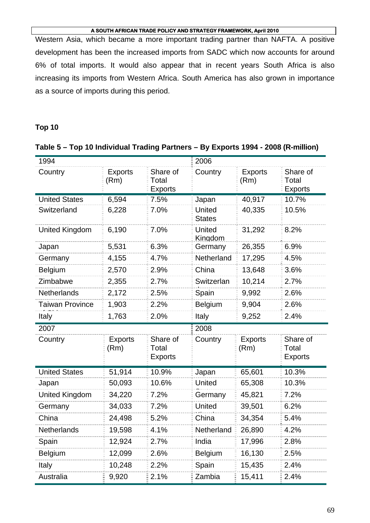Western Asia, which became a more important trading partner than NAFTA. A positive development has been the increased imports from SADC which now accounts for around 6% of total imports. It would also appear that in recent years South Africa is also increasing its imports from Western Africa. South America has also grown in importance as a source of imports during this period.

# **Top 10**

## **Table 5 – Top 10 Individual Trading Partners – By Exports 1994 - 2008 (R-million)**

| 1994                   |                        |                                     | 2006                           |                        |                                     |
|------------------------|------------------------|-------------------------------------|--------------------------------|------------------------|-------------------------------------|
| Country                | <b>Exports</b><br>(Rm) | Share of<br>Total<br><b>Exports</b> | Country                        | <b>Exports</b><br>(Rm) | Share of<br>Total<br><b>Exports</b> |
| <b>United States</b>   | 6,594                  | 7.5%                                | Japan                          | 40,917                 | 10.7%                               |
| Switzerland            | 6,228                  | 7.0%                                | <b>United</b><br><b>States</b> | 40,335                 | 10.5%                               |
| <b>United Kingdom</b>  | 6,190                  | 7.0%                                | United<br>Kingdom              | 31,292                 | 8.2%                                |
| Japan                  | 5,531                  | 6.3%                                | Germany                        | 26,355                 | 6.9%                                |
| Germany                | 4,155                  | 4.7%                                | Netherland                     | 17,295                 | 4.5%                                |
| Belgium                | 2,570                  | 2.9%                                | China                          | 13,648                 | 3.6%                                |
| Zimbabwe               | 2,355                  | 2.7%                                | Switzerlan                     | 10,214                 | 2.7%                                |
| <b>Netherlands</b>     | 2,172                  | 2.5%                                | Spain                          | 9,992                  | 2.6%                                |
| <b>Taiwan Province</b> | 1,903                  | 2.2%                                | <b>Belgium</b><br>9,904        |                        | 2.6%                                |
| Italy                  | 1,763                  | 2.0%                                | 9,252<br>Italy                 |                        | 2.4%                                |
|                        |                        |                                     |                                |                        |                                     |
| 2007                   |                        |                                     | 2008                           |                        |                                     |
| Country                | <b>Exports</b><br>(Rm) | Share of<br>Total<br><b>Exports</b> | Country                        | <b>Exports</b><br>(Rm) | Share of<br>Total<br>Exports        |
| <b>United States</b>   | 51,914                 | 10.9%                               | Japan                          | 65,601                 | 10.3%                               |
| Japan                  | 50,093                 | 10.6%                               | United                         | 65,308                 | 10.3%                               |
| United Kingdom         | 34,220                 | 7.2%                                | Germany                        | 45,821                 | 7.2%                                |
| Germany                | 34,033                 | 7.2%                                | United                         | 39,501                 | 6.2%                                |
| China                  | 24,498                 | 5.2%                                | China                          | 34,354                 | 5.4%                                |
| <b>Netherlands</b>     | 19,598                 | 4.1%                                | Netherland                     | 26,890                 | 4.2%                                |
| Spain                  | 12,924                 | 2.7%                                | India                          | 17,996                 | 2.8%                                |
| Belgium                | 12,099                 | 2.6%                                | Belgium                        | 16,130                 | 2.5%                                |
| <b>Italy</b>           | 10,248                 | 2.2%                                | Spain                          | 15,435                 | 2.4%                                |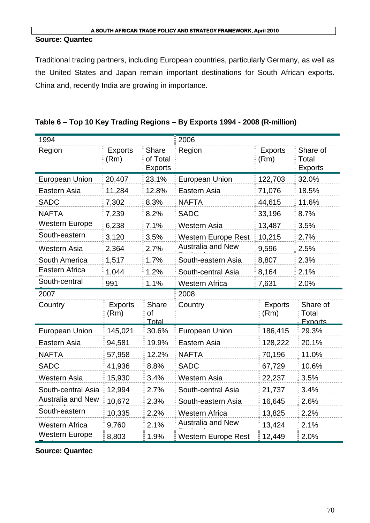### **Source: Quantec**

Traditional trading partners, including European countries, particularly Germany, as well as the United States and Japan remain important destinations for South African exports. China and, recently India are growing in importance.

| 1994                     |                        |                                            | 2006                       |                        |                                     |
|--------------------------|------------------------|--------------------------------------------|----------------------------|------------------------|-------------------------------------|
| Region                   | <b>Exports</b><br>(Rm) | <b>Share</b><br>of Total<br><b>Exports</b> | Region                     | <b>Exports</b><br>(Rm) | Share of<br>Total<br><b>Exports</b> |
| <b>European Union</b>    | 20,407                 | 23.1%                                      | <b>European Union</b>      | 122,703                | 32.0%                               |
| Eastern Asia             | 11,284                 | 12.8%                                      | Eastern Asia               | 71,076                 | 18.5%                               |
| <b>SADC</b>              | 7,302                  | 8.3%                                       | <b>NAFTA</b>               | 44,615                 | 11.6%                               |
| <b>NAFTA</b>             | 7,239                  | 8.2%                                       | <b>SADC</b>                | 33,196                 | 8.7%                                |
| <b>Western Europe</b>    | 6,238                  | 7.1%                                       | <b>Western Asia</b>        | 13,487                 | 3.5%                                |
| South-eastern            | 3,120                  | 3.5%                                       | <b>Western Europe Rest</b> | 10,215                 | 2.7%                                |
| Western Asia             | 2,364                  | 2.7%                                       | <b>Australia and New</b>   | 9,596                  | 2.5%                                |
| South America            | 1,517                  | 1.7%                                       | South-eastern Asia         | 8,807                  | 2.3%                                |
| Eastern Africa           | 1,044                  | 1.2%                                       | South-central Asia         | 8,164                  | 2.1%                                |
| South-central            | 991                    | 1.1%                                       | <b>Western Africa</b>      | 7,631                  | 2.0%                                |
| 2007                     |                        |                                            | 2008                       |                        |                                     |
| Country                  | <b>Exports</b><br>(Rm) | <b>Share</b><br><sub>of</sub><br>Total     | Country                    | <b>Exports</b><br>(Rm) | Share of<br>Total<br>Exports        |
| <b>European Union</b>    | 145,021                | 30.6%                                      | <b>European Union</b>      | 186,415                | 29.3%                               |
| Eastern Asia             | 94,581                 | 19.9%                                      | Eastern Asia               | 128,222                | 20.1%                               |
| <b>NAFTA</b>             | 57,958                 | 12.2%                                      | <b>NAFTA</b>               | 70,196                 | 11.0%                               |
| <b>SADC</b>              | 41,936                 | 8.8%                                       | <b>SADC</b>                | 67,729                 | 10.6%                               |
| <b>Western Asia</b>      | 15,930                 | 3.4%                                       | Western Asia               | 22,237                 | 3.5%                                |
| South-central Asia       | 12,994                 | 2.7%                                       | South-central Asia         | 21,737                 | 3.4%                                |
| <b>Australia and New</b> | 10,672                 | 2.3%                                       | South-eastern Asia         | 16,645                 | 2.6%                                |
| South-eastern            | 10,335                 | 2.2%                                       | <b>Western Africa</b>      | 13,825                 | 2.2%                                |
| <b>Western Africa</b>    | 9,760                  | 2.1%                                       | <b>Australia and New</b>   | 13,424                 | 2.1%                                |
| <b>Western Europe</b>    | $\frac{1}{2}8,803$     | 1.9%                                       | <b>Western Europe Rest</b> | 12,449                 | 2.0%                                |

**Source: Quantec**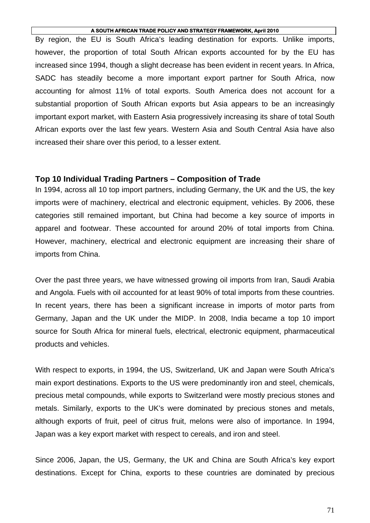By region, the EU is South Africa's leading destination for exports. Unlike imports, however, the proportion of total South African exports accounted for by the EU has increased since 1994, though a slight decrease has been evident in recent years. In Africa, SADC has steadily become a more important export partner for South Africa, now accounting for almost 11% of total exports. South America does not account for a substantial proportion of South African exports but Asia appears to be an increasingly important export market, with Eastern Asia progressively increasing its share of total South African exports over the last few years. Western Asia and South Central Asia have also increased their share over this period, to a lesser extent.

### **Top 10 Individual Trading Partners – Composition of Trade**

In 1994, across all 10 top import partners, including Germany, the UK and the US, the key imports were of machinery, electrical and electronic equipment, vehicles. By 2006, these categories still remained important, but China had become a key source of imports in apparel and footwear. These accounted for around 20% of total imports from China. However, machinery, electrical and electronic equipment are increasing their share of imports from China.

Over the past three years, we have witnessed growing oil imports from Iran, Saudi Arabia and Angola. Fuels with oil accounted for at least 90% of total imports from these countries. In recent years, there has been a significant increase in imports of motor parts from Germany, Japan and the UK under the MIDP. In 2008, India became a top 10 import source for South Africa for mineral fuels, electrical, electronic equipment, pharmaceutical products and vehicles.

With respect to exports, in 1994, the US, Switzerland, UK and Japan were South Africa's main export destinations. Exports to the US were predominantly iron and steel, chemicals, precious metal compounds, while exports to Switzerland were mostly precious stones and metals. Similarly, exports to the UK's were dominated by precious stones and metals, although exports of fruit, peel of citrus fruit, melons were also of importance. In 1994, Japan was a key export market with respect to cereals, and iron and steel.

Since 2006, Japan, the US, Germany, the UK and China are South Africa's key export destinations. Except for China, exports to these countries are dominated by precious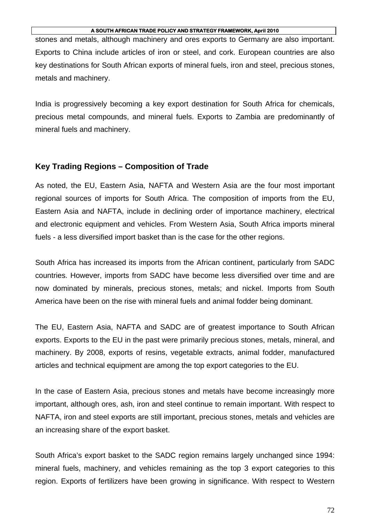stones and metals, although machinery and ores exports to Germany are also important. Exports to China include articles of iron or steel, and cork. European countries are also key destinations for South African exports of mineral fuels, iron and steel, precious stones, metals and machinery.

India is progressively becoming a key export destination for South Africa for chemicals, precious metal compounds, and mineral fuels. Exports to Zambia are predominantly of mineral fuels and machinery.

# **Key Trading Regions – Composition of Trade**

As noted, the EU, Eastern Asia, NAFTA and Western Asia are the four most important regional sources of imports for South Africa. The composition of imports from the EU, Eastern Asia and NAFTA, include in declining order of importance machinery, electrical and electronic equipment and vehicles. From Western Asia, South Africa imports mineral fuels - a less diversified import basket than is the case for the other regions.

South Africa has increased its imports from the African continent, particularly from SADC countries. However, imports from SADC have become less diversified over time and are now dominated by minerals, precious stones, metals; and nickel. Imports from South America have been on the rise with mineral fuels and animal fodder being dominant.

The EU, Eastern Asia, NAFTA and SADC are of greatest importance to South African exports. Exports to the EU in the past were primarily precious stones, metals, mineral, and machinery. By 2008, exports of resins, vegetable extracts, animal fodder, manufactured articles and technical equipment are among the top export categories to the EU.

In the case of Eastern Asia, precious stones and metals have become increasingly more important, although ores, ash, iron and steel continue to remain important. With respect to NAFTA, iron and steel exports are still important, precious stones, metals and vehicles are an increasing share of the export basket.

South Africa's export basket to the SADC region remains largely unchanged since 1994: mineral fuels, machinery, and vehicles remaining as the top 3 export categories to this region. Exports of fertilizers have been growing in significance. With respect to Western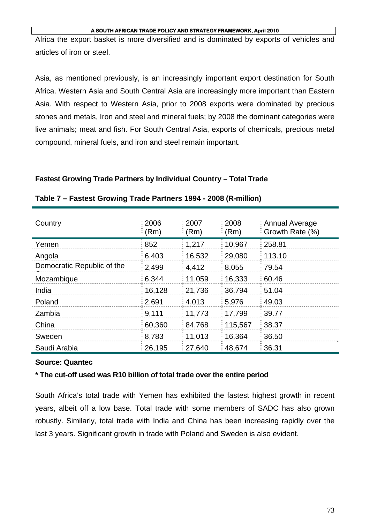Africa the export basket is more diversified and is dominated by exports of vehicles and articles of iron or steel.

Asia, as mentioned previously, is an increasingly important export destination for South Africa. Western Asia and South Central Asia are increasingly more important than Eastern Asia. With respect to Western Asia, prior to 2008 exports were dominated by precious stones and metals, Iron and steel and mineral fuels; by 2008 the dominant categories were live animals; meat and fish. For South Central Asia, exports of chemicals, precious metal compound, mineral fuels, and iron and steel remain important.

### **Fastest Growing Trade Partners by Individual Country – Total Trade**

| Country                    | 2006<br>(Rm)     | 2007<br>(Rm) | 2008<br>(Rm) | <b>Annual Average</b><br>Growth Rate (%) |
|----------------------------|------------------|--------------|--------------|------------------------------------------|
| Yemen                      | $\frac{1}{2}852$ | 1,217        | 10,967       | 258.81                                   |
| Angola                     | 6,403            | 16,532       | 29,080       | 113.10                                   |
| Democratic Republic of the | 2,499            | 4,412        | 8,055        | 79.54                                    |
| Mozambique                 | 6,344            | 11,059       | 16,333       | 60.46                                    |
| India                      | 16,128           | 21,736       | 36,794       | 51.04                                    |
| Poland                     | 2,691            | 4,013        | 5,976        | 49.03                                    |
| Zambia                     | 9,111            | 11,773       | 17,799       | 39.77                                    |
| China                      | 60,360           | 84,768       | 115,567      | 38.37                                    |
| Sweden                     | 8,783            | 11,013       | 16,364       | 36.50                                    |
| Saudi Arabia               | 26,195           | 27,640       | 48,674       | $\frac{1}{2}36.31$                       |

### **Table 7 – Fastest Growing Trade Partners 1994 - 2008 (R-million)**

## **Source: Quantec**

## **\* The cut-off used was R10 billion of total trade over the entire period**

South Africa's total trade with Yemen has exhibited the fastest highest growth in recent years, albeit off a low base. Total trade with some members of SADC has also grown robustly. Similarly, total trade with India and China has been increasing rapidly over the last 3 years. Significant growth in trade with Poland and Sweden is also evident.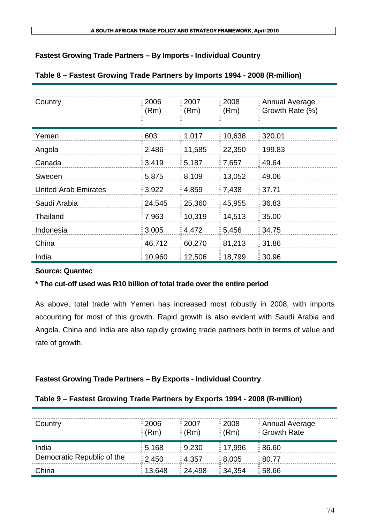# **Fastest Growing Trade Partners – By Imports - Individual Country**

# **Table 8 – Fastest Growing Trade Partners by Imports 1994 - 2008 (R-million)**

| Country                     | 2006<br>(Rm) | 2007<br>(Rm) | 2008<br>(Rm) | Annual Average<br>Growth Rate (%) |
|-----------------------------|--------------|--------------|--------------|-----------------------------------|
| Yemen                       | 603          | 1,017        | 10,638       | 320.01                            |
| Angola                      | 2,486        | 11,585       | 22,350       | 199.83                            |
| Canada                      | 3,419        | 5,187        | 7,657        | 49.64                             |
| Sweden                      | 5,875        | 8,109        | 13,052       | 49.06                             |
| <b>United Arab Emirates</b> | 3,922        | 4,859        | 7,438        | 37.71                             |
| Saudi Arabia                | 24,545       | 25,360       | 45,955       | 36.83                             |
| Thailand                    | 7,963        | 10,319       | 14,513       | 35.00                             |
| Indonesia                   | 3,005        | 4,472        | 5,456        | 34.75                             |
| China                       | 46,712       | 60,270       | 81,213       | 31.86                             |
| India                       | 10,960       | 12,506       | 18,799       | 30.96                             |

# **Source: Quantec**

# **\* The cut-off used was R10 billion of total trade over the entire period**

As above, total trade with Yemen has increased most robustly in 2008, with imports accounting for most of this growth. Rapid growth is also evident with Saudi Arabia and Angola. China and India are also rapidly growing trade partners both in terms of value and rate of growth.

# **Fastest Growing Trade Partners – By Exports - Individual Country**

# **Table 9 – Fastest Growing Trade Partners by Exports 1994 - 2008 (R-million)**

| Country                    | $\frac{2006}{ }$<br>$\frac{1}{2}$ (Rm) | $\frac{1}{2}$ 2007<br>$\frac{1}{2}$ (Rm) | $\frac{1}{2}$ 2008<br>$\in$ (Rm) | <b>E</b> Annual Average<br><b>Growth Rate</b> |
|----------------------------|----------------------------------------|------------------------------------------|----------------------------------|-----------------------------------------------|
| India                      | $\frac{1}{2}$ 5,168                    | $\frac{1}{2}$ 9,230                      | $\frac{1}{2}$ 17,996             | $\frac{1}{2}86.60$                            |
| Democratic Republic of the | $\frac{2}{3}$ 2,450                    | $= 4,357$                                | $\frac{1}{2}$ 8,005              | $\frac{1}{2}80.77$                            |
| China                      | 13,648                                 | $\frac{1}{2}$ 24.498                     | $\frac{1}{2}$ 34,354             | $\frac{1}{2}$ 58.66                           |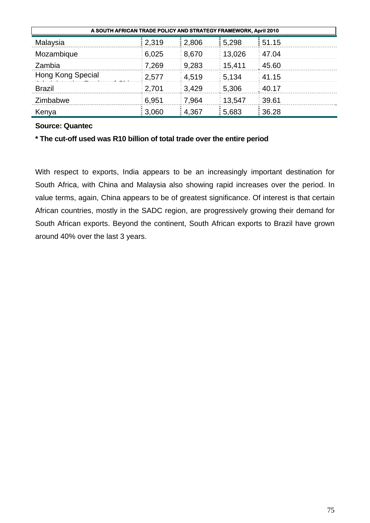| A SOUTH AFRICAN TRADE POLICY AND STRATEGY FRAMEWORK, April 2010 |                     |                     |                      |                     |  |  |  |
|-----------------------------------------------------------------|---------------------|---------------------|----------------------|---------------------|--|--|--|
| Malaysia                                                        | 2,319               | 2,806               | $\frac{1}{2}$ 5,298  | 151.15              |  |  |  |
| Mozambique                                                      | $\frac{2}{3}$ 6,025 | $\frac{3}{2}$ 8,670 | 13,026               | $\frac{1}{2}$ 47.04 |  |  |  |
| Zambia                                                          | $\frac{2}{3}$ 7,269 | $= 9,283$           | $\frac{1}{2}$ 15,411 | $\frac{1}{2}$ 45.60 |  |  |  |
| Hong Kong Special                                               | 2,577               | $= 4.519$           | $\frac{2}{3}$ 5,134  | $\frac{1}{2}$ 41.15 |  |  |  |
| <b>Brazil</b>                                                   | $\frac{1}{2}$ 2,701 | $= 3,429$           | 5,306                | $\frac{1}{2}$ 40.17 |  |  |  |
| Zimbabwe                                                        | $\frac{1}{2}$ 6,951 | 7,964               | 13,547               | ∃ 39.61             |  |  |  |
| Kenya                                                           | $\frac{1}{2}3,060$  | 4,367               | 5.683                | $\frac{1}{2}36.28$  |  |  |  |

# **\* The cut-off used was R10 billion of total trade over the entire period**

With respect to exports, India appears to be an increasingly important destination for South Africa, with China and Malaysia also showing rapid increases over the period. In value terms, again, China appears to be of greatest significance. Of interest is that certain African countries, mostly in the SADC region, are progressively growing their demand for South African exports. Beyond the continent, South African exports to Brazil have grown around 40% over the last 3 years.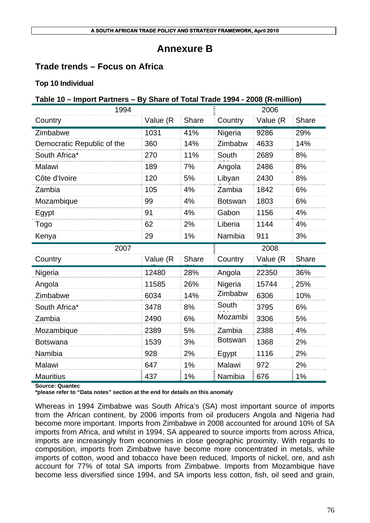# **Annexure B**

# **Trade trends – Focus on Africa**

# **Top 10 Individual**

# **Table 10 – Import Partners – By Share of Total Trade 1994 - 2008 (R-million)**

| 1994                       |          |              |                | 2006     |              |
|----------------------------|----------|--------------|----------------|----------|--------------|
| Country                    | Value (R | <b>Share</b> | Country        | Value (R | <b>Share</b> |
| Zimbabwe                   | 1031     | 41%          | Nigeria        | 9286     | 29%          |
| Democratic Republic of the | 360      | 14%          | Zimbabw        | 4633     | 14%          |
| South Africa*              | 270      | 11%          | South          | 2689     | 8%           |
| Malawi                     | 189      | 7%           | Angola         | 2486     | 8%           |
| Côte d'Ivoire              | 120      | 5%           | Libyan         | 2430     | 8%           |
| Zambia                     | 105      | 4%           | Zambia         | 1842     | 6%           |
| Mozambique                 | 99       | 4%           | <b>Botswan</b> | 1803     | 6%           |
| Egypt                      | 91       | 4%           | Gabon          | 1156     | 4%           |
| Togo                       | 62       | 2%           | Liberia        | 1144     | 4%           |
| Kenya                      | 29       | 1%           | Namibia        | 911      | 3%           |
|                            |          |              |                |          |              |
| 2007                       |          |              |                | 2008     |              |
| Country                    | Value (R | <b>Share</b> | Country        | Value (R | Share        |
| Nigeria                    | 12480    | 28%          | Angola         | 22350    | 36%          |
| Angola                     | 11585    | 26%          | Nigeria        | 15744    | 25%          |
| Zimbabwe                   | 6034     | 14%          | Zimbabw        | 6306     | 10%          |
| South Africa*              | 3478     | 8%           | South          | 3795     | 6%           |
| Zambia                     | 2490     | 6%           | Mozambi        | 3306     | 5%           |
| Mozambique                 | 2389     | 5%           | Zambia         | 2388     | 4%           |
| <b>Botswana</b>            | 1539     | 3%           | <b>Botswan</b> | 1368     | 2%           |
| Namibia                    | 928      | 2%           | Egypt          | 1116     | 2%           |
| <b>Malawi</b>              | 647      | 1%           | <b>Malawi</b>  | 972      | 2%           |

**Source: Quantec** 

**\*please refer to "Data notes" section at the end for details on this anomaly** 

Whereas in 1994 Zimbabwe was South Africa's (SA) most important source of imports from the African continent, by 2006 imports from oil producers Angola and Nigeria had become more important. Imports from Zimbabwe in 2008 accounted for around 10% of SA imports from Africa, and whilst in 1994, SA appeared to source imports from across Africa, imports are increasingly from economies in close geographic proximity. With regards to composition, imports from Zimbabwe have become more concentrated in metals, while imports of cotton, wood and tobacco have been reduced. Imports of nickel, ore, and ash account for 77% of total SA imports from Zimbabwe. Imports from Mozambique have become less diversified since 1994, and SA imports less cotton, fish, oil seed and grain,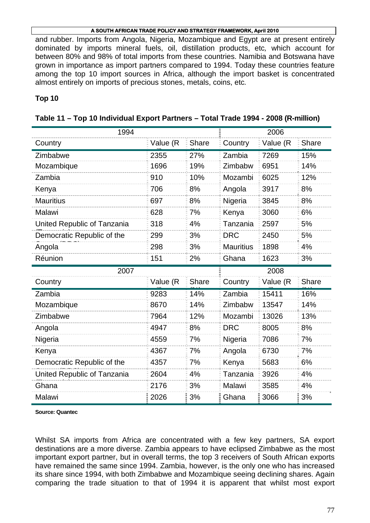and rubber. Imports from Angola, Nigeria, Mozambique and Egypt are at present entirely dominated by imports mineral fuels, oil, distillation products, etc*,* which account for between 80% and 98% of total imports from these countries. Namibia and Botswana have grown in importance as import partners compared to 1994. Today these countries feature among the top 10 import sources in Africa, although the import basket is concentrated almost entirely on imports of precious stones, metals, coins, etc*.* 

## **Top 10**

| 1994                        | 2006      |       |                  |          |              |
|-----------------------------|-----------|-------|------------------|----------|--------------|
| Country                     | Value (R  | Share | Country          | Value (R | <b>Share</b> |
| Zimbabwe                    | 2355      | 27%   | Zambia           | 7269     | 15%          |
| Mozambique                  | 1696      | 19%   | Zimbabw          | 6951     | 14%          |
| Zambia                      | 910       | 10%   | Mozambi          | 6025     | 12%          |
| Kenya                       | 706       | 8%    | Angola           | 3917     | 8%           |
| <b>Mauritius</b>            | 697       | 8%    | Nigeria          | 3845     | 8%           |
| Malawi                      | 628       | 7%    | Kenya            | 3060     | 6%           |
| United Republic of Tanzania | 318       | 4%    | Tanzania         | 2597     | 5%           |
| Democratic Republic of the  | 299       | 3%    | <b>DRC</b>       | 2450     | 5%           |
| Angola                      | 298       | 3%    | <b>Mauritius</b> | 1898     | 4%           |
| Réunion                     | 151       | 2%    | Ghana            | 1623     | 3%           |
| 2007                        |           |       |                  | 2008     |              |
| Country                     | Value (R) | Share | Country          | Value (R | <b>Share</b> |
| Zambia                      | 9283      | 14%   | Zambia           | 15411    | 16%          |
| Mozambique                  | 8670      | 14%   | Zimbabw          | 13547    | 14%          |
| Zimbabwe                    | 7964      | 12%   | Mozambi          | 13026    | 13%          |
| Angola                      | 4947      | 8%    | <b>DRC</b>       | 8005     | 8%           |
| Nigeria                     | 4559      | 7%    | Nigeria          | 7086     | 7%           |
| Kenya                       | 4367      | 7%    | Angola           | 6730     | 7%           |
| Democratic Republic of the  | 4357      | 7%    | Kenya            | 5683     | 6%           |
| United Republic of Tanzania | 2604      | 4%    | Tanzania         | 3926     | 4%           |
| Ghana                       | 2176      | 3%    | Malawi           | 3585     | 4%           |
| Malawi                      | 2026      | 3%    | Ghana            | 3066     | 3%           |

|  |  | Table 11 – Top 10 Individual Export Partners – Total Trade 1994 - 2008 (R-million) |  |  |
|--|--|------------------------------------------------------------------------------------|--|--|
|--|--|------------------------------------------------------------------------------------|--|--|

**Source: Quantec** 

Whilst SA imports from Africa are concentrated with a few key partners, SA export destinations are a more diverse. Zambia appears to have eclipsed Zimbabwe as the most important export partner, but in overall terms, the top 3 receivers of South African exports have remained the same since 1994. Zambia, however, is the only one who has increased its share since 1994, with both Zimbabwe and Mozambique seeing declining shares. Again comparing the trade situation to that of 1994 it is apparent that whilst most export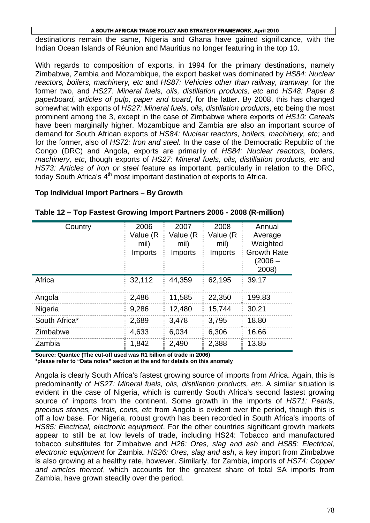destinations remain the same, Nigeria and Ghana have gained significance, with the Indian Ocean Islands of Réunion and Mauritius no longer featuring in the top 10.

With regards to composition of exports, in 1994 for the primary destinations, namely Zimbabwe, Zambia and Mozambique, the export basket was dominated by *HS84: Nuclear reactors, boilers, machinery, etc* and *HS87: Vehicles other than railway, tramway*, for the former two, and *HS27: Mineral fuels, oils, distillation products, etc* and *HS48: Paper & paperboard, articles of pulp, paper and board*, for the latter. By 2008, this has changed somewhat with exports of *HS27: Mineral fuels, oils, distillation products*, etc being the most prominent among the 3, except in the case of Zimbabwe where exports of *HS10: Cereals* have been marginally higher. Mozambique and Zambia are also an important source of demand for South African exports of *HS84: Nuclear reactors, boilers, machinery, etc;* and for the former, also of *HS72: Iron and steel.* In the case of the Democratic Republic of the Congo (DRC) and Angola, exports are primarily of *HS84: Nuclear reactors, boilers, machinery, etc*, though exports of *HS27: Mineral fuels, oils, distillation products, etc* and *HS73: Articles of iron or steel* feature as important, particularly in relation to the DRC, today South Africa's  $4<sup>th</sup>$  most important destination of exports to Africa.

### **Top Individual Import Partners – By Growth**

| Country       | 2006<br>Value (R<br>mil)<br><b>Imports</b> | 2007<br>Value (R<br>mil)<br>Imports | 2008<br>Value (R<br>mil)<br>Imports | Annual<br>Average<br>Weighted<br><b>Growth Rate</b><br>(2006 –<br>2008) |
|---------------|--------------------------------------------|-------------------------------------|-------------------------------------|-------------------------------------------------------------------------|
| Africa        | 32,112                                     | 44,359                              | 62,195                              | 39.17                                                                   |
| Angola        | 2,486                                      | 11,585                              | 22,350                              | 199.83                                                                  |
| Nigeria       | 9,286                                      | 12,480                              | 15,744                              | 30.21                                                                   |
| South Africa* | 2,689                                      | 3,478                               | 3,795                               | 18.80                                                                   |
| Zimbabwe      | 4,633                                      | 6,034                               | 6,306                               | 16.66                                                                   |
| Zambia        | 1,842                                      | 2,490                               | 2,388                               | 13.85                                                                   |

### **Table 12 – Top Fastest Growing Import Partners 2006 - 2008 (R-million)**

**Source: Quantec (The cut-off used was R1 billion of trade in 2006) \*please refer to "Data notes" section at the end for details on this anomaly** 

Angola is clearly South Africa's fastest growing source of imports from Africa. Again, this is predominantly of *HS27: Mineral fuels, oils, distillation products, etc*. A similar situation is evident in the case of Nigeria, which is currently South Africa's second fastest growing source of imports from the continent. Some growth in the imports of *HS71: Pearls, precious stones, metals, coins, etc* from Angola is evident over the period, though this is off a low base. For Nigeria, robust growth has been recorded in South Africa's imports of *HS85: Electrical, electronic equipment*. For the other countries significant growth markets appear to still be at low levels of trade, including HS24: Tobacco and manufactured tobacco substitutes for Zimbabwe and *H26: Ores, slag and ash* and *HS85: Electrical, electronic equipment* for Zambia. *HS26: Ores, slag and ash*, a key import from Zimbabwe is also growing at a healthy rate, however. Similarly, for Zambia, imports of *HS74: Copper and articles thereof*, which accounts for the greatest share of total SA imports from Zambia, have grown steadily over the period.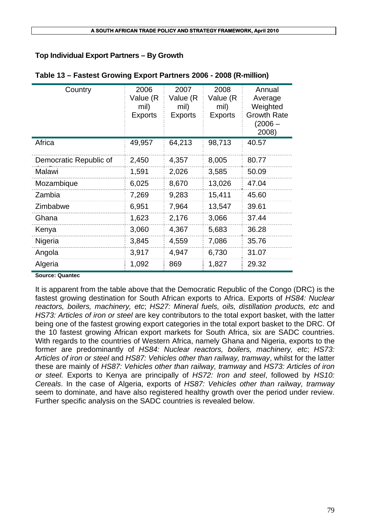# **Top Individual Export Partners – By Growth**

| Country                | 2006<br>Value (R<br>mil)<br><b>Exports</b> | 2007<br>Value (R<br>mil)<br><b>Exports</b> | 2008<br>Value (R<br>mil)<br><b>Exports</b> | Annual<br>Average<br>Weighted<br><b>Growth Rate</b><br>(2006 –<br>2008) |
|------------------------|--------------------------------------------|--------------------------------------------|--------------------------------------------|-------------------------------------------------------------------------|
| Africa                 | 49,957                                     | 64,213                                     | 98,713                                     | 40.57                                                                   |
| Democratic Republic of | 2,450                                      | 4,357                                      | 8,005                                      | 80.77                                                                   |
| Malawi                 | 1,591                                      | 2,026                                      | 3,585                                      | 50.09                                                                   |
| Mozambique             | 6,025                                      | 8,670                                      | 13,026                                     | 47.04                                                                   |
| Zambia                 | 7,269                                      | 9,283                                      | 15,411                                     | 45.60                                                                   |
| Zimbabwe               | 6,951                                      | 7,964                                      | 13,547                                     | 39.61                                                                   |
| Ghana                  | 1,623                                      | 2,176                                      | 3,066                                      | 37.44                                                                   |
| Kenya                  | 3,060                                      | 4,367                                      | 5,683                                      | 36.28                                                                   |
| Nigeria                | 3,845                                      | 4,559                                      | 7,086                                      | 35.76                                                                   |
| Angola                 | 3,917                                      | 4,947                                      | 6,730                                      | 31.07                                                                   |
| Algeria                | 1,092                                      | 869                                        | 1,827                                      | 29.32                                                                   |

### **Table 13 – Fastest Growing Export Partners 2006 - 2008 (R-million)**

#### **Source: Quantec**

It is apparent from the table above that the Democratic Republic of the Congo (DRC) is the fastest growing destination for South African exports to Africa. Exports of *HS84: Nuclear reactors, boilers, machinery, etc*; *HS27: Mineral fuels, oils, distillation products, etc* and *HS73: Articles of iron or steel* are key contributors to the total export basket, with the latter being one of the fastest growing export categories in the total export basket to the DRC. Of the 10 fastest growing African export markets for South Africa, six are SADC countries. With regards to the countries of Western Africa, namely Ghana and Nigeria, exports to the former are predominantly of *HS84: Nuclear reactors, boilers, machinery, etc*; *HS73: Articles of iron or steel* and *HS87: Vehicles other than railway, tramway*, whilst for the latter these are mainly of *HS87: Vehicles other than railway, tramway* and *HS73: Articles of iron or steel.* Exports to Kenya are principally of *HS72: Iron and steel*, followed by *HS10: Cereals*. In the case of Algeria, exports of *HS87: Vehicles other than railway, tramway* seem to dominate, and have also registered healthy growth over the period under review. Further specific analysis on the SADC countries is revealed below.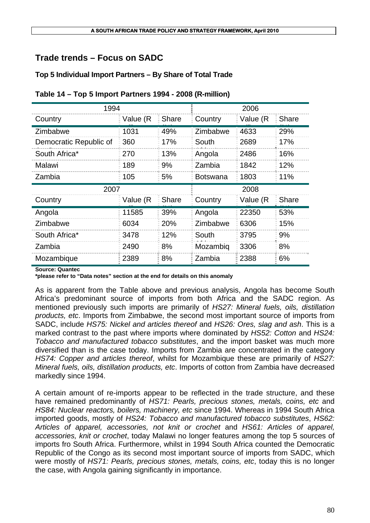# **Trade trends – Focus on SADC**

# **Top 5 Individual Import Partners – By Share of Total Trade**

| 1994                   | 2006     |              |                 |          |              |
|------------------------|----------|--------------|-----------------|----------|--------------|
| Country                | Value (R | Share        | Country         | Value (R | <b>Share</b> |
| Zimbabwe               | 1031     | 49%          | Zimbabwe        | 4633     | 29%          |
| Democratic Republic of | 360      | 17%          | South           | 2689     | 17%          |
| South Africa*          | 270      | 13%          | Angola          | 2486     | 16%          |
| Malawi                 | 189      | 9%           | Zambia          | 1842     | 12%          |
| Zambia                 | 105      | 5%           | <b>Botswana</b> | 1803     | 11%          |
| 2007                   |          |              |                 | 2008     |              |
| Country                | Value (R | <b>Share</b> | Country         | Value (R | Share        |
| Angola                 | 11585    | 39%          | Angola          | 22350    | 53%          |
|                        |          |              |                 |          |              |
| Zimbabwe               | 6034     | 20%          | Zimbabwe        | 6306     | 15%          |
| South Africa*          | 3478     | 12%          | South           | 3795     | 9%           |
| Zambia                 | 2490     | 8%           | Mozambig        | 3306     | 8%           |

**Source: Quantec** 

**\*please refer to "Data notes" section at the end for details on this anomaly** 

As is apparent from the Table above and previous analysis, Angola has become South Africa's predominant source of imports from both Africa and the SADC region. As mentioned previously such imports are primarily of *HS27: Mineral fuels, oils, distillation products, etc*. Imports from Zimbabwe, the second most important source of imports from SADC, include *HS75: Nickel and articles thereof* and *HS26: Ores, slag and ash*. This is a marked contrast to the past where imports where dominated by *HS52: Cotton* and *HS24: Tobacco and manufactured tobacco substitutes*, and the import basket was much more diversified than is the case today. Imports from Zambia are concentrated in the category *HS74: Copper and articles thereof*, whilst for Mozambique these are primarily of *HS27: Mineral fuels, oils, distillation products, etc*. Imports of cotton from Zambia have decreased markedly since 1994.

A certain amount of re-imports appear to be reflected in the trade structure, and these have remained predominantly of *HS71: Pearls, precious stones, metals, coins, etc* and *HS84: Nuclear reactors, boilers, machinery, etc* since 1994. Whereas in 1994 South Africa imported goods, mostly of *HS24: Tobacco and manufactured tobacco substitutes*, *HS62: Articles of apparel, accessories, not knit or crochet* and *HS61: Articles of apparel, accessories, knit or crochet*, today Malawi no longer features among the top 5 sources of imports fro South Africa. Furthermore, whilst in 1994 South Africa counted the Democratic Republic of the Congo as its second most important source of imports from SADC, which were mostly of *HS71: Pearls, precious stones, metals, coins, etc*, today this is no longer the case, with Angola gaining significantly in importance.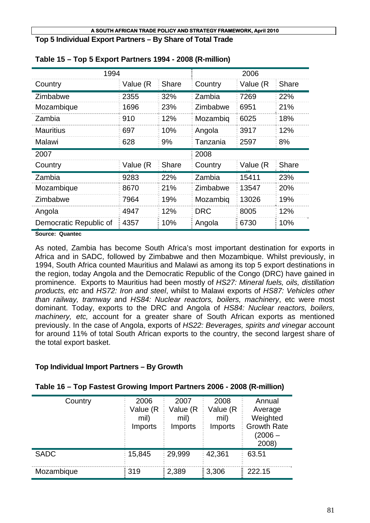**Top 5 Individual Export Partners – By Share of Total Trade** 

| 1994             |          |       |            | 2006     |              |
|------------------|----------|-------|------------|----------|--------------|
| Country          | Value (R | Share | Country    | Value (R | <b>Share</b> |
| Zimbabwe         | 2355     | 32%   | Zambia     | 7269     | 22%          |
| Mozambique       | 1696     | 23%   | Zimbabwe   | 6951     | 21%          |
| Zambia           | 910      | 12%   | Mozambig   | 6025     | 18%          |
| <b>Mauritius</b> | 697      | 10%   | Angola     | 3917     | 12%          |
| Malawi           | 628      | 9%    | Tanzania   | 2597     | 8%           |
|                  |          |       |            |          |              |
| 2007             |          |       | 2008       |          |              |
| Country          | Value (R | Share | Country    | Value (R | <b>Share</b> |
| Zambia           | 9283     | 22%   | Zambia     | 15411    | 23%          |
| Mozambique       | 8670     | 21%   | Zimbabwe   | 13547    | 20%          |
| Zimbabwe         | 7964     | 19%   | Mozambig   | 13026    | 19%          |
| Angola           | 4947     | 12%   | <b>DRC</b> | 8005     | 12%          |

### **Table 15 – Top 5 Export Partners 1994 - 2008 (R-million)**

th C **Source: Quantec** 

As noted, Zambia has become South Africa's most important destination for exports in Africa and in SADC, followed by Zimbabwe and then Mozambique. Whilst previously, in 1994, South Africa counted Mauritius and Malawi as among its top 5 export destinations in the region, today Angola and the Democratic Republic of the Congo (DRC) have gained in prominence. Exports to Mauritius had been mostly of *HS27: Mineral fuels, oils, distillation products, etc* and *HS72: Iron and steel*, whilst to Malawi exports of *HS87: Vehicles other than railway, tramway* and *HS84: Nuclear reactors, boilers, machinery*, etc were most dominant. Today, exports to the DRC and Angola of *HS84: Nuclear reactors, boilers, machinery, etc,* account for a greater share of South African exports as mentioned previously. In the case of Angola, exports of *HS22: Beverages, spirits and vinegar* account for around 11% of total South African exports to the country, the second largest share of the total export basket.

## **Top Individual Import Partners – By Growth**

| Country     | 2006<br>Value (R<br>mil)<br>Imports | 2007<br>Value (R<br>mil)<br>Imports | 2008<br>Value (R<br>mil)<br>Imports | Annual<br>Average<br>Weighted<br><b>Growth Rate</b><br>(2006 –<br>2008) |
|-------------|-------------------------------------|-------------------------------------|-------------------------------------|-------------------------------------------------------------------------|
| <b>SADC</b> | $= 15.845$                          | $= 29,999$                          | 42,361                              | 63.51                                                                   |
| Mozambique  | $\frac{1}{2}319$                    | $\frac{1}{2}$ , 2,389               | 3,306                               | 222.15                                                                  |

## **Table 16 – Top Fastest Growing Import Partners 2006 - 2008 (R-million)**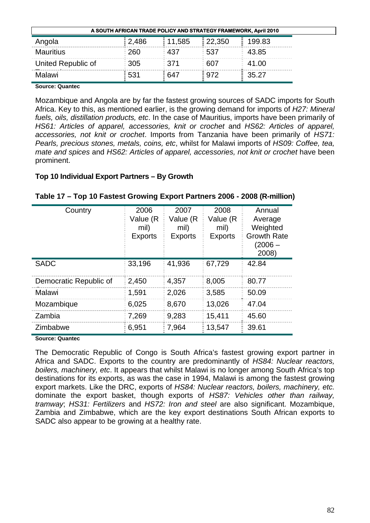| A SOUTH AFRICAN TRADE POLICY AND STRATEGY FRAMEWORK, April 2010 |                   |                    |                      |             |  |  |
|-----------------------------------------------------------------|-------------------|--------------------|----------------------|-------------|--|--|
| Angola                                                          | 2,486             | 11,585             | $\frac{1}{2}$ 22,350 | 199.83      |  |  |
| <b>Mauritius</b>                                                | $\frac{260}{5}$   | $\overline{=}$ 437 | $= 537$              | $\pm 43.85$ |  |  |
| United Republic of                                              | $\frac{1}{2}$ 305 | $\frac{1}{2}$ 371  | $\frac{1}{2}607$     | 41.00       |  |  |
| Malawi                                                          | ፡ 531             | $\frac{1}{2}647$   | $\frac{1}{2}$ 972    | 35.27       |  |  |

Mozambique and Angola are by far the fastest growing sources of SADC imports for South Africa. Key to this, as mentioned earlier, is the growing demand for imports of *H27: Mineral fuels, oils, distillation products, etc*. In the case of Mauritius, imports have been primarily of *HS61: Articles of apparel, accessories, knit or crochet* and *HS62: Articles of apparel, accessories, not knit or crochet*. Imports from Tanzania have been primarily of *HS71: Pearls, precious stones, metals, coins, etc*, whilst for Malawi imports of *HS09: Coffee, tea, mate and spices* and *HS62: Articles of apparel, accessories, not knit or crochet* have been prominent.

## **Top 10 Individual Export Partners – By Growth**

| Country                | 2006<br>Value (R<br>mil)<br><b>Exports</b> | 2007<br>Value (R<br>mil)<br><b>Exports</b> | 2008<br>Value (R<br>mil)<br><b>Exports</b> | Annual<br>Average<br>Weighted<br><b>Growth Rate</b><br>(2006 –<br>2008) |
|------------------------|--------------------------------------------|--------------------------------------------|--------------------------------------------|-------------------------------------------------------------------------|
| <b>SADC</b>            | 33,196                                     | 41,936                                     | 67,729                                     | 42.84                                                                   |
| Democratic Republic of | 2,450                                      | 4,357                                      | 8,005                                      | 80.77                                                                   |
| Malawi                 | 1,591                                      | 2,026                                      | 3,585                                      | 50.09                                                                   |
| Mozambique             | 6,025                                      | 8,670                                      | 13,026                                     | 47.04                                                                   |
| Zambia                 | 7,269                                      | 9,283                                      | 15,411                                     | 45.60                                                                   |
| Zimbabwe               | 6,951                                      | 7,964                                      | 13,547                                     | 39.61                                                                   |

### **Table 17 – Top 10 Fastest Growing Export Partners 2006 - 2008 (R-million)**

**Source: Quantec** 

The Democratic Republic of Congo is South Africa's fastest growing export partner in Africa and SADC. Exports to the country are predominantly of *HS84: Nuclear reactors, boilers, machinery, etc*. It appears that whilst Malawi is no longer among South Africa's top destinations for its exports, as was the case in 1994, Malawi is among the fastest growing export markets. Like the DRC, exports of *HS84: Nuclear reactors, boilers, machinery, etc.* dominate the export basket, though exports of *HS87: Vehicles other than railway, tramway*; *HS31: Fertilizers* and *HS72: Iron and steel* are also significant. Mozambique, Zambia and Zimbabwe, which are the key export destinations South African exports to SADC also appear to be growing at a healthy rate.